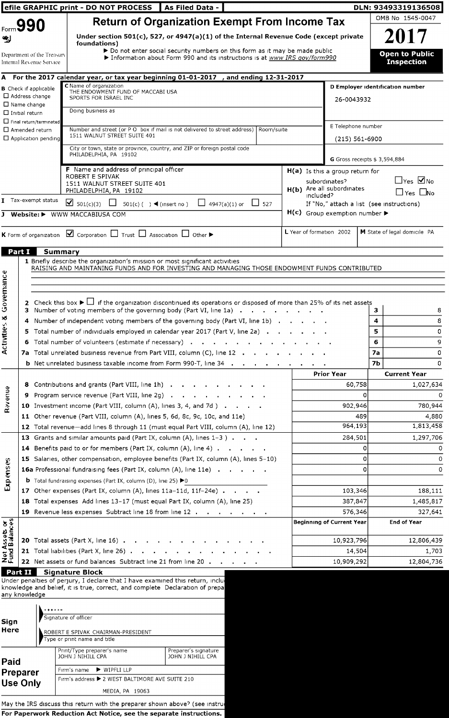|                                |                                                        |         | efile GRAPHIC print - DO NOT PROCESS                                                                                                                                                                         | As Filed Data -                                                                                                                                           |                              |                          |                                                     |                | DLN: 93493319136508                        |
|--------------------------------|--------------------------------------------------------|---------|--------------------------------------------------------------------------------------------------------------------------------------------------------------------------------------------------------------|-----------------------------------------------------------------------------------------------------------------------------------------------------------|------------------------------|--------------------------|-----------------------------------------------------|----------------|--------------------------------------------|
|                                | Form 990                                               |         |                                                                                                                                                                                                              | <b>Return of Organization Exempt From Income Tax</b>                                                                                                      |                              |                          |                                                     |                | OMB No 1545-0047                           |
|                                |                                                        |         | Under section 501(c), 527, or 4947(a)(1) of the Internal Revenue Code (except private                                                                                                                        |                                                                                                                                                           |                              |                          |                                                     |                | 2017                                       |
| ∾⊴                             |                                                        |         | foundations)                                                                                                                                                                                                 |                                                                                                                                                           |                              |                          |                                                     |                |                                            |
|                                | Department of the Treasurv<br>Internal Revenue Service |         |                                                                                                                                                                                                              | > Do not enter social security numbers on this form as it may be made public<br>Information about Form 990 and its instructions is at www IRS gov/form990 |                              |                          |                                                     |                | <b>Open to Public</b><br><b>Inspection</b> |
|                                |                                                        |         | A For the 2017 calendar year, or tax year beginning 01-01-2017 , and ending 12-31-2017                                                                                                                       |                                                                                                                                                           |                              |                          |                                                     |                |                                            |
|                                | <b>B</b> Check if applicable                           |         | C Name of organization<br>THE ENDOWMENT FUND OF MACCABI USA                                                                                                                                                  |                                                                                                                                                           |                              |                          |                                                     |                | D Employer identification number           |
|                                | $\Box$ Address change                                  |         | SPORTS FOR ISRAEL INC                                                                                                                                                                                        |                                                                                                                                                           |                              |                          | 26-0043932                                          |                |                                            |
|                                | $\Box$ Name change<br>$\Box$ Initial return            |         | Doing business as                                                                                                                                                                                            |                                                                                                                                                           |                              |                          |                                                     |                |                                            |
|                                | $\Box$ Final return/terminated                         |         |                                                                                                                                                                                                              |                                                                                                                                                           |                              |                          |                                                     |                |                                            |
|                                | $\square$ Amended return                               |         | Number and street (or P O box if mail is not delivered to street address)   Room/suite<br>1511 WALNUT STREET SUITE 401                                                                                       |                                                                                                                                                           |                              |                          | E Telephone number                                  |                |                                            |
|                                | $\Box$ Application pending                             |         | City or town, state or province, country, and ZIP or foreign postal code                                                                                                                                     |                                                                                                                                                           |                              |                          | $(215) 561 - 6900$                                  |                |                                            |
|                                |                                                        |         | PHILADELPHIA, PA 19102                                                                                                                                                                                       |                                                                                                                                                           |                              |                          | G Gross receipts \$ 3,594,884                       |                |                                            |
|                                |                                                        |         | <b>F</b> Name and address of principal officer                                                                                                                                                               |                                                                                                                                                           |                              |                          | $H(a)$ Is this a group return for                   |                |                                            |
|                                |                                                        |         | <b>ROBERT E SPIVAK</b>                                                                                                                                                                                       |                                                                                                                                                           |                              |                          | subordinates?                                       |                | $\Box$ Yes $\Box$ No                       |
|                                |                                                        |         | 1511 WALNUT STREET SUITE 401<br>PHILADELPHIA, PA 19102                                                                                                                                                       |                                                                                                                                                           |                              |                          | H(b) Are all subordinates                           |                | $\Box$ Yes $\Box$ No                       |
|                                | T Tax-exempt status                                    |         | ■ 501(c)(3) □ 501(c)( ) < (insert no) □ 4947(a)(1) or □ 527                                                                                                                                                  |                                                                                                                                                           |                              | included?                | If "No," attach a list (see instructions)           |                |                                            |
|                                |                                                        |         | J Website: > WWW MACCABIUSA COM                                                                                                                                                                              |                                                                                                                                                           |                              |                          | $H(c)$ Group exemption number $\blacktriangleright$ |                |                                            |
|                                |                                                        |         |                                                                                                                                                                                                              |                                                                                                                                                           |                              |                          |                                                     |                |                                            |
|                                |                                                        |         | <b>K</b> Form of organization $\boxed{\blacktriangleleft}$ Corporation $\boxed{\square}$ Trust $\boxed{\square}$ Association $\boxed{\square}$ Other $\blacktriangleright$                                   |                                                                                                                                                           |                              | L Year of formation 2002 |                                                     |                | M State of legal domicile PA               |
| Part I                         |                                                        | Summary |                                                                                                                                                                                                              |                                                                                                                                                           |                              |                          |                                                     |                |                                            |
|                                |                                                        |         | 1 Briefly describe the organization's mission or most significant activities                                                                                                                                 |                                                                                                                                                           |                              |                          |                                                     |                |                                            |
|                                |                                                        |         | RAISING AND MAINTANING FUNDS AND FOR INVESTING AND MANAGING THOSE ENDOWMENT FUNDS CONTRIBUTED                                                                                                                |                                                                                                                                                           |                              |                          |                                                     |                |                                            |
|                                |                                                        |         |                                                                                                                                                                                                              |                                                                                                                                                           |                              |                          |                                                     |                |                                            |
|                                |                                                        |         |                                                                                                                                                                                                              |                                                                                                                                                           |                              |                          |                                                     |                |                                            |
| Governance                     |                                                        |         | 2 Check this box $\blacktriangleright$ if the organization discontinued its operations or disposed of more than 25% of its net assets<br>3 Number of voting members of the governing body (Part VI, line 1a) |                                                                                                                                                           |                              |                          |                                                     | 3              | 8                                          |
|                                |                                                        |         | Number of independent voting members of the governing body (Part VI, line 1b)                                                                                                                                |                                                                                                                                                           |                              |                          |                                                     | 4              | 8                                          |
|                                |                                                        |         | 5 Total number of individuals employed in calendar year 2017 (Part V, line 2a).                                                                                                                              |                                                                                                                                                           |                              |                          |                                                     | 5              | 0                                          |
| Activities &                   |                                                        |         | <b>6</b> Total number of volunteers (estimate if necessary) $\cdots$ $\cdots$ $\cdots$ $\cdots$                                                                                                              |                                                                                                                                                           |                              |                          |                                                     | 6              | 9                                          |
|                                |                                                        |         | 7a Total unrelated business revenue from Part VIII, column (C), line 12                                                                                                                                      |                                                                                                                                                           |                              |                          |                                                     | 7а             | 0                                          |
|                                |                                                        |         | <b>b</b> Net unrelated business taxable income from Form 990-T, line 34                                                                                                                                      |                                                                                                                                                           |                              |                          |                                                     | 7 <sub>b</sub> | 0                                          |
|                                |                                                        |         |                                                                                                                                                                                                              |                                                                                                                                                           |                              |                          | <b>Prior Year</b>                                   |                | <b>Current Year</b>                        |
|                                | 8                                                      |         | Contributions and grants (Part VIII, line 1h)                                                                                                                                                                |                                                                                                                                                           |                              |                          | 60,758                                              |                | 1,027,634                                  |
| <b>Rovenue</b>                 | 9                                                      |         | Program service revenue (Part VIII, line 2g) $\cdot \cdot \cdot \cdot$ $\cdot \cdot \cdot$                                                                                                                   |                                                                                                                                                           |                              |                          |                                                     |                |                                            |
|                                |                                                        |         | 10 Investment income (Part VIII, column (A), lines 3, 4, and 7d)                                                                                                                                             |                                                                                                                                                           |                              |                          | 902,946                                             |                | 780,944                                    |
|                                |                                                        |         | 11 Other revenue (Part VIII, column (A), lines 5, 6d, 8c, 9c, 10c, and 11e)                                                                                                                                  |                                                                                                                                                           |                              |                          | 489                                                 |                | 4,880                                      |
|                                |                                                        |         | 12 Total revenue-add lines 8 through 11 (must equal Part VIII, column (A), line 12)                                                                                                                          |                                                                                                                                                           |                              |                          | 964,193                                             |                | 1,813,458                                  |
|                                |                                                        |         | 13 Grants and similar amounts paid (Part IX, column (A), lines 1-3)                                                                                                                                          |                                                                                                                                                           |                              |                          | 284,501                                             |                | 1,297,706                                  |
|                                |                                                        |         | 14 Benefits paid to or for members (Part IX, column (A), line 4)<br>15 Salaries, other compensation, employee benefits (Part IX, column (A), lines 5-10)                                                     |                                                                                                                                                           |                              |                          | 0<br>0                                              |                | 0<br>0                                     |
| Expenses                       |                                                        |         | <b>16a</b> Professional fundraising fees (Part IX, column (A), line 11e)                                                                                                                                     |                                                                                                                                                           |                              |                          | 0                                                   |                | 0                                          |
|                                |                                                        |         | <b>b</b> Total fundraising expenses (Part IX, column (D), line 25) $\blacktriangleright$ 0                                                                                                                   |                                                                                                                                                           |                              |                          |                                                     |                |                                            |
|                                |                                                        |         | 17 Other expenses (Part IX, column (A), lines 11a-11d, 11f-24e)                                                                                                                                              |                                                                                                                                                           |                              |                          | 103,346                                             |                | 188,111                                    |
|                                |                                                        |         | 18 Total expenses Add lines 13-17 (must equal Part IX, column (A), line 25)                                                                                                                                  |                                                                                                                                                           |                              |                          | 387,847                                             |                | 1,485,817                                  |
|                                |                                                        |         | 19 Revenue less expenses Subtract line 18 from line 12.                                                                                                                                                      |                                                                                                                                                           | the contract of the contract |                          | 576,346                                             |                | 327,641                                    |
|                                |                                                        |         |                                                                                                                                                                                                              |                                                                                                                                                           |                              |                          | <b>Beginning of Current Year</b>                    |                | <b>End of Year</b>                         |
|                                |                                                        |         |                                                                                                                                                                                                              |                                                                                                                                                           |                              |                          |                                                     |                |                                            |
| Net Assets or<br>Fund Balances |                                                        |         | 20 Total assets (Part X, line 16) $\ldots$ $\ldots$ $\ldots$                                                                                                                                                 |                                                                                                                                                           |                              |                          | 10,923,796                                          |                | 12,806,439                                 |
|                                |                                                        |         | <b>21</b> Total liabilities (Part X, line 26) $\cdots$ $\cdots$ $\cdots$ $\cdots$                                                                                                                            |                                                                                                                                                           |                              |                          | 14,504                                              |                | 1,703                                      |
|                                |                                                        |         | 22 Net assets or fund balances Subtract line 21 from line 20.                                                                                                                                                | $\sim$ 10 $\pm$                                                                                                                                           |                              |                          | 10,909,292                                          |                | 12,804,736                                 |
|                                | Part II                                                |         | <b>Signature Block</b><br>Under penalties of perjury, I declare that I have examined this return, inclu-                                                                                                     |                                                                                                                                                           |                              |                          |                                                     |                |                                            |
|                                |                                                        |         | knowledge and belief, it is true, correct, and complete Declaration of prepa                                                                                                                                 |                                                                                                                                                           |                              |                          |                                                     |                |                                            |
|                                | any knowledge                                          |         |                                                                                                                                                                                                              |                                                                                                                                                           |                              |                          |                                                     |                |                                            |
|                                |                                                        |         |                                                                                                                                                                                                              |                                                                                                                                                           |                              |                          |                                                     |                |                                            |
| Sign                           |                                                        |         | Signature of officer                                                                                                                                                                                         |                                                                                                                                                           |                              |                          |                                                     |                |                                            |
| Here                           |                                                        |         | ROBERT E SPIVAK CHAIRMAN-PRESIDENT                                                                                                                                                                           |                                                                                                                                                           |                              |                          |                                                     |                |                                            |
|                                |                                                        |         | Type or print name and title                                                                                                                                                                                 |                                                                                                                                                           |                              |                          |                                                     |                |                                            |
|                                |                                                        |         | Print/Type preparer's name<br>JOHN J NIHILL CPA                                                                                                                                                              | Preparer's signature<br>JOHN J NIHILL CPA                                                                                                                 |                              |                          |                                                     |                |                                            |
| <b>Paid</b>                    |                                                        |         | WIPFLILLP<br>Firm's name                                                                                                                                                                                     |                                                                                                                                                           |                              |                          |                                                     |                |                                            |
|                                | Preparer                                               |         | Firm's address ▶ 2 WEST BALTIMORE AVE SUITE 210                                                                                                                                                              |                                                                                                                                                           |                              |                          |                                                     |                |                                            |
|                                | <b>Use Only</b>                                        |         | MEDIA, PA 19063                                                                                                                                                                                              |                                                                                                                                                           |                              |                          |                                                     |                |                                            |

May the IRS discuss this return with the preparer shown above? (see Instrui For Paperwork Reduction Act Notice, see the separate instructio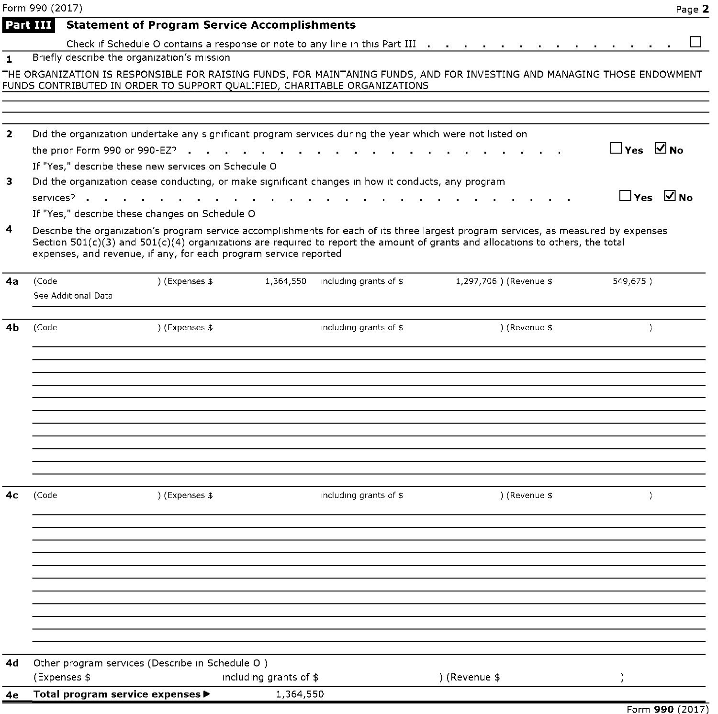|                | Form 990 (2017)     |                                                                                                                                                                                                                                          |                        |                        |                                                                                                                                                                                                                                                                           |                      | Page 2 |
|----------------|---------------------|------------------------------------------------------------------------------------------------------------------------------------------------------------------------------------------------------------------------------------------|------------------------|------------------------|---------------------------------------------------------------------------------------------------------------------------------------------------------------------------------------------------------------------------------------------------------------------------|----------------------|--------|
|                | Part III            | <b>Statement of Program Service Accomplishments</b>                                                                                                                                                                                      |                        |                        |                                                                                                                                                                                                                                                                           |                      |        |
|                |                     |                                                                                                                                                                                                                                          |                        |                        | Check if Schedule O contains a response or note to any line in this Part III (a) and a contact in the container                                                                                                                                                           |                      |        |
| $\mathbf{1}$   |                     | Briefly describe the organization's mission                                                                                                                                                                                              |                        |                        |                                                                                                                                                                                                                                                                           |                      |        |
|                |                     |                                                                                                                                                                                                                                          |                        |                        | THE ORGANIZATION IS RESPONSIBLE FOR RAISING FUNDS, FOR MAINTANING FUNDS, AND FOR INVESTING AND MANAGING THOSE ENDOWMENT                                                                                                                                                   |                      |        |
|                |                     | FUNDS CONTRIBUTED IN ORDER TO SUPPORT QUALIFIED, CHARITABLE ORGANIZATIONS                                                                                                                                                                |                        |                        |                                                                                                                                                                                                                                                                           |                      |        |
|                |                     |                                                                                                                                                                                                                                          |                        |                        |                                                                                                                                                                                                                                                                           |                      |        |
| $\mathbf{z}$   |                     | Did the organization undertake any significant program services during the year which were not listed on                                                                                                                                 |                        |                        |                                                                                                                                                                                                                                                                           |                      |        |
|                |                     | the prior Form 990 or 990-EZ?                                                                                                                                                                                                            |                        |                        |                                                                                                                                                                                                                                                                           | $\Box$ Yes $\Box$ No |        |
|                |                     | If "Yes," describe these new services on Schedule O                                                                                                                                                                                      |                        |                        |                                                                                                                                                                                                                                                                           |                      |        |
| з              |                     | Did the organization cease conducting, or make significant changes in how it conducts, any program                                                                                                                                       |                        |                        |                                                                                                                                                                                                                                                                           |                      |        |
|                |                     | services <sup>2</sup> and the contract of the contract of the contract of the contract of the contract of the contract of the contract of the contract of the contract of the contract of the contract of the contract of the contract o |                        |                        |                                                                                                                                                                                                                                                                           | $\Box$ Yes $\Box$ No |        |
|                |                     | If "Yes," describe these changes on Schedule O                                                                                                                                                                                           |                        |                        |                                                                                                                                                                                                                                                                           |                      |        |
| 4              |                     | expenses, and revenue, if any, for each program service reported                                                                                                                                                                         |                        |                        | Describe the organization's program service accomplishments for each of its three largest program services, as measured by expenses<br>Section $501(c)(3)$ and $501(c)(4)$ organizations are required to report the amount of grants and allocations to others, the total |                      |        |
| 4a             | (Code               | ) (Expenses \$                                                                                                                                                                                                                           | 1,364,550              | including grants of \$ | 1,297,706 ) (Revenue \$                                                                                                                                                                                                                                                   | 549,675)             |        |
|                | See Additional Data |                                                                                                                                                                                                                                          |                        |                        |                                                                                                                                                                                                                                                                           |                      |        |
|                |                     |                                                                                                                                                                                                                                          |                        |                        |                                                                                                                                                                                                                                                                           |                      |        |
| 4b             | (Code               | ) (Expenses \$                                                                                                                                                                                                                           |                        | including grants of \$ | ) (Revenue \$                                                                                                                                                                                                                                                             | $\mathcal{L}$        |        |
|                |                     |                                                                                                                                                                                                                                          |                        |                        |                                                                                                                                                                                                                                                                           |                      |        |
|                |                     |                                                                                                                                                                                                                                          |                        |                        |                                                                                                                                                                                                                                                                           |                      |        |
|                |                     |                                                                                                                                                                                                                                          |                        |                        |                                                                                                                                                                                                                                                                           |                      |        |
|                |                     |                                                                                                                                                                                                                                          |                        |                        |                                                                                                                                                                                                                                                                           |                      |        |
|                |                     |                                                                                                                                                                                                                                          |                        |                        |                                                                                                                                                                                                                                                                           |                      |        |
|                |                     |                                                                                                                                                                                                                                          |                        |                        |                                                                                                                                                                                                                                                                           |                      |        |
|                |                     |                                                                                                                                                                                                                                          |                        |                        |                                                                                                                                                                                                                                                                           |                      |        |
|                |                     |                                                                                                                                                                                                                                          |                        |                        |                                                                                                                                                                                                                                                                           |                      |        |
|                |                     |                                                                                                                                                                                                                                          |                        |                        |                                                                                                                                                                                                                                                                           |                      |        |
|                |                     |                                                                                                                                                                                                                                          |                        |                        |                                                                                                                                                                                                                                                                           |                      |        |
| 4 <sub>c</sub> | (Code               | ) (Expenses \$                                                                                                                                                                                                                           |                        | including grants of \$ | ) (Revenue \$                                                                                                                                                                                                                                                             | $\mathcal{L}$        |        |
|                |                     |                                                                                                                                                                                                                                          |                        |                        |                                                                                                                                                                                                                                                                           |                      |        |
|                |                     |                                                                                                                                                                                                                                          |                        |                        |                                                                                                                                                                                                                                                                           |                      |        |
|                |                     |                                                                                                                                                                                                                                          |                        |                        |                                                                                                                                                                                                                                                                           |                      |        |
|                |                     |                                                                                                                                                                                                                                          |                        |                        |                                                                                                                                                                                                                                                                           |                      |        |
|                |                     |                                                                                                                                                                                                                                          |                        |                        |                                                                                                                                                                                                                                                                           |                      |        |
|                |                     |                                                                                                                                                                                                                                          |                        |                        |                                                                                                                                                                                                                                                                           |                      |        |
|                |                     |                                                                                                                                                                                                                                          |                        |                        |                                                                                                                                                                                                                                                                           |                      |        |
|                |                     |                                                                                                                                                                                                                                          |                        |                        |                                                                                                                                                                                                                                                                           |                      |        |
|                |                     |                                                                                                                                                                                                                                          |                        |                        |                                                                                                                                                                                                                                                                           |                      |        |
| 4d             |                     | Other program services (Describe in Schedule O)                                                                                                                                                                                          |                        |                        |                                                                                                                                                                                                                                                                           |                      |        |
|                | (Expenses \$        |                                                                                                                                                                                                                                          | including grants of \$ |                        | ) (Revenue \$                                                                                                                                                                                                                                                             | $\lambda$            |        |
| 4e             |                     | Total program service expenses ▶                                                                                                                                                                                                         | 1,364,550              |                        |                                                                                                                                                                                                                                                                           |                      |        |

Form 990 (2017)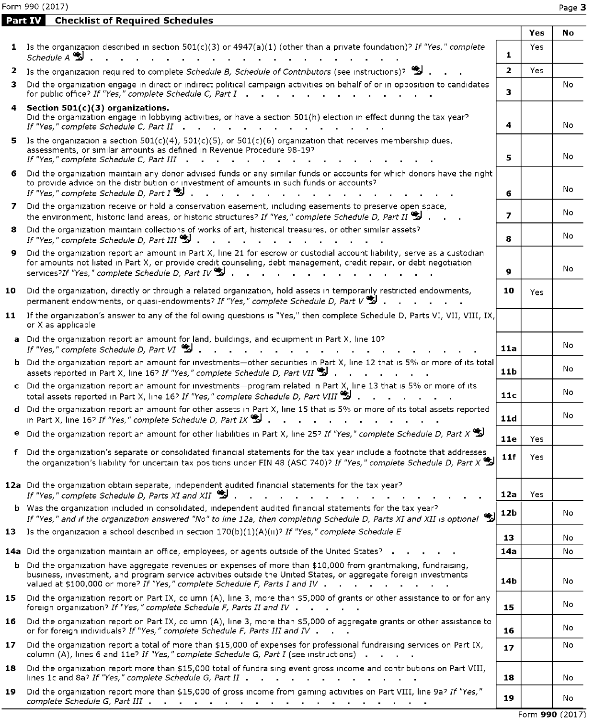Form 990 (2017) Page 3

Part IV Checklist of Required Schedules

|    |                                                                                                                                                                                                                                                                                                                                                          |                 | Yes | No              |
|----|----------------------------------------------------------------------------------------------------------------------------------------------------------------------------------------------------------------------------------------------------------------------------------------------------------------------------------------------------------|-----------------|-----|-----------------|
|    | 1 Is the organization described in section $501(c)(3)$ or $4947(a)(1)$ (other than a private foundation)? If "Yes," complete<br>Schedule A                                                                                                                                                                                                               | 1               | Yes |                 |
|    | 2 Is the organization required to complete Schedule B, Schedule of Contributors (see instructions)?                                                                                                                                                                                                                                                      | $\overline{2}$  | Yes |                 |
| з. | Did the organization engage in direct or indirect political campaign activities on behalf of or in opposition to candidates<br>for public office? If "Yes," complete Schedule C, Part I                                                                                                                                                                  | 3               |     | No              |
|    | 4 Section 501(c)(3) organizations.<br>Did the organization engage in lobbying activities, or have a section 501(h) election in effect during the tax year?<br>If "Yes," complete Schedule C, Part II<br>the contract of the contract of                                                                                                                  | 4               |     | No              |
|    | 5 Is the organization a section $501(c)(4)$ , $501(c)(5)$ , or $501(c)(6)$ organization that receives membership dues,<br>assessments, or similar amounts as defined in Revenue Procedure 98-19?<br>If "Yes," complete Schedule C, Part III .                                                                                                            | 5               |     | No              |
| 6. | Did the organization maintain any donor advised funds or any similar funds or accounts for which donors have the right<br>to provide advice on the distribution or investment of amounts in such funds or accounts?<br>If "Yes," complete Schedule D, Part $I^{\bullet}$ .                                                                               | 6               |     | No              |
|    | 7 Did the organization receive or hold a conservation easement, including easements to preserve open space,<br>the environment, historic land areas, or historic structures? If "Yes," complete Schedule D, Part II $\ddot{\ddot{\Sigma}}$                                                                                                               | 7               |     | No              |
| 8. | Did the organization maintain collections of works of art, historical treasures, or other similar assets?<br>If "Yes," complete Schedule D, Part III $\ddot{\ddot{\mathbf{z}}}$ .                                                                                                                                                                        | 8               |     | No              |
| 9. | Did the organization report an amount in Part X, line 21 for escrow or custodial account liability, serve as a custodian<br>for amounts not listed in Part X, or provide credit counseling, debt management, credit repair, or debt negotiation<br>services?If "Yes," complete Schedule D, Part IV $\ddot{\ddot{\mathbf{z}}}$ .                          | 9               |     | No              |
| 10 | Did the organization, directly or through a related organization, hold assets in temporarily restricted endowments,<br>permanent endowments, or quasi-endowments? If "Yes," complete Schedule D, Part $V^{\bullet}$ ,                                                                                                                                    | 10              | Yes |                 |
| 11 | If the organization's answer to any of the following questions is "Yes," then complete Schedule D, Parts VI, VII, VIII, IX,<br>or X as applicable                                                                                                                                                                                                        |                 |     |                 |
|    | a Did the organization report an amount for land, buildings, and equipment in Part X, line 10?<br>If "Yes," complete Schedule D, Part VI $\mathbb{Z}$                                                                                                                                                                                                    | 11a             |     | No              |
|    | b Did the organization report an amount for investments-other securities in Part X, line 12 that is 5% or more of its total<br>assets reported in Part X, line 16? If "Yes," complete Schedule D, Part VII $\mathbb{S}$ .                                                                                                                                | 11 <sub>b</sub> |     | No              |
|    | c Did the organization report an amount for investments-program related in Part X, line 13 that is 5% or more of its<br>total assets reported in Part X, line 16? If "Yes," complete Schedule D, Part VIII 20.                                                                                                                                           | 11c             |     | No              |
|    | d Did the organization report an amount for other assets in Part X, line 15 that is 5% or more of its total assets reported<br>in Part X, line 16? If "Yes," complete Schedule D, Part IX $\mathscr{L}$<br>$\sim$ $\sim$ $\sim$                                                                                                                          | 11d             |     | No              |
| e  | Did the organization report an amount for other liabilities in Part X, line 25? If "Yes," complete Schedule D, Part X                                                                                                                                                                                                                                    | 11e             | Yes |                 |
|    | f Did the organization's separate or consolidated financial statements for the tax year include a footnote that addresses<br>the organization's liability for uncertain tax positions under FIN 48 (ASC 740)? If "Yes," complete Schedule D, Part X                                                                                                      | 11f             | Yes |                 |
|    | 12a Did the organization obtain separate, independent audited financial statements for the tax year?<br>If "Yes," complete Schedule D, Parts XI and XII $\ddot{\ddot{\mathbf{z}}}$ .                                                                                                                                                                     | 12a             | Yes |                 |
|    | b Was the organization included in consolidated, independent audited financial statements for the tax year?<br>If "Yes," and if the organization answered "No" to line 12a, then completing Schedule D, Parts XI and XII is optional $\mathcal{\ddot{B}}$                                                                                                | 12b             |     | No              |
|    | 13 Is the organization a school described in section $170(b)(1)(A)(ii)^2$ If "Yes," complete Schedule E                                                                                                                                                                                                                                                  | 13              |     | No              |
|    | 14a Did the organization maintain an office, employees, or agents outside of the United States?                                                                                                                                                                                                                                                          | 14a             |     | No              |
|    | <b>b</b> Did the organization have aggregate revenues or expenses of more than \$10,000 from grantmaking, fundraising,<br>business, investment, and program service activities outside the United States, or aggregate foreign investments<br>valued at \$100,000 or more? If "Yes," complete Schedule F, Parts I and IV                                 | 14b             |     | No              |
| 15 | Did the organization report on Part IX, column (A), line 3, more than \$5,000 of grants or other assistance to or for any<br>foreign organization? If "Yes," complete Schedule F, Parts II and IV                                                                                                                                                        | 15              |     | No              |
| 16 | Did the organization report on Part IX, column (A), line 3, more than \$5,000 of aggregate grants or other assistance to<br>or for foreign individuals? If "Yes," complete Schedule F, Parts III and IV $\blacksquare$                                                                                                                                   | 16              |     | No              |
| 17 | Did the organization report a total of more than \$15,000 of expenses for professional fundraising services on Part IX,<br>column (A), lines 6 and $11e^{\gamma}$ If "Yes," complete Schedule G, Part I (see instructions) $\cdot \cdot \cdot$                                                                                                           | 17              |     | No              |
| 18 | Did the organization report more than \$15,000 total of fundraising event gross income and contributions on Part VIII,<br>lines 1c and 8a? If "Yes," complete Schedule G, Part II                                                                                                                                                                        | 18              |     | No              |
| 19 | Did the organization report more than \$15,000 of gross income from gaming activities on Part VIII, line 9a? If "Yes,"<br>complete Schedule G, Part III (Change Complete Schedule G, Part III (Change Complete Complete Complete Complete Complete Complete Complete Complete Complete Complete Complete Complete Complete Complete Complete Complete Co | 19              |     | No              |
|    |                                                                                                                                                                                                                                                                                                                                                          |                 |     | Form 990 (2017) |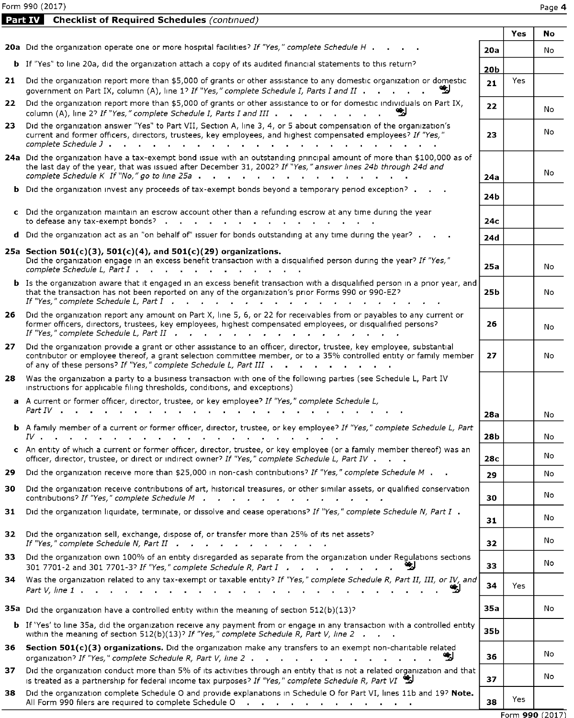Form 990 (2017) Page 4

Part IV Checklist of Required Schedules (continued)

|     |                                                                                                                                                                                                                                                                                                                      |                 | Yes | No              |
|-----|----------------------------------------------------------------------------------------------------------------------------------------------------------------------------------------------------------------------------------------------------------------------------------------------------------------------|-----------------|-----|-----------------|
|     | 20a Did the organization operate one or more hospital facilities? If "Yes," complete Schedule H.                                                                                                                                                                                                                     | 20a             |     | No              |
|     | <b>b</b> If "Yes" to line 20a, did the organization attach a copy of its audited financial statements to this return?                                                                                                                                                                                                | 20 <sub>b</sub> |     |                 |
|     | 21 Did the organization report more than \$5,000 of grants or other assistance to any domestic organization or domestic<br>government on Part IX, column (A), line 1? If "Yes," complete Schedule I, Parts I and II                                                                                                  | 21              | Yes |                 |
| 22  | Did the organization report more than \$5,000 of grants or other assistance to or for domestic individuals on Part IX,<br>column (A), line 2? If "Yes," complete Schedule I, Parts I and III<br>W                                                                                                                    | 22              |     | No              |
| 23. | Did the organization answer "Yes" to Part VII, Section A, line 3, 4, or 5 about compensation of the organization's<br>current and former officers, directors, trustees, key employees, and highest compensated employees? If "Yes,"<br>complete Schedule J.                                                          | 23              |     | No              |
|     | 24a Did the organization have a tax-exempt bond issue with an outstanding principal amount of more than \$100,000 as of<br>the last day of the year, that was issued after December 31, 2002? If "Yes," answer lines 24b through 24d and<br>complete Schedule K If $No$ ," go to line 25a                            | 24a             |     | No.             |
|     | <b>b</b> Did the organization invest any proceeds of tax-exempt bonds beyond a temporary period exception? .                                                                                                                                                                                                         | 24b             |     |                 |
|     | c Did the organization maintain an escrow account other than a refunding escrow at any time during the year<br>to defease any tax-exempt bonds?<br>and the state of the state of the                                                                                                                                 | 24с             |     |                 |
|     | <b>d</b> Did the organization act as an "on behalf of" issuer for bonds outstanding at any time during the year? $\cdot$ $\cdot$ $\cdot$                                                                                                                                                                             | 24d             |     |                 |
|     | 25a Section 501(c)(3), 501(c)(4), and 501(c)(29) organizations.<br>Did the organization engage in an excess benefit transaction with a disqualified person during the year? If "Yes,"<br>complete Schedule L, Part I<br>$\sim$<br><b>Contract Contract</b>                                                           | <b>25a</b>      |     | No              |
|     | <b>b</b> Is the organization aware that it engaged in an excess benefit transaction with a disgualified person in a prior year, and<br>that the transaction has not been reported on any of the organization's prior Forms 990 or 990-EZ?<br>If "Yes," complete Schedule L, Part I                                   | 25b             |     | No              |
|     | 26 Did the organization report any amount on Part X, line 5, 6, or 22 for receivables from or payables to any current or<br>former officers, directors, trustees, key employees, highest compensated employees, or disqualified persons?<br>If "Yes," complete Schedule L, Part II                                   | 26              |     | No              |
|     | 27 Did the organization provide a grant or other assistance to an officer, director, trustee, key employee, substantial<br>contributor or employee thereof, a grant selection committee member, or to a 35% controlled entity or family member<br>of any of these persons? If "Yes," complete Schedule L, Part III . | 27              |     | No              |
| 28  | Was the organization a party to a business transaction with one of the following parties (see Schedule L, Part IV<br>instructions for applicable filing thresholds, conditions, and exceptions)                                                                                                                      |                 |     |                 |
|     | a A current or former officer, director, trustee, or key employee? If "Yes," complete Schedule L,<br><i>Part IV</i>                                                                                                                                                                                                  | 28a             |     |                 |
|     | <b>b</b> A family member of a current or former officer, director, trustee, or key employee? If "Yes," complete Schedule L, Part                                                                                                                                                                                     |                 |     | No              |
|     | IV.                                                                                                                                                                                                                                                                                                                  | 28b             |     | No              |
|     | c An entity of which a current or former officer, director, trustee, or key employee (or a family member thereof) was an<br>officer, director, trustee, or direct or indirect owner? If "Yes," complete Schedule L, Part IV                                                                                          | 28c             |     | No              |
| 29  | Did the organization receive more than \$25,000 in non-cash contributions? If "Yes," complete Schedule M                                                                                                                                                                                                             | 29              |     | No              |
| 30  | Did the organization receive contributions of art, historical treasures, or other similar assets, or qualified conservation<br>contributions? If "Yes," complete Schedule M                                                                                                                                          | 30              |     | No              |
| 31  | Did the organization liquidate, terminate, or dissolve and cease operations? If "Yes," complete Schedule N, Part I.                                                                                                                                                                                                  | 31              |     | No              |
| 32  | Did the organization sell, exchange, dispose of, or transfer more than 25% of its net assets?<br>If "Yes," complete Schedule N, Part II                                                                                                                                                                              | 32              |     | No              |
| 33  | Did the organization own 100% of an entity disregarded as separate from the organization under Regulations sections<br>301 7701-2 and 301 7701-3? If "Yes," complete Schedule R, Part I<br>-21                                                                                                                       | 33              |     | No              |
|     | 34 Was the organization related to any tax-exempt or taxable entity? If "Yes," complete Schedule R, Part II, III, or IV, and<br>₩                                                                                                                                                                                    | 34              | Yes |                 |
|     | 35a Did the organization have a controlled entity within the meaning of section $512(b)(13)^5$                                                                                                                                                                                                                       | 35a             |     | No              |
|     | <b>b</b> If 'Yes' to line 35a, did the organization receive any payment from or engage in any transaction with a controlled entity<br>within the meaning of section 512(b)(13)? If "Yes," complete Schedule R, Part V, line 2 $\ldots$                                                                               | 35b             |     |                 |
| 36  | Section 501(c)(3) organizations. Did the organization make any transfers to an exempt non-charitable related<br>organization? If "Yes," complete Schedule R, Part V, line 2<br>-21                                                                                                                                   | 36              |     | No              |
| 37. | Did the organization conduct more than 5% of its activities through an entity that is not a related organization and that<br>is treated as a partnership for federal income tax purposes? If "Yes," complete Schedule R, Part VI                                                                                     | 37              |     | No              |
| 38  | Did the organization complete Schedule O and provide explanations in Schedule O for Part VI, lines 11b and 19? Note.<br>All Form 990 filers are required to complete Schedule O                                                                                                                                      | 38              | Yes |                 |
|     |                                                                                                                                                                                                                                                                                                                      |                 |     | Form 990 (2017) |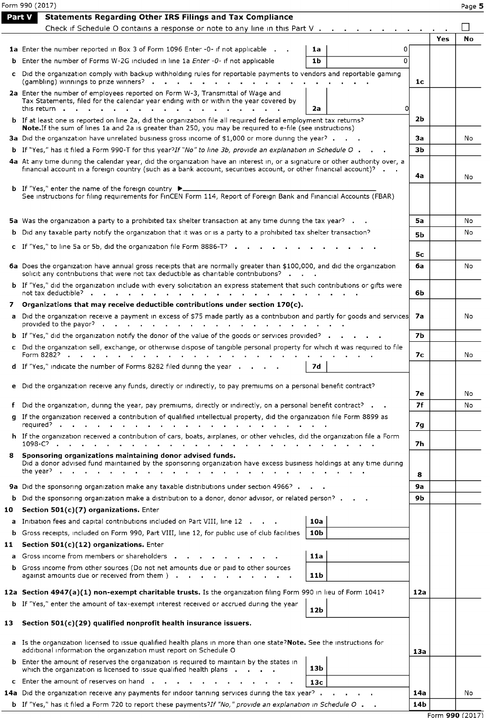|               | Form 990 (2017)                                                                                                                                                                                                                                                 |           |     | Page 5    |
|---------------|-----------------------------------------------------------------------------------------------------------------------------------------------------------------------------------------------------------------------------------------------------------------|-----------|-----|-----------|
| <b>Part V</b> | <b>Statements Regarding Other IRS Filings and Tax Compliance</b>                                                                                                                                                                                                |           |     |           |
|               | Check if Schedule O contains a response or note to any line in this Part $V \cdot \cdot \cdot$                                                                                                                                                                  |           |     |           |
|               |                                                                                                                                                                                                                                                                 |           | Yes | <b>No</b> |
|               | <b>1a</b> Enter the number reported in Box 3 of Form 1096 Enter -0- if not applicable .<br>1a<br>0                                                                                                                                                              |           |     |           |
|               | 1 <sub>b</sub><br><b>b</b> Enter the number of Forms W-2G included in line 1a <i>Enter -0-</i> if not applicable<br>O                                                                                                                                           |           |     |           |
|               | c Did the organization comply with backup withholding rules for reportable payments to vendors and reportable gaming                                                                                                                                            | 1c        |     |           |
|               | 2a Enter the number of employees reported on Form W-3, Transmittal of Wage and<br>Tax Statements, filed for the calendar year ending with or within the year covered by                                                                                         |           |     |           |
|               | this return<br>2a                                                                                                                                                                                                                                               | 2b        |     |           |
|               | <b>b</b> If at least one is reported on line 2a, did the organization file all required federal employment tax returns?<br>Note. If the sum of lines 1a and 2a is greater than 250, you may be required to e-file (see instructions)                            |           |     |           |
|               | 3a Did the organization have unrelated business gross income of \$1,000 or more during the year?                                                                                                                                                                | За        |     | No        |
|               | b If "Yes," has it filed a Form 990-T for this year?If "No" to line 3b, provide an explanation in Schedule O.                                                                                                                                                   | зь        |     |           |
|               | 4a At any time during the calendar year, did the organization have an interest in, or a signature or other authority over, a<br>financial account in a foreign country (such as a bank account, securities account, or other financial account)? $\blacksquare$ | 4a        |     | No        |
|               | <b>b</b> If "Yes," enter the name of the foreign country $\triangleright$                                                                                                                                                                                       |           |     |           |
|               | See instructions for filing requirements for FinCEN Form 114, Report of Foreign Bank and Financial Accounts (FBAR)                                                                                                                                              |           |     |           |
|               | 5a Was the organization a party to a prohibited tax shelter transaction at any time during the tax year?                                                                                                                                                        | 5a        |     | No        |
|               | <b>b</b> Did any taxable party notify the organization that it was or is a party to a prohibited tax shelter transaction?                                                                                                                                       | <b>5b</b> |     | No        |
|               | c If "Yes," to line 5a or 5b, did the organization file Form 8886-T?                                                                                                                                                                                            |           |     |           |
|               |                                                                                                                                                                                                                                                                 | 5с        |     |           |
|               | 6a Does the organization have annual gross receipts that are normally greater than \$100,000, and did the organization<br>solicit any contributions that were not tax deductible as charitable contributions?                                                   | 6a        |     | No        |
|               | <b>b</b> If "Yes," did the organization include with every solicitation an express statement that such contributions or gifts were<br>not tax deductible? .                                                                                                     | 6b        |     |           |
| 7             | Organizations that may receive deductible contributions under section 170(c).                                                                                                                                                                                   |           |     |           |
|               | a Did the organization receive a payment in excess of \$75 made partly as a contribution and partly for goods and services<br>provided to the payor? $\cdots$                                                                                                   | 7а        |     | No        |
|               | <b>b</b> If "Yes," did the organization notify the donor of the value of the goods or services provided?                                                                                                                                                        | <b>7b</b> |     |           |
|               | c Did the organization sell, exchange, or otherwise dispose of tangible personal property for which it was required to file<br>Form 8282?<br>$\sim$ $\sim$<br>$\sim$                                                                                            | 7с        |     | No        |
|               | 7d<br>d If "Yes," indicate the number of Forms 8282 filed during the year                                                                                                                                                                                       |           |     |           |
|               | e Did the organization receive any funds, directly or indirectly, to pay premiums on a personal benefit contract?                                                                                                                                               | 7е        |     | No        |
|               | f Did the organization, during the year, pay premiums, directly or indirectly, on a personal benefit contract? $\blacksquare$                                                                                                                                   | 7f        |     | No        |
|               | g If the organization received a contribution of qualified intellectual property, did the organization file Form 8899 as                                                                                                                                        |           |     |           |
|               | reguired?                                                                                                                                                                                                                                                       | 7g        |     |           |
|               | h If the organization received a contribution of cars, boats, airplanes, or other vehicles, did the organization file a Form<br>1098-C?                                                                                                                         | 7h        |     |           |
|               | 8 Sponsoring organizations maintaining donor advised funds.<br>Did a donor advised fund maintained by the sponsoring organization have excess business holdings at any time during<br>the year? $\blacksquare$                                                  | 8         |     |           |
|               | 9a Did the sponsoring organization make any taxable distributions under section 4966?.                                                                                                                                                                          | <b>9a</b> |     |           |
|               | <b>b</b> Did the sponsoring organization make a distribution to a donor, donor advisor, or related person? .                                                                                                                                                    | 9b        |     |           |
| 10            | Section 501(c)(7) organizations. Enter                                                                                                                                                                                                                          |           |     |           |
|               | a Initiation fees and capital contributions included on Part VIII, line 12<br>10a                                                                                                                                                                               |           |     |           |
|               | <b>b</b> Gross receipts, included on Form 990, Part VIII, line 12, for public use of club facilities<br>10 <sub>b</sub>                                                                                                                                         |           |     |           |
| 11            | Section 501(c)(12) organizations. Enter                                                                                                                                                                                                                         |           |     |           |
|               | a Gross income from members or shareholders<br>11a                                                                                                                                                                                                              |           |     |           |
|               | <b>b</b> Gross income from other sources (Do not net amounts due or paid to other sources<br>against amounts due or received from them ).<br>11b<br>$\mathbf{r}$ , $\mathbf{r}$ , $\mathbf{r}$ , $\mathbf{r}$ , $\mathbf{r}$                                    |           |     |           |
|               | 12a Section 4947(a)(1) non-exempt charitable trusts. Is the organization filing Form 990 in lieu of Form 1041?                                                                                                                                                  | 12a       |     |           |
|               | <b>b</b> If "Yes," enter the amount of tax-exempt interest received or accrued during the year<br>12b                                                                                                                                                           |           |     |           |
| 13            | Section 501(c)(29) qualified nonprofit health insurance issuers.                                                                                                                                                                                                |           |     |           |
|               | a Is the organization licensed to issue qualified health plans in more than one state?Note. See the instructions for<br>additional information the organization must report on Schedule O                                                                       | 13a       |     |           |
|               | <b>b</b> Enter the amount of reserves the organization is required to maintain by the states in<br>13b<br>which the organization is licensed to issue qualified health plans .                                                                                  |           |     |           |
|               | c Enter the amount of reserves on hand.<br>13с                                                                                                                                                                                                                  |           |     |           |
|               | 14a Did the organization receive any payments for indoor tanning services during the tax year?                                                                                                                                                                  | 14a       |     | No        |
|               | <b>b</b> If "Yes," has it filed a Form 720 to report these payments?If "No," provide an explanation in Schedule O .                                                                                                                                             | 14b       |     |           |

Form 990 (2017)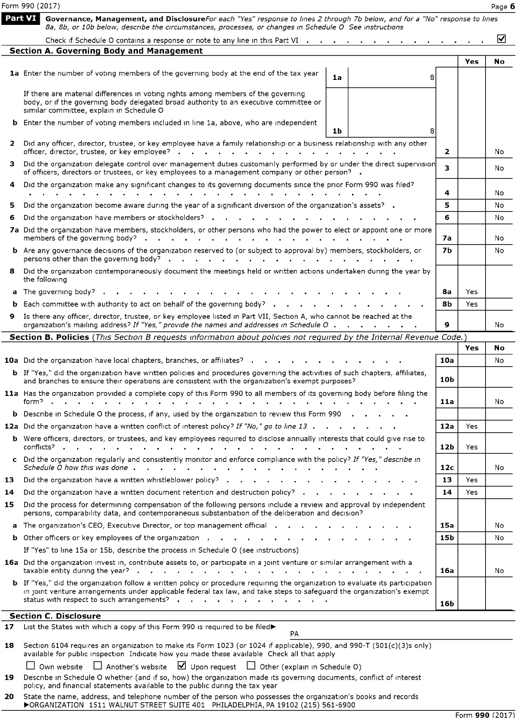|     | Form 990 (2017)                                                                                                                                                                                                                                                                                      |                |     | Page 6 |
|-----|------------------------------------------------------------------------------------------------------------------------------------------------------------------------------------------------------------------------------------------------------------------------------------------------------|----------------|-----|--------|
|     | Part VI<br>Governance, Management, and DisclosureFor each "Yes" response to lines 2 through 7b below, and for a "No" response to lines<br>8a, 8b, or 10b below, describe the circumstances, processes, or changes in Schedule O See instructions                                                     |                |     |        |
|     | Check if Schedule O contains a response or note to any line in this Part VI $\cdots$ , $\cdots$ , $\cdots$ , $\cdots$                                                                                                                                                                                |                |     | ☑      |
|     | <b>Section A. Governing Body and Management</b>                                                                                                                                                                                                                                                      |                |     |        |
|     | 1a Enter the number of voting members of the governing body at the end of the tax year<br>1a<br>8                                                                                                                                                                                                    |                | Yes | No     |
|     | If there are material differences in voting rights among members of the governing<br>body, or if the governing body delegated broad authority to an executive committee or<br>similar committee, explain in Schedule O                                                                               |                |     |        |
|     | <b>b</b> Enter the number of voting members included in line 1a, above, who are independent<br>1 <sub>b</sub>                                                                                                                                                                                        |                |     |        |
| 2   | Did any officer, director, trustee, or key employee have a family relationship or a business relationship with any other<br>officer, director, trustee, or key employee? $\cdot \cdot \cdot \cdot \cdot \cdot \cdot$                                                                                 | $\mathbf{2}$   |     | No     |
|     | Did the organization delegate control over management duties customarily performed by or under the direct supervision<br>of officers, directors or trustees, or key employees to a management company or other person? .                                                                             | 3.             |     | No     |
| 4   | Did the organization make any significant changes to its governing documents since the prior Form 990 was filed?                                                                                                                                                                                     | 4              |     | No     |
| 5   | Did the organization become aware during the year of a significant diversion of the organization's assets? .                                                                                                                                                                                         | 5              |     | No     |
| 6   | Did the organization have members or stockholders? .                                                                                                                                                                                                                                                 | 6              |     | No     |
|     | 7a Did the organization have members, stockholders, or other persons who had the power to elect or appoint one or more                                                                                                                                                                               |                |     |        |
|     | members of the governing body?                                                                                                                                                                                                                                                                       | 7а             |     | No     |
|     | <b>b</b> Are any governance decisions of the organization reserved to (or subject to approval by) members, stockholders, or<br>persons other than the governing body? $\cdots$ $\cdots$ $\cdots$ $\cdots$ $\cdots$ $\cdots$ $\cdots$ $\cdots$ $\cdots$                                               | 7 <sub>b</sub> |     | No     |
| 8   | Did the organization contemporaneously document the meetings held or written actions undertaken during the year by<br>the following                                                                                                                                                                  |                |     |        |
|     | a The governing body?                                                                                                                                                                                                                                                                                | 8а             | Yes |        |
|     | <b>b</b> Each committee with authority to act on behalf of the governing body? $\cdot \cdot \cdot \cdot$ $\cdot \cdot \cdot$                                                                                                                                                                         | 8Ь             | Yes |        |
| 9.  | Is there any officer, director, trustee, or key employee listed in Part VII, Section A, who cannot be reached at the<br>organization's mailing address? If "Yes," provide the names and addresses in Schedule O                                                                                      | 9              |     | No     |
|     | Section B. Policies (This Section B requests information about policies not required by the Internal Revenue Code.)                                                                                                                                                                                  |                |     |        |
|     |                                                                                                                                                                                                                                                                                                      |                | Yes | No     |
|     | <b>10a</b> Did the organization have local chapters, branches, or affiliates?                                                                                                                                                                                                                        | 10a            |     | No     |
|     | <b>b</b> If "Yes," did the organization have written policies and procedures governing the activities of such chapters, affiliates,<br>and branches to ensure their operations are consistent with the organization's exempt purposes?                                                               | 10b            |     |        |
|     | 11a Has the organization provided a complete copy of this Form 990 to all members of its governing body before filing the<br>form?                                                                                                                                                                   | 11a            |     | No     |
|     | <b>b</b> Describe in Schedule O the process, if any, used by the organization to review this Form 990                                                                                                                                                                                                |                |     |        |
|     | 12a Did the organization have a written conflict of interest policy? If "No," go to line 13                                                                                                                                                                                                          | 12a            | Yes |        |
|     | <b>b</b> Were officers, directors, or trustees, and key emplovees required to disclose annually interests that could give rise to<br>conflicts?.                                                                                                                                                     | 12b            | Yes |        |
|     | c Did the organization regularly and consistently monitor and enforce compliance with the policy? If "Yes," describe in                                                                                                                                                                              | 12c            |     | No     |
| 13. | Did the organization have a written whistleblower policy?                                                                                                                                                                                                                                            | 13             | Yes |        |
| 14  | Did the organization have a written document retention and destruction policy? $\cdots$ $\cdots$ $\cdots$                                                                                                                                                                                            | 14             | Yes |        |
| 15. | Did the process for determining compensation of the following persons include a review and approval by independent<br>persons, comparability data, and contemporaneous substantiation of the deliberation and decision?                                                                              |                |     |        |
|     | a The organization's CEO, Executive Director, or top management official                                                                                                                                                                                                                             | 15a            |     | No     |
|     |                                                                                                                                                                                                                                                                                                      | 15b            |     | No     |
|     | If "Yes" to line 15a or 15b, describe the process in Schedule O (see instructions)                                                                                                                                                                                                                   |                |     |        |
|     | 16a Did the organization invest in, contribute assets to, or participate in a joint venture or similar arrangement with a<br><b>Contract Contract</b>                                                                                                                                                | 16a            |     | No     |
|     | b If "Yes," did the organization follow a written policy or procedure requiring the organization to evaluate its participation<br>in joint venture arrangements under applicable federal tax law, and take steps to safeguard the organization's exempt<br>status with respect to such arrangements? | 16b            |     |        |
|     | <b>Section C. Disclosure</b>                                                                                                                                                                                                                                                                         |                |     |        |
| 17  | List the States with which a copy of this Form 990 is required to be filed><br>PA                                                                                                                                                                                                                    |                |     |        |
| 18  | Section 6104 requires an organization to make its Form 1023 (or 1024 if applicable), 990, and 990-T (501(c)(3)s only)<br>available for public inspection Indicate how you made these available Check all that apply                                                                                  |                |     |        |
|     | Own website □ Another's website ■ Upon request □ Other (explain in Schedule O)                                                                                                                                                                                                                       |                |     |        |
| 19  | Describe in Schedule O whether (and if so, how) the organization made its governing documents, conflict of interest<br>policy, and financial statements available to the public during the tax year                                                                                                  |                |     |        |

**20** State the name, address, and telephone number of the person who possesses the organization's books and records 1511 WALNUT STREET SUITE 401 PHILADELPHIA, PA 19102 (215) 561-6900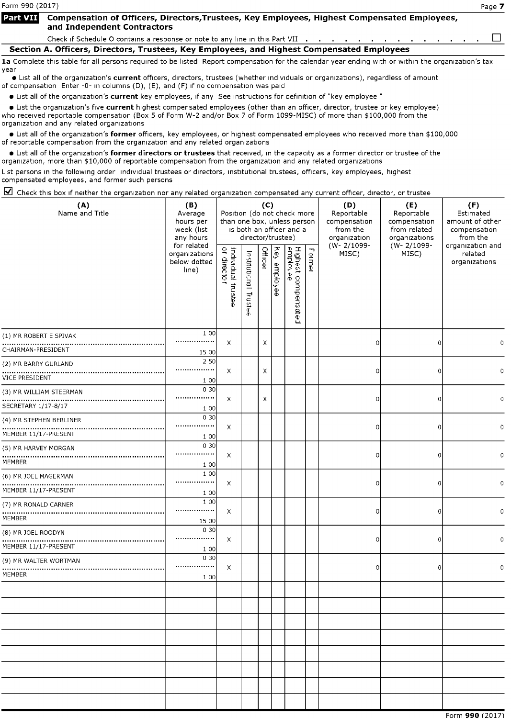Form 990 (2017) Page 7

#### **Part VII** Compensation of Officers, Directors, Trustees, Key Employees, Highest Compensated Employees, and Independent Contractors

Check if Schedule O contains a response or note to any line in this Part VII  $\ldots$ , . . . . . . . . . .  $\Box$ 

Section A. Officers, Directors, Trustees, Key Employees, and Highest Compensated Employees

1a Complete this table for all persons required to be listed Report compensation for the calendar year ending with or within the organization's tax year

· List all of the organization's current officers, directors, trustees (whether individuals or organizations), regardless of amount of compensation Enter -0- in columns (D), (E), and (F) if no compensation was paid

• List all of the organization's current key employees, if any See instructions for definition of "key employee "

• List the organization's five current highest compensated employees (other than an officer, director, trustee or key employee) who received reportable compensation (Box <sup>5</sup> of Form W-2 and/or Box <sup>7</sup> of Form 1099-MISC) of more than \$100,000 from the organization and any related organizations

• List all of the organization's former officers, key employees, or highest compensated employees who received more than \$100,000 of reportable compensation from the organization and any related organizations

• List all of the organization's former directors or trustees that received, in the capacity as a former director or trustee of the organization, more than \$10,000 of reportable compensation from the organization and any related organizations

List persons in the following order individual trustees or directors, institutional trustees, officers, key employees, highest compensated employees, and former such persons

 $\boxtimes$  Check this box if neither the organization nor any related organization compensated any current officer, director, or trustee

| (A)<br>Name and Title                           | (B)<br>Average<br>hours per<br>week (list<br>any hours | Position (do not check more<br>than one box, unless person | director/trustee)           | (C)            |              | is both an officer and a        |        | (D)<br>Reportable<br>compensation<br>from the<br>organization | (E)<br>Reportable<br>compensation<br>from related<br>organizations | (F)<br>Estimated<br>amount of other<br>compensation<br>from the |  |
|-------------------------------------------------|--------------------------------------------------------|------------------------------------------------------------|-----------------------------|----------------|--------------|---------------------------------|--------|---------------------------------------------------------------|--------------------------------------------------------------------|-----------------------------------------------------------------|--|
|                                                 | for related<br>organizations<br>below dotted<br>line)  | Individual trustee<br>or director                          | Institutional<br>hust<br>Ŧ. | <b>Officer</b> | Key employee | Highest compensated<br>emplovee | Former | (W-2/1099-<br>MISC)                                           | (W-2/1099-<br>MISC)                                                | organization and<br>related<br>organizations                    |  |
| (1) MR ROBERT E SPIVAK<br>CHAIRMAN-PRESIDENT    | 1 0 0<br><br>15 00                                     | X                                                          |                             | Χ              |              |                                 |        | 0                                                             | 0                                                                  |                                                                 |  |
| (2) MR BARRY GURLAND<br><b>VICE PRESIDENT</b>   | 2 50<br><br>1 0 0                                      | X                                                          |                             | х              |              |                                 |        | $\circ$                                                       | 0                                                                  | 0                                                               |  |
| (3) MR WILLIAM STEERMAN<br>SECRETARY 1/17-8/17  | 0 30<br><br>1 0 0                                      | X                                                          |                             | Х              |              |                                 |        | $\Omega$                                                      | 0                                                                  | 0                                                               |  |
| (4) MR STEPHEN BERLINER<br>MEMBER 11/17-PRESENT | 0 30<br><br>1 0 0                                      | X                                                          |                             |                |              |                                 |        | $\circ$                                                       | 0                                                                  | 0                                                               |  |
| (5) MR HARVEY MORGAN<br>MEMBER                  | 0 30<br><br>1 0 0                                      | X                                                          |                             |                |              |                                 |        | $\circ$                                                       | 0                                                                  | 0                                                               |  |
| (6) MR JOEL MAGERMAN<br>MEMBER 11/17-PRESENT    | 1 0 0<br><br>1 0 0                                     | X                                                          |                             |                |              |                                 |        | 0                                                             | 0                                                                  | $\mathbf 0$                                                     |  |
| (7) MR RONALD CARNER<br>MEMBER                  | 1 0 0<br><br>15 00                                     | X                                                          |                             |                |              |                                 |        | 0                                                             | 0                                                                  | 0                                                               |  |
| (8) MR JOEL ROODYN<br>MEMBER 11/17-PRESENT      | 0 30<br><br>1 0 0                                      | X                                                          |                             |                |              |                                 |        | 0                                                             | $\Omega$                                                           | $\mathbf 0$                                                     |  |
| (9) MR WALTER WORTMAN<br>MEMBER                 | 0 30<br><br>1 0 0                                      | X                                                          |                             |                |              |                                 |        | 0                                                             | $\Omega$                                                           | n                                                               |  |
|                                                 |                                                        |                                                            |                             |                |              |                                 |        |                                                               |                                                                    |                                                                 |  |
|                                                 |                                                        |                                                            |                             |                |              |                                 |        |                                                               |                                                                    |                                                                 |  |
|                                                 |                                                        |                                                            |                             |                |              |                                 |        |                                                               |                                                                    |                                                                 |  |
|                                                 |                                                        |                                                            |                             |                |              |                                 |        |                                                               |                                                                    |                                                                 |  |
|                                                 |                                                        |                                                            |                             |                |              |                                 |        |                                                               |                                                                    | Form 990 (2017)                                                 |  |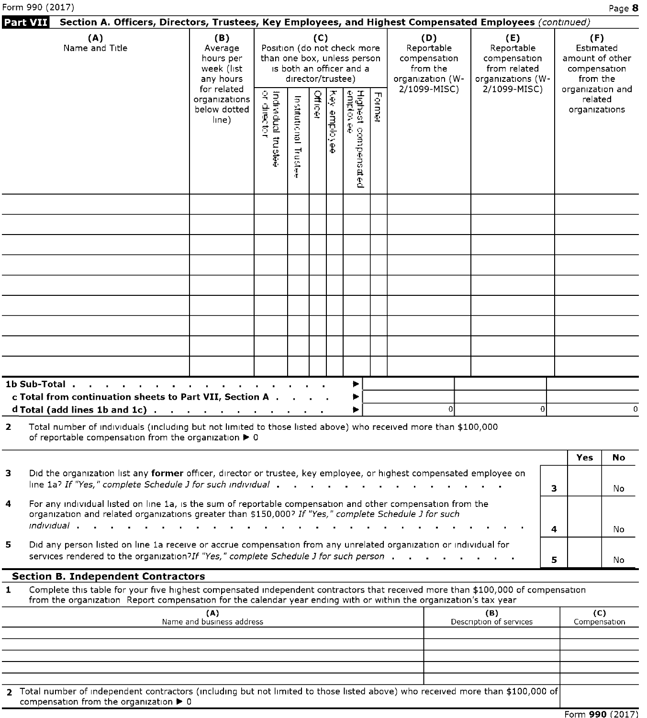|    | Form 990 (2017)                                                                                                                                                                                                                                                          |                                                        |                                                                                                                                                                                                         |                         |                      |                     |                                 |        |                                                                        |                                |                                                                 |                                              | Page 8           |
|----|--------------------------------------------------------------------------------------------------------------------------------------------------------------------------------------------------------------------------------------------------------------------------|--------------------------------------------------------|---------------------------------------------------------------------------------------------------------------------------------------------------------------------------------------------------------|-------------------------|----------------------|---------------------|---------------------------------|--------|------------------------------------------------------------------------|--------------------------------|-----------------------------------------------------------------|----------------------------------------------|------------------|
|    | Section A. Officers, Directors, Trustees, Key Employees, and Highest Compensated Employees (continued)<br>Part VII                                                                                                                                                       |                                                        |                                                                                                                                                                                                         |                         |                      |                     |                                 |        |                                                                        |                                |                                                                 |                                              |                  |
|    | (A)<br>Name and Title                                                                                                                                                                                                                                                    | (B)<br>Average<br>hours per<br>week (list<br>any hours | (C)<br>(D)<br>Position (do not check more<br>Reportable<br>than one box, unless person<br>compensation<br>is both an officer and a<br>from the<br>director/trustee)<br>organization (W-<br>2/1099-MISC) |                         |                      |                     |                                 |        | (E)<br>Reportable<br>compensation<br>from related<br>organizations (W- |                                | (F)<br>Estimated<br>amount of other<br>compensation<br>from the |                                              |                  |
|    |                                                                                                                                                                                                                                                                          | for related<br>organizations<br>below dotted<br>line)  | Individual trustee<br>or director                                                                                                                                                                       | Institutional<br>Truste | Officer              | <b>Key employee</b> | Highest compensated<br>emplovee | Former |                                                                        | 2/1099-MISC)                   |                                                                 | organization and<br>related<br>organizations |                  |
|    |                                                                                                                                                                                                                                                                          |                                                        |                                                                                                                                                                                                         |                         |                      |                     |                                 |        |                                                                        |                                |                                                                 |                                              |                  |
|    |                                                                                                                                                                                                                                                                          |                                                        |                                                                                                                                                                                                         |                         |                      |                     |                                 |        |                                                                        |                                |                                                                 |                                              |                  |
|    |                                                                                                                                                                                                                                                                          |                                                        |                                                                                                                                                                                                         |                         |                      |                     |                                 |        |                                                                        |                                |                                                                 |                                              |                  |
|    |                                                                                                                                                                                                                                                                          |                                                        |                                                                                                                                                                                                         |                         |                      |                     |                                 |        |                                                                        |                                |                                                                 |                                              |                  |
|    | 1b Sub-Total<br>c Total from continuation sheets to Part VII, Section A.<br>d Total (add lines 1b and 1c) $\ldots$ $\ldots$ $\ldots$ $\ldots$ $\ldots$ $\ldots$                                                                                                          |                                                        |                                                                                                                                                                                                         |                         |                      |                     | ▶<br>▶<br>▶                     |        | 0                                                                      |                                | οI                                                              |                                              | $\Omega$         |
| 2  | Total number of individuals (including but not limited to those listed above) who received more than \$100,000<br>of reportable compensation from the organization > 0                                                                                                   |                                                        |                                                                                                                                                                                                         |                         |                      |                     |                                 |        |                                                                        |                                |                                                                 |                                              |                  |
| 3  | Did the organization list any former officer, director or trustee, key employee, or highest compensated employee on<br>line 1a? If "Yes," complete Schedule J for such individual .                                                                                      |                                                        |                                                                                                                                                                                                         |                         | $\sim$ $\sim$ $\sim$ |                     |                                 |        |                                                                        |                                | 3                                                               | Yes                                          | <b>No</b><br>No. |
| 4  | For any individual listed on line 1a, is the sum of reportable compensation and other compensation from the<br>organization and related organizations greater than \$150,000? If "Yes," complete Schedule J for such<br><i>individual</i> .<br><b>Contract</b><br>$\sim$ |                                                        |                                                                                                                                                                                                         |                         |                      |                     |                                 |        |                                                                        |                                | 4                                                               |                                              | No               |
| 5. | Did any person listed on line 1a receive or accrue compensation from any unrelated organization or individual for<br>services rendered to the organization?If "Yes," complete Schedule J for such person.                                                                |                                                        |                                                                                                                                                                                                         |                         |                      |                     |                                 |        |                                                                        |                                | 5                                                               |                                              | No               |
| 1  | <b>Section B. Independent Contractors</b><br>Complete this table for your five highest compensated independent contractors that received more than \$100,000 of compensation                                                                                             |                                                        |                                                                                                                                                                                                         |                         |                      |                     |                                 |        |                                                                        |                                |                                                                 |                                              |                  |
|    | from the organization Report compensation for the calendar year ending with or within the organization's tax year                                                                                                                                                        | (A)<br>Name and business address                       |                                                                                                                                                                                                         |                         |                      |                     |                                 |        |                                                                        | (B)<br>Description of services |                                                                 | (C)<br>Compensation                          |                  |
|    |                                                                                                                                                                                                                                                                          |                                                        |                                                                                                                                                                                                         |                         |                      |                     |                                 |        |                                                                        |                                |                                                                 |                                              |                  |

2 Total number of independent contractors (including but not limited to those listed above) who received more than \$100,000 of  $\mathop{\mathsf{compensation}}\mathop{\mathsf{from}}$  the organization  $\blacktriangleright$  0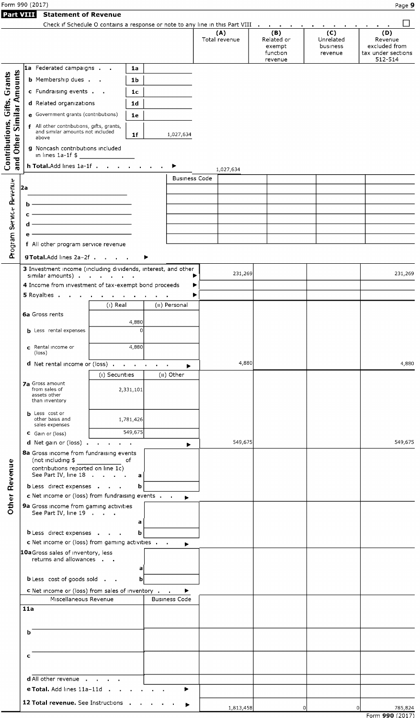| Form 990 (2017) | Page |
|-----------------|------|
|                 |      |

| <b>ानः VIIII Statement of Revenue</b> |  |
|---------------------------------------|--|

|--|--|

|                              |                                                                                      |                                                |                |                                |                      | Check if Schedule O contains a response or note to any line in this Part VIII | $\sim 10^{-1}$<br>$\sim$<br>$\sim$ 10 $\pm$ |                                                       |
|------------------------------|--------------------------------------------------------------------------------------|------------------------------------------------|----------------|--------------------------------|----------------------|-------------------------------------------------------------------------------|---------------------------------------------|-------------------------------------------------------|
|                              |                                                                                      |                                                |                |                                | (A)<br>Total revenue | (B)<br>Related or<br>exempt<br>function                                       | (C)<br>Unrelated<br>business<br>revenue     | (D)<br>Revenue<br>excluded from<br>tax under sections |
|                              | 1a Federated campaigns                                                               |                                                | 1a             |                                |                      | revenue                                                                       |                                             | 512-514                                               |
|                              | <b>b</b> Membership dues                                                             |                                                | 1b             |                                |                      |                                                                               |                                             |                                                       |
| and Other Similar Amounts    |                                                                                      |                                                |                |                                |                      |                                                                               |                                             |                                                       |
|                              | c Fundraising events                                                                 |                                                | 1 <sub>c</sub> |                                |                      |                                                                               |                                             |                                                       |
|                              | d Related organizations                                                              |                                                | 1 <sub>d</sub> |                                |                      |                                                                               |                                             |                                                       |
|                              | e Government grants (contributions)                                                  |                                                | 1e             |                                |                      |                                                                               |                                             |                                                       |
|                              | f All other contributions, gifts, grants,<br>and similar amounts not included        |                                                |                |                                |                      |                                                                               |                                             |                                                       |
|                              | above                                                                                |                                                | 1f             | 1,027,634                      |                      |                                                                               |                                             |                                                       |
|                              | g Noncash contributions included                                                     |                                                |                |                                |                      |                                                                               |                                             |                                                       |
| Contributions, Gifts, Grants | $\ln$ lines 1a-1f \$                                                                 |                                                |                |                                |                      |                                                                               |                                             |                                                       |
|                              | h Total. Add lines 1a-1f                                                             |                                                |                |                                | 1,027,634            |                                                                               |                                             |                                                       |
|                              |                                                                                      |                                                |                | <b>Business Code</b>           |                      |                                                                               |                                             |                                                       |
|                              | l2a                                                                                  |                                                |                |                                |                      |                                                                               |                                             |                                                       |
|                              | b                                                                                    |                                                |                |                                |                      |                                                                               |                                             |                                                       |
| Service Revenue              |                                                                                      | <u> 1989 - Johann Stoff, Amerikaansk konst</u> |                |                                |                      |                                                                               |                                             |                                                       |
|                              | d                                                                                    | <u> 1989 - Johann Barbara, martxa al</u>       |                |                                |                      |                                                                               |                                             |                                                       |
|                              | е                                                                                    | <u> 1980 - Johann Barn, mars ann an t-</u>     |                |                                |                      |                                                                               |                                             |                                                       |
| Program                      | f All other program service revenue                                                  |                                                |                |                                |                      |                                                                               |                                             |                                                       |
|                              | g Total.Add lines 2a-2f                                                              |                                                |                |                                |                      |                                                                               |                                             |                                                       |
|                              | 3 Investment income (including dividends, interest, and other                        |                                                |                |                                |                      |                                                                               |                                             |                                                       |
|                              | similar amounts)                                                                     |                                                |                | ▶                              | 231,269              |                                                                               |                                             | 231,269                                               |
|                              | 4 Income from investment of tax-exempt bond proceeds                                 |                                                |                | ▶                              |                      |                                                                               |                                             |                                                       |
|                              | 5 Royalties                                                                          |                                                |                | ▶<br>$\sim 10^{-10}$ m $^{-1}$ |                      |                                                                               |                                             |                                                       |
|                              | 6a Gross rents                                                                       | $(i)$ Real                                     |                | (II) Personal                  |                      |                                                                               |                                             |                                                       |
|                              |                                                                                      |                                                | 4,880          |                                |                      |                                                                               |                                             |                                                       |
|                              | <b>b</b> Less rental expenses                                                        |                                                | O              |                                |                      |                                                                               |                                             |                                                       |
|                              |                                                                                      |                                                |                |                                |                      |                                                                               |                                             |                                                       |
|                              | c Rental income or<br>(loss)                                                         |                                                | 4,880          |                                |                      |                                                                               |                                             |                                                       |
|                              | <b>d</b> Net rental income or (loss)                                                 |                                                |                | $\sim$ 10<br>▶                 | 4,880                |                                                                               |                                             | 4,880                                                 |
|                              |                                                                                      | (i) Securities                                 |                | (ii) Other                     |                      |                                                                               |                                             |                                                       |
|                              | 7a Gross amount<br>from sales of                                                     |                                                |                |                                |                      |                                                                               |                                             |                                                       |
|                              | assets other                                                                         | 2,331,101                                      |                |                                |                      |                                                                               |                                             |                                                       |
|                              | than inventory                                                                       |                                                |                |                                |                      |                                                                               |                                             |                                                       |
|                              | <b>b</b> Less cost or<br>other basis and                                             | 1,781,426                                      |                |                                |                      |                                                                               |                                             |                                                       |
|                              | sales expenses                                                                       |                                                | 549,675        |                                |                      |                                                                               |                                             |                                                       |
|                              | C Gain or (loss)<br>d Net gain or (loss).                                            | <b>Contract Contract</b>                       |                |                                | 549,675              |                                                                               |                                             | 549,675                                               |
|                              | 8a Gross income from fundraising events                                              |                                                |                | ▶                              |                      |                                                                               |                                             |                                                       |
|                              | (not including \$                                                                    | оf                                             |                |                                |                      |                                                                               |                                             |                                                       |
|                              | contributions reported on line 1c)<br>See Part IV, line 18                           |                                                | a              |                                |                      |                                                                               |                                             |                                                       |
|                              | <b>b</b> Less direct expenses                                                        |                                                | b              |                                |                      |                                                                               |                                             |                                                       |
|                              | c Net income or (loss) from fundraising events                                       |                                                |                | ▶                              |                      |                                                                               |                                             |                                                       |
| Other Revenue                | <b>9a</b> Gross income from gaming activities                                        |                                                |                |                                |                      |                                                                               |                                             |                                                       |
|                              | See Part IV, line 19                                                                 |                                                |                |                                |                      |                                                                               |                                             |                                                       |
|                              |                                                                                      |                                                | a              |                                |                      |                                                                               |                                             |                                                       |
|                              | <b>b</b> Less direct expenses                                                        |                                                | b              |                                |                      |                                                                               |                                             |                                                       |
|                              | c Net income or (loss) from gaming activities .<br>10aGross sales of inventory, less |                                                |                | ▶                              |                      |                                                                               |                                             |                                                       |
|                              | returns and allowances                                                               |                                                |                |                                |                      |                                                                               |                                             |                                                       |
|                              |                                                                                      |                                                | a              |                                |                      |                                                                               |                                             |                                                       |
|                              | <b>b</b> Less cost of goods sold                                                     |                                                | b              |                                |                      |                                                                               |                                             |                                                       |
|                              | <b>c</b> Net income or (loss) from sales of inventory                                |                                                |                | ▶                              |                      |                                                                               |                                             |                                                       |
|                              | Miscellaneous Revenue                                                                |                                                |                | <b>Business Code</b>           |                      |                                                                               |                                             |                                                       |
|                              | 11a                                                                                  |                                                |                |                                |                      |                                                                               |                                             |                                                       |
|                              |                                                                                      |                                                |                |                                |                      |                                                                               |                                             |                                                       |
|                              | b                                                                                    |                                                |                |                                |                      |                                                                               |                                             |                                                       |
|                              |                                                                                      |                                                |                |                                |                      |                                                                               |                                             |                                                       |
|                              | c                                                                                    |                                                |                |                                |                      |                                                                               |                                             |                                                       |
|                              |                                                                                      |                                                |                |                                |                      |                                                                               |                                             |                                                       |
|                              | d All other revenue .                                                                | $\sim$                                         |                |                                |                      |                                                                               |                                             |                                                       |
|                              | e Total. Add lines 11a-11d .                                                         |                                                |                | ▶                              |                      |                                                                               |                                             |                                                       |
|                              | 12 Total revenue. See Instructions .                                                 |                                                |                |                                |                      |                                                                               |                                             |                                                       |
|                              |                                                                                      |                                                |                |                                | 1,813,458            |                                                                               | $\Omega$                                    | $\Omega$<br>785,824<br>Form 990 (2017)                |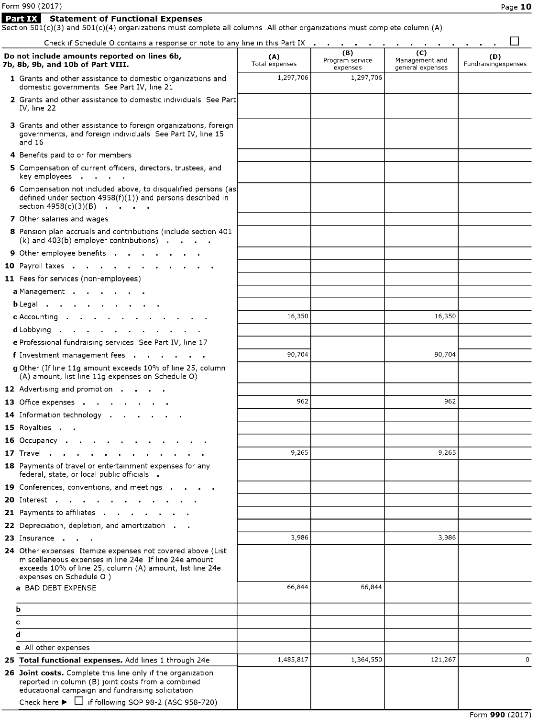#### Statement of Functional Expenses

Section 501(c)(3) and 501(c)(4) organizations must complete all columns All other organizations must complete column (A)

Check if Schedule O contains a response or note to any line in this Part IX quantity of  $\Box$ 

| Check if Scriedule O contains a response or note to any line in this Part IX.                                                                                                                               |                       | <b>Contract</b>                    | $\sim$                                    | $\sim$                     |
|-------------------------------------------------------------------------------------------------------------------------------------------------------------------------------------------------------------|-----------------------|------------------------------------|-------------------------------------------|----------------------------|
| Do not include amounts reported on lines 6b,<br>7b, 8b, 9b, and 10b of Part VIII.                                                                                                                           | (A)<br>Total expenses | (B)<br>Program service<br>expenses | (C)<br>Management and<br>general expenses | (D)<br>Fundraisingexpenses |
| 1 Grants and other assistance to domestic organizations and<br>domestic governments See Part IV, line 21                                                                                                    | 1,297,706             | 1,297,706                          |                                           |                            |
| 2 Grants and other assistance to domestic individuals See Part<br>IV. line 22                                                                                                                               |                       |                                    |                                           |                            |
| 3 Grants and other assistance to foreign organizations, foreign<br>governments, and foreign individuals See Part IV, line 15<br>and $16$                                                                    |                       |                                    |                                           |                            |
| 4 Benefits paid to or for members                                                                                                                                                                           |                       |                                    |                                           |                            |
| 5 Compensation of current officers, directors, trustees, and<br>key employees                                                                                                                               |                       |                                    |                                           |                            |
| 6 Compensation not included above, to disqualified persons (as<br>defined under section $4958(f)(1)$ ) and persons described in<br>section $4958(c)(3)(B)$                                                  |                       |                                    |                                           |                            |
| 7 Other salaries and wages                                                                                                                                                                                  |                       |                                    |                                           |                            |
| 8 Pension plan accruals and contributions (include section 401<br>$(k)$ and 403(b) employer contributions) $\blacksquare$                                                                                   |                       |                                    |                                           |                            |
| 9 Other employee benefits                                                                                                                                                                                   |                       |                                    |                                           |                            |
| 10 Payroll taxes                                                                                                                                                                                            |                       |                                    |                                           |                            |
| 11 Fees for services (non-employees)                                                                                                                                                                        |                       |                                    |                                           |                            |
| a Management                                                                                                                                                                                                |                       |                                    |                                           |                            |
| bLegal                                                                                                                                                                                                      |                       |                                    |                                           |                            |
| $c$ Accounting $\cdots$ $\cdots$ $\cdots$                                                                                                                                                                   | 16,350                |                                    | 16,350                                    |                            |
| d Lobbying                                                                                                                                                                                                  |                       |                                    |                                           |                            |
| e Professional fundraising services See Part IV, line 17                                                                                                                                                    |                       |                                    |                                           |                            |
| f Investment management fees                                                                                                                                                                                | 90,704                |                                    | 90,704                                    |                            |
| g Other (If line 11g amount exceeds 10% of line 25, column<br>(A) amount, list line 11g expenses on Schedule O)                                                                                             |                       |                                    |                                           |                            |
| 12 Advertising and promotion                                                                                                                                                                                |                       |                                    |                                           |                            |
| 13 Office expenses and a control of the set of the set of the set of the set of the set of the set of the set o                                                                                             | 962                   |                                    | 962                                       |                            |
| 14 Information technology                                                                                                                                                                                   |                       |                                    |                                           |                            |
| 15 Royalties                                                                                                                                                                                                |                       |                                    |                                           |                            |
| 16 Occupancy                                                                                                                                                                                                |                       |                                    |                                           |                            |
| <b>17</b> Trave                                                                                                                                                                                             | 9,265                 |                                    | 9,265                                     |                            |
| 18 Payments of travel or entertainment expenses for any<br>federal, state, or local public officials                                                                                                        |                       |                                    |                                           |                            |
| 19 Conferences, conventions, and meetings                                                                                                                                                                   |                       |                                    |                                           |                            |
| 20 Interest<br>$\sim$                                                                                                                                                                                       |                       |                                    |                                           |                            |
| 21 Payments to affiliates                                                                                                                                                                                   |                       |                                    |                                           |                            |
| 22 Depreciation, depletion, and amortization.                                                                                                                                                               |                       |                                    |                                           |                            |
| 23 Insurance                                                                                                                                                                                                | 3,986                 |                                    | 3,986                                     |                            |
| 24 Other expenses Itemize expenses not covered above (List<br>miscellaneous expenses in line 24e If line 24e amount<br>exceeds 10% of line 25, column (A) amount, list line 24e<br>expenses on Schedule O ) |                       |                                    |                                           |                            |
| a BAD DEBT EXPENSE                                                                                                                                                                                          | 66,844                | 66,844                             |                                           |                            |
| b                                                                                                                                                                                                           |                       |                                    |                                           |                            |
| c                                                                                                                                                                                                           |                       |                                    |                                           |                            |
| d                                                                                                                                                                                                           |                       |                                    |                                           |                            |
| e All other expenses                                                                                                                                                                                        |                       |                                    |                                           |                            |
| 25 Total functional expenses. Add lines 1 through 24e                                                                                                                                                       | 1,485,817             | 1,364,550                          | 121,267                                   | 0                          |
| 26 Joint costs. Complete this line only if the organization<br>reported in column (B) joint costs from a combined<br>educational campaign and fundraising solicitation                                      |                       |                                    |                                           |                            |
| Check here $\blacktriangleright$ $\Box$ if following SOP 98-2 (ASC 958-720)                                                                                                                                 |                       |                                    |                                           |                            |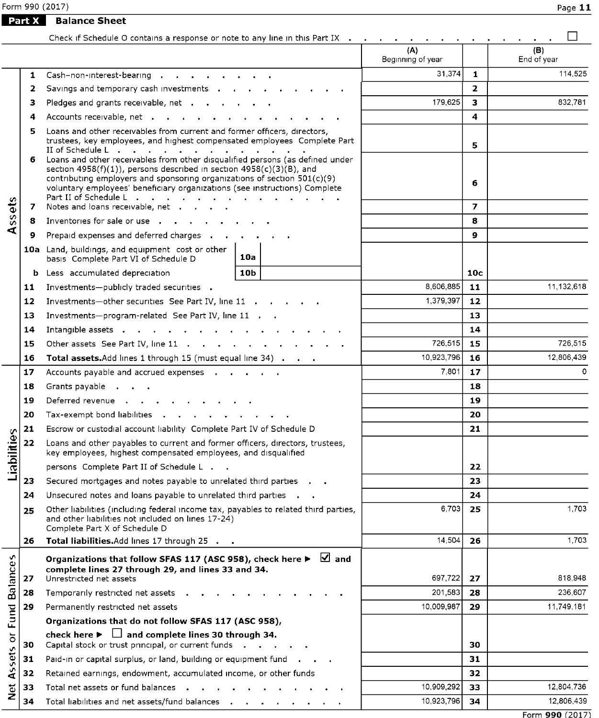Form 990 (2017)

**Part X** Balance Sheet

|                    |         | Check if Schedule O contains a response or note to any line in this Part IX                                                                                                                                                                                    |           |                          |                |                    |
|--------------------|---------|----------------------------------------------------------------------------------------------------------------------------------------------------------------------------------------------------------------------------------------------------------------|-----------|--------------------------|----------------|--------------------|
|                    |         |                                                                                                                                                                                                                                                                |           | (A)<br>Beginning of year |                | (B)<br>End of year |
|                    | 1       | Cash-non-interest-bearing                                                                                                                                                                                                                                      |           | 31,374                   | $\mathbf{1}$   | 114,525            |
|                    | 2       | Savings and temporary cash investments                                                                                                                                                                                                                         |           |                          | $\overline{2}$ |                    |
|                    | з       | Pledges and grants receivable, net                                                                                                                                                                                                                             |           | 179,625                  | 3              | 832,781            |
|                    | 4       | Accounts receivable, net                                                                                                                                                                                                                                       |           | 4                        |                |                    |
|                    | 5<br>6. | Loans and other receivables from current and former officers, directors,<br>trustees, key employees, and highest compensated employees Complete Part<br>Loans and other receivables from other disqualified persons (as defined under                          |           | 5                        |                |                    |
|                    |         | section $4958(f)(1)$ , persons described in section $4958(c)(3)(B)$ , and<br>contributing employers and sponsoring organizations of section $501(c)(9)$<br>voluntary employees' beneficiary organizations (see instructions) Complete<br>Part II of Schedule L |           |                          | 6              |                    |
| Assets             | 7       | Notes and loans receivable, net                                                                                                                                                                                                                                |           |                          | $\overline{ }$ |                    |
|                    | 8       | Inventories for sale or use the contract of the contract of the contract of the contract of the contract of the                                                                                                                                                |           |                          | 8              |                    |
|                    | 9.      | Prepaid expenses and deferred charges                                                                                                                                                                                                                          |           |                          | 9              |                    |
|                    |         | 10a Land, buildings, and equipment cost or other<br>basis Complete Part VI of Schedule D                                                                                                                                                                       | 10a       |                          |                |                    |
|                    |         | <b>b</b> Less accumulated depreciation                                                                                                                                                                                                                         |           | 10c                      |                |                    |
|                    | 11      | Investments-publicly traded securities .                                                                                                                                                                                                                       | 8,606,885 | 11                       | 11,132,618     |                    |
|                    | 12      | Investments-other securities See Part IV, line 11                                                                                                                                                                                                              | 1,379,397 | $12 \overline{ }$        |                |                    |
|                    | 13      | Investments-program-related See Part IV, line 11                                                                                                                                                                                                               |           | 13                       |                |                    |
|                    | 14      | Intangible assets                                                                                                                                                                                                                                              |           | 14                       |                |                    |
|                    | 15      | Other assets See Part IV, line 11 (b) contains the contact of the contact of the contact of the contact of the contact of the contact of the contact of the contact of the contact of the contact of the contact of the contac                                 |           | 726,515                  | 15             | 726.515            |
|                    | 16      | Total assets. Add lines 1 through 15 (must equal line 34)                                                                                                                                                                                                      |           | 10,923,796               | 16             | 12,806,439         |
|                    | 17      | Accounts payable and accrued expenses                                                                                                                                                                                                                          | 7,801     | 17                       | $\Omega$       |                    |
|                    | 18      | Grants payable                                                                                                                                                                                                                                                 |           | 18                       |                |                    |
|                    | 19      | Deferred revenue and a contract to the set of the set of the set of the set of the set of the set of the set o                                                                                                                                                 |           |                          | 19             |                    |
|                    | 20      | Tax-exempt bond liabilities and a series are a series of the series of the series of the series of the series                                                                                                                                                  |           |                          | 20             |                    |
|                    | 21      | Escrow or custodial account liability Complete Part IV of Schedule D                                                                                                                                                                                           |           |                          | 21             |                    |
| Liabilities        | 22      | Loans and other payables to current and former officers, directors, trustees,<br>key employees, highest compensated employees, and disqualified                                                                                                                |           |                          |                |                    |
|                    |         | persons Complete Part II of Schedule L                                                                                                                                                                                                                         |           |                          | 22             |                    |
|                    | 23      | Secured mortgages and notes payable to unrelated third parties                                                                                                                                                                                                 |           |                          | 23             |                    |
|                    | 24      | Unsecured notes and loans payable to unrelated third parties                                                                                                                                                                                                   |           |                          | 24             |                    |
|                    | 25      | Other liabilities (including federal income tax, payables to related third parties,<br>and other liabilities not included on lines 17-24)<br>Complete Part X of Schedule D                                                                                     |           | 6,703                    | 25             | 1,703              |
|                    | 26      | Total liabilities. Add lines 17 through 25                                                                                                                                                                                                                     |           | 14,504                   | 26             | 1,703              |
|                    |         | Organizations that follow SFAS 117 (ASC 958), check here $\blacktriangleright \ \ \blacksquare$ and                                                                                                                                                            |           |                          |                |                    |
| <b>Balances</b>    | 27      | complete lines 27 through 29, and lines 33 and 34.<br>Unrestricted net assets                                                                                                                                                                                  |           | 697,722                  | 27             | 818,948            |
|                    | 28      | Temporarily restricted net assets .                                                                                                                                                                                                                            | 201.583   | 28                       | 236,607        |                    |
|                    | 29      | Permanently restricted net assets                                                                                                                                                                                                                              |           | 10,009,987               | 29             | 11,749,181         |
| Fund               |         | Organizations that do not follow SFAS 117 (ASC 958),                                                                                                                                                                                                           |           |                          |                |                    |
| $\overline{\circ}$ | 30      | check here $\blacktriangleright \Box$ and complete lines 30 through 34.<br>Capital stock or trust principal, or current funds .                                                                                                                                |           |                          | 30             |                    |
|                    | 31      | Paid-in or capital surplus, or land, building or equipment fund.                                                                                                                                                                                               |           |                          | 31             |                    |
| Assets             | 32      | Retained earnings, endowment, accumulated income, or other funds                                                                                                                                                                                               |           |                          | 32             |                    |
| ă                  | 33      | Total net assets or fund balances                                                                                                                                                                                                                              |           | 10,909,292               | 33             | 12,804,736         |
|                    | 34      | Total liabilities and net assets/fund balances                                                                                                                                                                                                                 |           | 10,923,796               | 34             | 12,806,439         |

Form 990 (2017)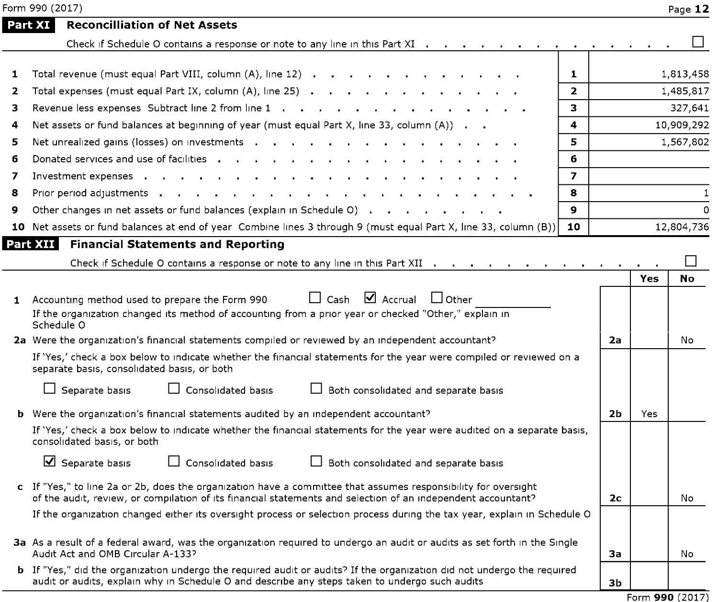|   | Form 990 (2017)                                                                                                                                                                                                                                                                                                                                                                                                                                                                                                                                                                           |                         |                |     | Page 12      |
|---|-------------------------------------------------------------------------------------------------------------------------------------------------------------------------------------------------------------------------------------------------------------------------------------------------------------------------------------------------------------------------------------------------------------------------------------------------------------------------------------------------------------------------------------------------------------------------------------------|-------------------------|----------------|-----|--------------|
|   | <b>Reconcilliation of Net Assets</b><br>Part XI                                                                                                                                                                                                                                                                                                                                                                                                                                                                                                                                           |                         |                |     |              |
|   | Check if Schedule O contains a response or note to any line in this Part XI $\cdots$ $\cdots$ $\cdots$ $\cdots$ $\cdots$ $\cdots$                                                                                                                                                                                                                                                                                                                                                                                                                                                         |                         |                |     |              |
| 1 | Total revenue (must equal Part VIII, column (A), line 12)                                                                                                                                                                                                                                                                                                                                                                                                                                                                                                                                 | 1                       |                |     | 1,813,458    |
| 2 | Total expenses (must equal Part IX, column $(A)$ , line 25) $\cdots$ $\cdots$ $\cdots$ $\cdots$ $\cdots$ $\cdots$                                                                                                                                                                                                                                                                                                                                                                                                                                                                         | $\mathbf{z}$            |                |     | 1,485,817    |
| з | Revenue less expenses Subtract line 2 from line 1                                                                                                                                                                                                                                                                                                                                                                                                                                                                                                                                         | 3                       |                |     | 327,641      |
| 4 | Net assets or fund balances at beginning of year (must equal Part X, line 33, column (A))                                                                                                                                                                                                                                                                                                                                                                                                                                                                                                 | 4                       |                |     | 10,909,292   |
| 5 | Net unrealized gains (losses) on investments                                                                                                                                                                                                                                                                                                                                                                                                                                                                                                                                              | 5.                      |                |     | 1,567,802    |
| 6 | Donated services and use of facilities                                                                                                                                                                                                                                                                                                                                                                                                                                                                                                                                                    | 6                       |                |     |              |
| 7 | Investment expenses                                                                                                                                                                                                                                                                                                                                                                                                                                                                                                                                                                       | $\overline{\mathbf{z}}$ |                |     |              |
| 8 |                                                                                                                                                                                                                                                                                                                                                                                                                                                                                                                                                                                           | 8                       |                |     | $\mathbf{1}$ |
| 9 | Other changes in net assets or fund balances (explain in Schedule O)                                                                                                                                                                                                                                                                                                                                                                                                                                                                                                                      | $\mathbf{Q}$            |                |     | $\Omega$     |
|   | 10 Net assets or fund balances at end of year Combine lines 3 through 9 (must equal Part X, line 33, column (B))                                                                                                                                                                                                                                                                                                                                                                                                                                                                          | 10                      |                |     | 12,804,736   |
|   | Part XII<br><b>Financial Statements and Reporting</b>                                                                                                                                                                                                                                                                                                                                                                                                                                                                                                                                     |                         |                |     |              |
|   | Check if Schedule O contains a response or note to any line in this Part XII                                                                                                                                                                                                                                                                                                                                                                                                                                                                                                              |                         |                |     |              |
|   | $\Box$ Cash $\Box$ Accrual<br>$\Box$ Other<br>1 Accounting method used to prepare the Form 990<br>If the organization changed its method of accounting from a prior year or checked "Other," explain in<br>Schedule O<br>2a Were the organization's financial statements compiled or reviewed by an independent accountant?<br>If 'Yes,' check a box below to indicate whether the financial statements for the year were compiled or reviewed on a<br>separate basis, consolidated basis, or both<br>Separate basis<br>$\Box$ Consolidated basis<br>Both consolidated and separate basis |                         | 2a             | Yes | No<br>No     |
|   | <b>b</b> Were the organization's financial statements audited by an independent accountant?                                                                                                                                                                                                                                                                                                                                                                                                                                                                                               |                         | 2 <sub>b</sub> | Yes |              |
|   | If 'Yes,' check a box below to indicate whether the financial statements for the year were audited on a separate basis,<br>consolidated basis, or both<br>$\Delta$ Separate basis<br>$\Box$ Consolidated basis<br>Both consolidated and separate basis                                                                                                                                                                                                                                                                                                                                    |                         |                |     |              |
|   | c If "Yes," to line 2a or 2b, does the organization have a committee that assumes responsibility for oversight<br>of the audit, review, or compilation of its financial statements and selection of an independent accountant?                                                                                                                                                                                                                                                                                                                                                            |                         | 2с             |     | No           |
|   | If the organization changed either its oversight process or selection process during the tax year, explain in Schedule O                                                                                                                                                                                                                                                                                                                                                                                                                                                                  |                         |                |     |              |
|   | 3a As a result of a federal award, was the organization reguired to undergo an audit or audits as set forth in the Single<br>Audit Act and OMB Circular A-133?                                                                                                                                                                                                                                                                                                                                                                                                                            |                         | За             |     | No           |
|   | <b>b</b> If "Yes," did the organization undergo the required audit or audits? If the organization did not undergo the required<br>audit or audits, explain why in Schedule O and describe any steps taken to undergo such audits                                                                                                                                                                                                                                                                                                                                                          |                         | 3b             |     |              |

Form 990 (2017)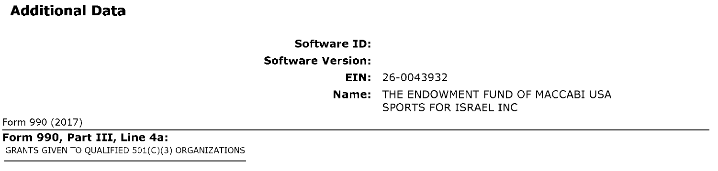# Additional Data

# Software ID:

# Software Version:

EIN: 26-0043932 Name: THE ENDOWMENT FUND OF MACCABI USA SPORTS FOR ISRAEL INC

Form 990 (2017)

Form 990, Part III, Line 4a: GRANTS GIVEN TO QUALIFIED 501(C)(3) ORGANIZATIONS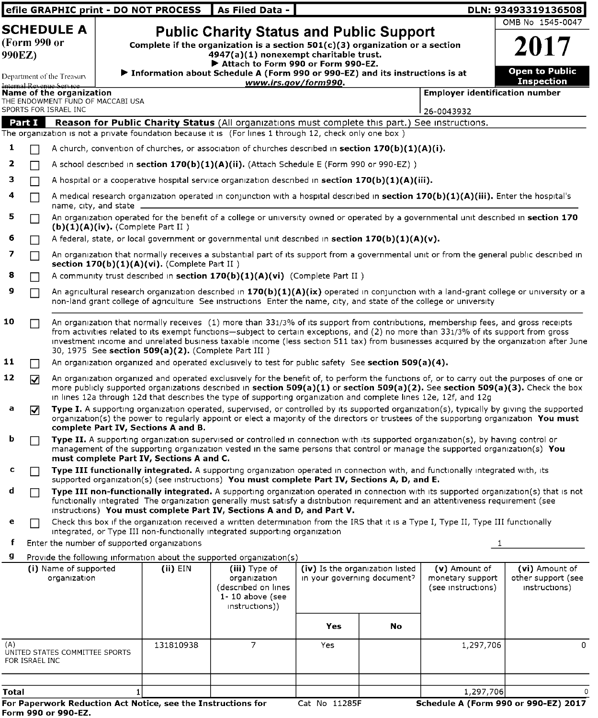|                        |                |                                                               |                         | efile GRAPHIC print - DO NOT PROCESS                         | As Filed Data -                                                                                                                                                                                                                                                                                                                                                                                                                                      |                                                                |    |                                                         | DLN: 93493319136508                                                                                                                    |
|------------------------|----------------|---------------------------------------------------------------|-------------------------|--------------------------------------------------------------|------------------------------------------------------------------------------------------------------------------------------------------------------------------------------------------------------------------------------------------------------------------------------------------------------------------------------------------------------------------------------------------------------------------------------------------------------|----------------------------------------------------------------|----|---------------------------------------------------------|----------------------------------------------------------------------------------------------------------------------------------------|
|                        |                | <b>SCHEDULE A</b>                                             |                         |                                                              | <b>Public Charity Status and Public Support</b>                                                                                                                                                                                                                                                                                                                                                                                                      |                                                                |    |                                                         | OMB No 1545-0047                                                                                                                       |
| (Form 990 or<br>990EZ) |                |                                                               |                         |                                                              | Complete if the organization is a section $501(c)(3)$ organization or a section<br>4947(a)(1) nonexempt charitable trust.                                                                                                                                                                                                                                                                                                                            |                                                                |    |                                                         | 2017                                                                                                                                   |
|                        |                | Department of the Treasury<br>Internal Revenue Service        |                         |                                                              | Attach to Form 990 or Form 990-EZ.<br>▶ Information about Schedule A (Form 990 or 990-EZ) and its instructions is at                                                                                                                                                                                                                                                                                                                                 | www.irs.gov/form990.                                           |    |                                                         | Open to Public<br><b>Inspection</b>                                                                                                    |
|                        |                | Name of the organization<br>THE ENDOWMENT FUND OF MACCABI USA |                         |                                                              |                                                                                                                                                                                                                                                                                                                                                                                                                                                      |                                                                |    | <b>Employer identification number</b>                   |                                                                                                                                        |
|                        |                | SPORTS FOR ISRAEL INC                                         |                         |                                                              |                                                                                                                                                                                                                                                                                                                                                                                                                                                      |                                                                |    | 26-0043932                                              |                                                                                                                                        |
|                        | Part I         |                                                               |                         |                                                              | Reason for Public Charity Status (All organizations must complete this part.) See instructions.<br>The organization is not a private foundation because it is (For lines 1 through 12, check only one box)                                                                                                                                                                                                                                           |                                                                |    |                                                         |                                                                                                                                        |
| 1                      |                |                                                               |                         |                                                              | A church, convention of churches, or association of churches described in section $170(b)(1)(A)(i)$ .                                                                                                                                                                                                                                                                                                                                                |                                                                |    |                                                         |                                                                                                                                        |
| 2                      |                |                                                               |                         |                                                              | A school described in section 170(b)(1)(A)(ii). (Attach Schedule E (Form 990 or 990-EZ))                                                                                                                                                                                                                                                                                                                                                             |                                                                |    |                                                         |                                                                                                                                        |
| з                      |                |                                                               |                         |                                                              | A hospital or a cooperative hospital service organization described in section $170(b)(1)(A)(iii)$ .                                                                                                                                                                                                                                                                                                                                                 |                                                                |    |                                                         |                                                                                                                                        |
| 4                      |                |                                                               | name, city, and state _ |                                                              | A medical research organization operated in conjunction with a hospital described in section 170(b)(1)(A)(iii). Enter the hospital's                                                                                                                                                                                                                                                                                                                 |                                                                |    |                                                         |                                                                                                                                        |
| 5                      |                |                                                               |                         | (b)(1)(A)(iv). (Complete Part II)                            | An organization operated for the benefit of a college or university owned or operated by a governmental unit described in section 170                                                                                                                                                                                                                                                                                                                |                                                                |    |                                                         |                                                                                                                                        |
| 6                      |                |                                                               |                         |                                                              | A federal, state, or local government or governmental unit described in section $170(b)(1)(A)(v)$ .                                                                                                                                                                                                                                                                                                                                                  |                                                                |    |                                                         |                                                                                                                                        |
| 7                      | П              |                                                               |                         | section $170(b)(1)(A)(vi)$ . (Complete Part II)              | An organization that normally receives a substantial part of its support from a governmental unit or from the general public described in                                                                                                                                                                                                                                                                                                            |                                                                |    |                                                         |                                                                                                                                        |
|                        |                |                                                               |                         |                                                              | A community trust described in section $170(b)(1)(A)(vi)$ (Complete Part II)                                                                                                                                                                                                                                                                                                                                                                         |                                                                |    |                                                         |                                                                                                                                        |
| 9                      |                |                                                               |                         |                                                              | An agricultural research organization described in $170(b)(1)(A)(ix)$ operated in conjunction with a land-grant college or university or a<br>non-land grant college of agriculture. See instructions. Enter the name, city, and state of the college or university                                                                                                                                                                                  |                                                                |    |                                                         |                                                                                                                                        |
| 10                     |                |                                                               |                         | 30, 1975 See section 509(a)(2). (Complete Part III)          | An organization that normally receives (1) more than 331/3% of its support from contributions, membership fees, and gross receipts<br>from activities related to its exempt functions-subject to certain exceptions, and (2) no more than 331/3% of its support from gross                                                                                                                                                                           |                                                                |    |                                                         | investment income and unrelated business taxable income (less section 511 tax) from businesses acquired by the organization after June |
| 11                     |                |                                                               |                         |                                                              | An organization organized and operated exclusively to test for public safety See section 509(a)(4).                                                                                                                                                                                                                                                                                                                                                  |                                                                |    |                                                         |                                                                                                                                        |
| 12                     | ☑              |                                                               |                         |                                                              | An organization organized and operated exclusively for the benefit of, to perform the functions of, or to carry out the purposes of one or<br>more publicly supported organizations described in section $509(a)(1)$ or section $509(a)(2)$ . See section $509(a)(3)$ . Check the box<br>in lines 12a through 12d that describes the type of supporting organization and complete lines 12e, 12f, and 12g                                            |                                                                |    |                                                         |                                                                                                                                        |
| а                      | ⋈              |                                                               |                         | complete Part IV, Sections A and B.                          | Type I. A supporting organization operated, supervised, or controlled by its supported organization(s), typically by giving the supported<br>organization(s) the power to regularly appoint or elect a majority of the directors or trustees of the supporting organization You must                                                                                                                                                                 |                                                                |    |                                                         |                                                                                                                                        |
| b                      |                |                                                               |                         | must complete Part IV, Sections A and C.                     | <b>Type II.</b> A supporting organization supervised or controlled in connection with its supported organization(s), by having control or<br>management of the supporting organization vested in the same persons that control or manage the supported organization(s) You                                                                                                                                                                           |                                                                |    |                                                         |                                                                                                                                        |
| с                      |                |                                                               |                         |                                                              | Type III functionally integrated. A supporting organization operated in connection with, and functionally integrated with, its                                                                                                                                                                                                                                                                                                                       |                                                                |    |                                                         |                                                                                                                                        |
| d                      |                |                                                               |                         |                                                              | supported organization(s) (see instructions) You must complete Part IV, Sections A, D, and E.<br>Type III non-functionally integrated. A supporting organization operated in connection with its supported organization(s) that is not<br>functionally integrated The organization generally must satisfy a distribution requirement and an attentiveness requirement (see<br>instructions) You must complete Part IV, Sections A and D, and Part V. |                                                                |    |                                                         |                                                                                                                                        |
| е                      |                |                                                               |                         |                                                              | Check this box if the organization received a written determination from the IRS that it is a Type I, Type II, Type III functionally                                                                                                                                                                                                                                                                                                                 |                                                                |    |                                                         |                                                                                                                                        |
| f                      |                |                                                               |                         | Enter the number of supported organizations                  | integrated, or Type III non-functionally integrated supporting organization                                                                                                                                                                                                                                                                                                                                                                          |                                                                |    | 1                                                       |                                                                                                                                        |
| g                      |                |                                                               |                         |                                                              | Provide the following information about the supported organization(s)                                                                                                                                                                                                                                                                                                                                                                                |                                                                |    |                                                         |                                                                                                                                        |
|                        |                | (i) Name of supported<br>organization                         |                         | $(ii)$ EIN                                                   | (iii) Type of<br>organization<br>(described on lines<br>$1 - 10$ above (see<br>instructions))                                                                                                                                                                                                                                                                                                                                                        | (iv) Is the organization listed<br>in your governing document? |    | (v) Amount of<br>monetary support<br>(see instructions) | (vi) Amount of<br>other support (see<br>instructions)                                                                                  |
|                        |                |                                                               |                         |                                                              |                                                                                                                                                                                                                                                                                                                                                                                                                                                      | Yes                                                            | No |                                                         |                                                                                                                                        |
| (A)                    | FOR ISRAEL INC | UNITED STATES COMMITTEE SPORTS                                |                         | 131810938                                                    | 7                                                                                                                                                                                                                                                                                                                                                                                                                                                    | Yes                                                            |    | 1,297,706                                               | 0                                                                                                                                      |
| Total                  |                |                                                               |                         |                                                              |                                                                                                                                                                                                                                                                                                                                                                                                                                                      |                                                                |    | 1,297,706                                               | $\Omega$                                                                                                                               |
|                        |                |                                                               |                         | For Paperwork Reduction Act Notice, see the Instructions for |                                                                                                                                                                                                                                                                                                                                                                                                                                                      | Cat No 11285F                                                  |    |                                                         | Schedule A (Form 990 or 990-EZ) 2017                                                                                                   |
|                        |                | Form 990 or 990-EZ.                                           |                         |                                                              |                                                                                                                                                                                                                                                                                                                                                                                                                                                      |                                                                |    |                                                         |                                                                                                                                        |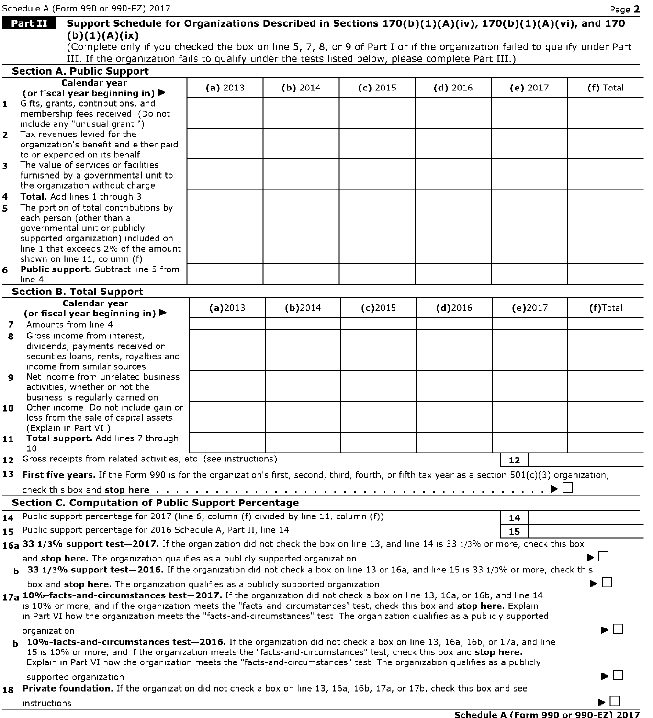|    | Schedule A (Form 990 or 990-EZ) 2017                                                                                                                                                                                                                                                                                                                                               |          |            |            |            |          | Page 2    |
|----|------------------------------------------------------------------------------------------------------------------------------------------------------------------------------------------------------------------------------------------------------------------------------------------------------------------------------------------------------------------------------------|----------|------------|------------|------------|----------|-----------|
|    | Support Schedule for Organizations Described in Sections 170(b)(1)(A)(iv), 170(b)(1)(A)(vi), and 170<br><b>Part II</b>                                                                                                                                                                                                                                                             |          |            |            |            |          |           |
|    | (b)(1)(A)(ix)                                                                                                                                                                                                                                                                                                                                                                      |          |            |            |            |          |           |
|    | (Complete only if you checked the box on line 5, 7, 8, or 9 of Part I or if the organization failed to qualify under Part                                                                                                                                                                                                                                                          |          |            |            |            |          |           |
|    | III. If the organization fails to qualify under the tests listed below, please complete Part III.)                                                                                                                                                                                                                                                                                 |          |            |            |            |          |           |
|    | <b>Section A. Public Support</b>                                                                                                                                                                                                                                                                                                                                                   |          |            |            |            |          |           |
|    | Calendar year<br>(or fiscal year beginning in) $\blacktriangleright$                                                                                                                                                                                                                                                                                                               | (a) 2013 | $(b)$ 2014 | $(c)$ 2015 | $(d)$ 2016 | (e) 2017 | (f) Total |
|    | 1 Gifts, grants, contributions, and                                                                                                                                                                                                                                                                                                                                                |          |            |            |            |          |           |
|    | membership fees received (Do not                                                                                                                                                                                                                                                                                                                                                   |          |            |            |            |          |           |
|    | include any "unusual grant")                                                                                                                                                                                                                                                                                                                                                       |          |            |            |            |          |           |
|    | 2 Tax revenues levied for the                                                                                                                                                                                                                                                                                                                                                      |          |            |            |            |          |           |
|    | organization's benefit and either paid<br>to or expended on its behalf                                                                                                                                                                                                                                                                                                             |          |            |            |            |          |           |
|    | 3 The value of services or facilities                                                                                                                                                                                                                                                                                                                                              |          |            |            |            |          |           |
|    | furnished by a governmental unit to                                                                                                                                                                                                                                                                                                                                                |          |            |            |            |          |           |
|    | the organization without charge                                                                                                                                                                                                                                                                                                                                                    |          |            |            |            |          |           |
| 4  | Total. Add lines 1 through 3                                                                                                                                                                                                                                                                                                                                                       |          |            |            |            |          |           |
| 5  | The portion of total contributions by<br>each person (other than a                                                                                                                                                                                                                                                                                                                 |          |            |            |            |          |           |
|    | governmental unit or publicly                                                                                                                                                                                                                                                                                                                                                      |          |            |            |            |          |           |
|    | supported organization) included on                                                                                                                                                                                                                                                                                                                                                |          |            |            |            |          |           |
|    | line 1 that exceeds 2% of the amount                                                                                                                                                                                                                                                                                                                                               |          |            |            |            |          |           |
|    | shown on line 11, column (f)<br><b>Public support.</b> Subtract line 5 from                                                                                                                                                                                                                                                                                                        |          |            |            |            |          |           |
| 6  | line 4                                                                                                                                                                                                                                                                                                                                                                             |          |            |            |            |          |           |
|    | <b>Section B. Total Support</b>                                                                                                                                                                                                                                                                                                                                                    |          |            |            |            |          |           |
|    | Calendar year                                                                                                                                                                                                                                                                                                                                                                      | (a)2013  | $(b)$ 2014 | $(c)$ 2015 | $(d)$ 2016 | (e)2017  | (f)Total  |
|    | (or fiscal year beginning in) $\blacktriangleright$                                                                                                                                                                                                                                                                                                                                |          |            |            |            |          |           |
|    | 7 Amounts from line 4                                                                                                                                                                                                                                                                                                                                                              |          |            |            |            |          |           |
| 8  | Gross income from interest.                                                                                                                                                                                                                                                                                                                                                        |          |            |            |            |          |           |
|    | dividends, payments received on<br>securities loans, rents, royalties and                                                                                                                                                                                                                                                                                                          |          |            |            |            |          |           |
|    | income from similar sources                                                                                                                                                                                                                                                                                                                                                        |          |            |            |            |          |           |
| q  | Net income from unrelated business                                                                                                                                                                                                                                                                                                                                                 |          |            |            |            |          |           |
|    | activities, whether or not the                                                                                                                                                                                                                                                                                                                                                     |          |            |            |            |          |           |
| 10 | business is regularly carried on<br>Other income Do not include gain or                                                                                                                                                                                                                                                                                                            |          |            |            |            |          |           |
|    | loss from the sale of capital assets                                                                                                                                                                                                                                                                                                                                               |          |            |            |            |          |           |
|    | (Explain in Part VI)                                                                                                                                                                                                                                                                                                                                                               |          |            |            |            |          |           |
| 11 | Total support. Add lines 7 through                                                                                                                                                                                                                                                                                                                                                 |          |            |            |            |          |           |
|    | 10<br>12 Gross receipts from related activities, etc (see instructions)                                                                                                                                                                                                                                                                                                            |          |            |            |            |          |           |
|    |                                                                                                                                                                                                                                                                                                                                                                                    |          |            |            |            | 12       |           |
|    | 13 First five years. If the Form 990 is for the organization's first, second, third, fourth, or fifth tax year as a section 501(c)(3) organization,                                                                                                                                                                                                                                |          |            |            |            |          |           |
|    |                                                                                                                                                                                                                                                                                                                                                                                    |          |            |            |            |          |           |
|    | <b>Section C. Computation of Public Support Percentage</b>                                                                                                                                                                                                                                                                                                                         |          |            |            |            |          |           |
|    | 14 Public support percentage for 2017 (line 6, column (f) divided by line 11, column (f))                                                                                                                                                                                                                                                                                          |          |            |            |            | 14       |           |
|    | 15 Public support percentage for 2016 Schedule A, Part II, line 14                                                                                                                                                                                                                                                                                                                 |          |            |            |            | 15       |           |
|    | 16a 33 1/3% support test-2017. If the organization did not check the box on line 13, and line 14 is 33 1/3% or more, check this box                                                                                                                                                                                                                                                |          |            |            |            |          |           |
|    | and stop here. The organization qualifies as a publicly supported organization                                                                                                                                                                                                                                                                                                     |          |            |            |            |          | ▶□        |
|    | b 33 1/3% support test-2016. If the organization did not check a box on line 13 or 16a, and line 15 is 33 1/3% or more, check this                                                                                                                                                                                                                                                 |          |            |            |            |          |           |
|    | box and stop here. The organization qualifies as a publicly supported organization                                                                                                                                                                                                                                                                                                 |          |            |            |            |          | ▶││       |
|    | 17a 10%-facts-and-circumstances test-2017. If the organization did not check a box on line 13, 16a, or 16b, and line 14<br>is 10% or more, and if the organization meets the "facts-and-circumstances" test, check this box and stop here. Explain                                                                                                                                 |          |            |            |            |          |           |
|    | in Part VI how the organization meets the "facts-and-circumstances" test The organization qualifies as a publicly supported                                                                                                                                                                                                                                                        |          |            |            |            |          |           |
|    | organization                                                                                                                                                                                                                                                                                                                                                                       |          |            |            |            |          | ▶ │ │     |
|    | <b>b</b> 10%-facts-and-circumstances test-2016. If the organization did not check a box on line 13, 16a, 16b, or 17a, and line<br>15 is 10% or more, and if the organization meets the "facts-and-circumstances" test, check this box and stop here.<br>Explain in Part VI how the organization meets the "facts-and-circumstances" test. The organization qualifies as a publicly |          |            |            |            |          |           |
|    | supported organization                                                                                                                                                                                                                                                                                                                                                             |          |            |            |            |          | ▶ │ │     |
|    | 18 Private foundation. If the organization did not check a box on line 13, 16a, 16b, 17a, or 17b, check this box and see                                                                                                                                                                                                                                                           |          |            |            |            |          |           |
|    | instructions                                                                                                                                                                                                                                                                                                                                                                       |          |            |            |            |          | ►∟        |
|    |                                                                                                                                                                                                                                                                                                                                                                                    |          |            |            |            |          |           |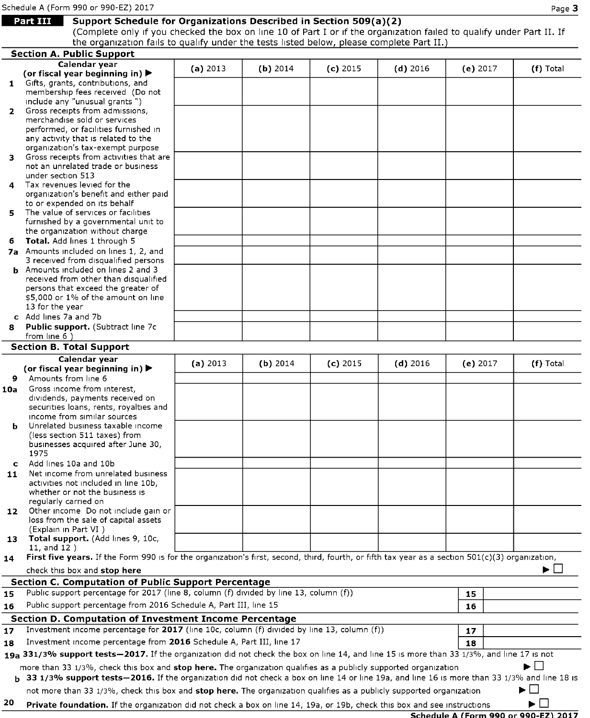Page Part III Support Schedule for Organizations Described in Section 509(a)(2)<br>Part III Support Schedule for Organizations Described in Section 509(a)(2)<br>Complete only if you checked the box on line 10 of Part I or if the the organization fails to qualify under the tests listed below, please complete Part II.)

|              | <b>Section A. Public Support</b>                                                                                                                      |          |            |            |            |          |                                             |
|--------------|-------------------------------------------------------------------------------------------------------------------------------------------------------|----------|------------|------------|------------|----------|---------------------------------------------|
|              | Calendar year                                                                                                                                         | (a) 2013 | $(b)$ 2014 | $(c)$ 2015 | $(d)$ 2016 | (e) 2017 | (f) Total                                   |
|              | (or fiscal year beginning in) ▶                                                                                                                       |          |            |            |            |          |                                             |
|              | 1 Gifts, grants, contributions, and                                                                                                                   |          |            |            |            |          |                                             |
|              | membership fees received (Do not<br>include any "unusual grants")                                                                                     |          |            |            |            |          |                                             |
| $\mathbf{2}$ | Gross receipts from admissions,                                                                                                                       |          |            |            |            |          |                                             |
|              | merchandise sold or services                                                                                                                          |          |            |            |            |          |                                             |
|              | performed, or facilities furnished in                                                                                                                 |          |            |            |            |          |                                             |
|              | any activity that is related to the                                                                                                                   |          |            |            |            |          |                                             |
|              | organization's tax-exempt purpose                                                                                                                     |          |            |            |            |          |                                             |
| з.           | Gross receipts from activities that are<br>not an unrelated trade or business                                                                         |          |            |            |            |          |                                             |
|              | under section 513                                                                                                                                     |          |            |            |            |          |                                             |
| 4            | Tax revenues levied for the                                                                                                                           |          |            |            |            |          |                                             |
|              | organization's benefit and either paid                                                                                                                |          |            |            |            |          |                                             |
|              | to or expended on its behalf                                                                                                                          |          |            |            |            |          |                                             |
| 5.           | The value of services or facilities                                                                                                                   |          |            |            |            |          |                                             |
|              | furnished by a governmental unit to                                                                                                                   |          |            |            |            |          |                                             |
|              | the organization without charge                                                                                                                       |          |            |            |            |          |                                             |
| 6.           | Total. Add lines 1 through 5<br>7a Amounts included on lines 1, 2, and                                                                                |          |            |            |            |          |                                             |
|              | 3 received from disqualified persons                                                                                                                  |          |            |            |            |          |                                             |
|              | <b>b</b> Amounts included on lines 2 and 3                                                                                                            |          |            |            |            |          |                                             |
|              | received from other than disqualified                                                                                                                 |          |            |            |            |          |                                             |
|              | persons that exceed the greater of                                                                                                                    |          |            |            |            |          |                                             |
|              | \$5,000 or 1% of the amount on line                                                                                                                   |          |            |            |            |          |                                             |
|              | 13 for the year                                                                                                                                       |          |            |            |            |          |                                             |
|              | c Add lines 7a and 7b                                                                                                                                 |          |            |            |            |          |                                             |
| 8            | <b>Public support.</b> (Subtract line 7c)<br>from line 6)                                                                                             |          |            |            |            |          |                                             |
|              | <b>Section B. Total Support</b>                                                                                                                       |          |            |            |            |          |                                             |
|              |                                                                                                                                                       |          |            |            |            |          |                                             |
|              | Calendar year<br>(or fiscal year beginning in) ▶                                                                                                      | (a) 2013 | (b) 2014   | $(c)$ 2015 | $(d)$ 2016 | (e) 2017 | (f) Total                                   |
| 9            | Amounts from line 6                                                                                                                                   |          |            |            |            |          |                                             |
| 10a          | Gross income from interest,                                                                                                                           |          |            |            |            |          |                                             |
|              | dividends, payments received on                                                                                                                       |          |            |            |            |          |                                             |
|              | securities loans, rents, royalties and                                                                                                                |          |            |            |            |          |                                             |
|              | income from similar sources                                                                                                                           |          |            |            |            |          |                                             |
| ь            | Unrelated business taxable income                                                                                                                     |          |            |            |            |          |                                             |
|              | (less section 511 taxes) from<br>businesses acquired after June 30,                                                                                   |          |            |            |            |          |                                             |
|              | 1975                                                                                                                                                  |          |            |            |            |          |                                             |
| $\mathbf{C}$ | Add lines 10a and 10b                                                                                                                                 |          |            |            |            |          |                                             |
| 11           | Net income from unrelated business                                                                                                                    |          |            |            |            |          |                                             |
|              | activities not included in line 10b,                                                                                                                  |          |            |            |            |          |                                             |
|              | whether or not the business is                                                                                                                        |          |            |            |            |          |                                             |
|              | regularly carried on                                                                                                                                  |          |            |            |            |          |                                             |
| 12           | Other income Do not include gain or<br>loss from the sale of capital assets                                                                           |          |            |            |            |          |                                             |
|              | (Explain in Part VI)                                                                                                                                  |          |            |            |            |          |                                             |
|              | 13 Total support. (Add lines 9, 10c,                                                                                                                  |          |            |            |            |          |                                             |
|              | $11.$ and $12$ )                                                                                                                                      |          |            |            |            |          |                                             |
| 14           | First five years. If the Form 990 is for the organization's first, second, third, fourth, or fifth tax year as a section $501(c)(3)$ organization,    |          |            |            |            |          |                                             |
|              | check this box and stop here                                                                                                                          |          |            |            |            |          | ▶∟                                          |
|              | <b>Section C. Computation of Public Support Percentage</b>                                                                                            |          |            |            |            |          |                                             |
| 15           | Public support percentage for 2017 (line 8, column (f) divided by line 13, column (f))                                                                |          |            |            |            | 15       |                                             |
| 16           | Public support percentage from 2016 Schedule A, Part III, line 15                                                                                     |          |            |            |            | 16       |                                             |
|              |                                                                                                                                                       |          |            |            |            |          |                                             |
|              | Section D. Computation of Investment Income Percentage<br>Investment income percentage for 2017 (line 10c, column (f) divided by line 13, column (f)) |          |            |            |            |          |                                             |
| 17           |                                                                                                                                                       |          |            |            |            | 17       |                                             |
| 18           | Investment income percentage from 2016 Schedule A, Part III, line 17                                                                                  |          |            |            |            | 18       |                                             |
|              | 19a 331/3% support tests-2017. If the organization did not check the box on line 14, and line 15 is more than 33 1/3%, and line 17 is not             |          |            |            |            |          |                                             |
|              | more than 33 1/3%, check this box and stop here. The organization qualifies as a publicly supported organization                                      |          |            |            |            |          | ▶□                                          |
|              | <b>b</b> 33 1/3% support tests—2016. If the organization did not check a box on line 14 or line 19a, and line 16 is more than 33 1/3% and line 18 is  |          |            |            |            |          |                                             |
|              | not more than 33 1/3%, check this box and <b>stop here.</b> The organization qualifies as a publicly supported organization                           |          |            |            |            |          | ப<br>►                                      |
| 20           |                                                                                                                                                       |          |            |            |            |          | ▶L∣                                         |
|              | <b>Private foundation.</b> If the organization did not check a box on line 14, 19a, or 19b, check this box and see instructions                       |          |            |            |            |          | <b>Schedule A (Form 990 or 990-EZ) 2017</b> |
|              |                                                                                                                                                       |          |            |            |            |          |                                             |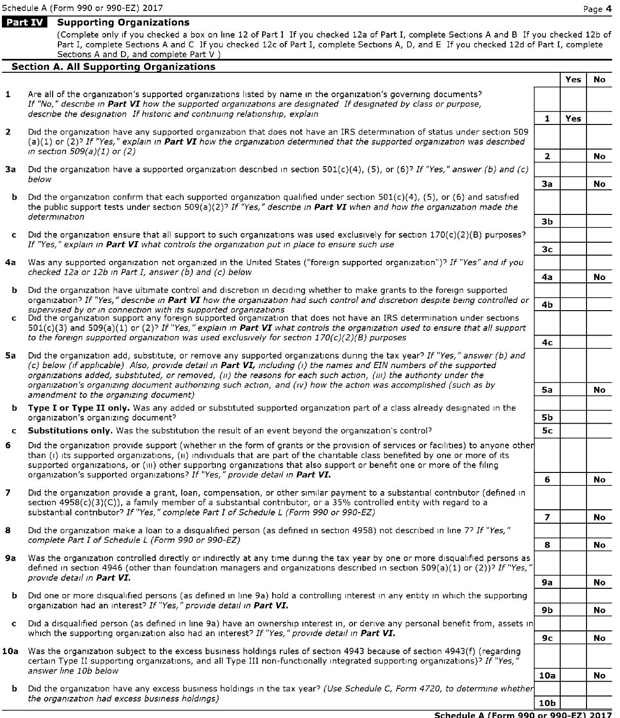# Part IV Supporting Organizations

(Complete only if you checked a box on line 12 of Part <sup>I</sup> If you checked 12a of Part I, complete Sections A and B If you checked 12b of Part I, complete Sections A and C If you checked 12c of Part I, complete Sections A, D, and E If you checked 12d of Part I, complete Sections A and D, and complete Part V

# **Section A. All Supporting Organizations**

|                          |                                                                                                                                                                                                                                                                                                                                                                        |                          | <b>Yes</b> | No        |  |  |
|--------------------------|------------------------------------------------------------------------------------------------------------------------------------------------------------------------------------------------------------------------------------------------------------------------------------------------------------------------------------------------------------------------|--------------------------|------------|-----------|--|--|
| $\mathbf{1}$             | Are all of the organization's supported organizations listed by name in the organization's governing documents?<br>If "No," describe in Part VI how the supported organizations are designated If designated by class or purpose,                                                                                                                                      |                          |            |           |  |  |
|                          | describe the designation If historic and continuing relationship, explain                                                                                                                                                                                                                                                                                              | 1                        | Yes        |           |  |  |
| $\overline{2}$           | Did the organization have any supported organization that does not have an IRS determination of status under section 509<br>(a)(1) or (2)? If "Yes," explain in Part VI how the organization determined that the supported organization was described<br>in section $509(a)(1)$ or (2)                                                                                 |                          |            |           |  |  |
|                          |                                                                                                                                                                                                                                                                                                                                                                        | $\mathbf{2}$             |            | No.       |  |  |
| За                       | Did the organization have a supported organization described in section 501(c)(4), (5), or (6)? If "Yes," answer (b) and (c)<br>below                                                                                                                                                                                                                                  |                          |            |           |  |  |
|                          |                                                                                                                                                                                                                                                                                                                                                                        | За                       |            | No        |  |  |
|                          | <b>b</b> Did the organization confirm that each supported organization qualified under section $501(c)(4)$ , (5), or (6) and satisfied<br>the public support tests under section 509(a)(2)? If "Yes," describe in Part VI when and how the organization made the<br>determination                                                                                      | зь                       |            |           |  |  |
|                          | c Did the organization ensure that all support to such organizations was used exclusively for section $170(c)(2)(B)$ purposes?                                                                                                                                                                                                                                         |                          |            |           |  |  |
|                          | If "Yes," explain in Part VI what controls the organization put in place to ensure such use                                                                                                                                                                                                                                                                            | 3 <sub>c</sub>           |            |           |  |  |
|                          | 4a Was any supported organization not organized in the United States ("foreign supported organization")? If "Yes" and if you                                                                                                                                                                                                                                           |                          |            |           |  |  |
|                          | checked 12a or 12b in Part I, answer (b) and (c) below                                                                                                                                                                                                                                                                                                                 | 4a                       |            | <b>No</b> |  |  |
|                          | <b>b</b> Did the organization have ultimate control and discretion in deciding whether to make grants to the foreign supported                                                                                                                                                                                                                                         |                          |            |           |  |  |
|                          | organization? If "Yes," describe in Part VI how the organization had such control and discretion despite being controlled or<br>supervised by or in connection with its supported organizations                                                                                                                                                                        | 4 <sub>b</sub>           |            |           |  |  |
|                          | c Did the organization support any foreign supported organization that does not have an IRS determination under sections<br>$501(c)(3)$ and $509(a)(1)$ or (2)? If "Yes," explain in Part VI what controls the organization used to ensure that all support                                                                                                            |                          |            |           |  |  |
|                          | to the foreign supported organization was used exclusively for section $170(c)(2)(B)$ purposes                                                                                                                                                                                                                                                                         |                          |            |           |  |  |
| 5a -                     | Did the organization add, substitute, or remove any supported organizations during the tax year? If "Yes," answer (b) and<br>(c) below (if applicable) Also, provide detail in Part VI, including (i) the names and EIN numbers of the supported<br>organizations added, substituted, or removed, (ii) the reasons for each such action, (iii) the authority under the |                          |            |           |  |  |
|                          | organization's organizing document authorizing such action, and (iv) how the action was accomplished (such as by<br>amendment to the organizing document)                                                                                                                                                                                                              |                          |            | <b>No</b> |  |  |
|                          | <b>b</b> Type I or Type II only. Was any added or substituted supported organization part of a class already designated in the<br>organization's organizing document?                                                                                                                                                                                                  | <b>5b</b>                |            |           |  |  |
|                          | c Substitutions only. Was the substitution the result of an event beyond the organization's control?                                                                                                                                                                                                                                                                   | 5с                       |            |           |  |  |
| 6.                       | Did the organization provide support (whether in the form of grants or the provision of services or facilities) to anyone other                                                                                                                                                                                                                                        |                          |            |           |  |  |
|                          | than (i) its supported organizations, (ii) individuals that are part of the charitable class benefited by one or more of its<br>supported organizations, or (iii) other supporting organizations that also support or benefit one or more of the filing<br>organization's supported organizations? If "Yes," provide detail in Part VI.                                |                          |            |           |  |  |
|                          |                                                                                                                                                                                                                                                                                                                                                                        | 6                        |            | No.       |  |  |
| $\overline{\phantom{a}}$ | Did the organization provide a grant, loan, compensation, or other similar payment to a substantial contributor (defined in<br>section $4958(c)(3)(c)$ , a family member of a substantial contributor, or a 35% controlled entity with regard to a<br>substantial contributor? If "Yes," complete Part I of Schedule L (Form 990 or 990-EZ)                            |                          |            |           |  |  |
| 8                        | Did the organization make a loan to a disqualified person (as defined in section 4958) not described in line 77 If "Yes,"                                                                                                                                                                                                                                              | $\overline{\phantom{a}}$ |            | No.       |  |  |
|                          | complete Part I of Schedule L (Form 990 or 990-EZ)                                                                                                                                                                                                                                                                                                                     | 8                        |            | No.       |  |  |
| 9a                       | Was the organization controlled directly or indirectly at any time during the tax year by one or more disqualified persons as<br>defined in section 4946 (other than foundation managers and organizations described in section 509(a)(1) or (2))? If "Yes,"                                                                                                           |                          |            |           |  |  |
|                          | provide detail in Part VI.                                                                                                                                                                                                                                                                                                                                             | <b>9a</b>                |            | No        |  |  |
| b.                       | Did one or more disqualified persons (as defined in line 9a) hold a controlling interest in any entity in which the supporting<br>organization had an interest? If "Yes," provide detail in Part VI.                                                                                                                                                                   | 9b                       |            | No        |  |  |
|                          | c Did a disqualified person (as defined in line 9a) have an ownership interest in, or derive any personal benefit from, assets in<br>which the supporting organization also had an interest? If "Yes," provide detail in Part VI.                                                                                                                                      |                          |            |           |  |  |
|                          | 10a Was the organization subject to the excess business holdings rules of section 4943 because of section 4943(f) (regarding                                                                                                                                                                                                                                           | 9с                       |            | No        |  |  |
|                          | certain Type II supporting organizations, and all Type III non-functionally integrated supporting organizations)? If "Yes,"<br>answer line 10b below                                                                                                                                                                                                                   |                          |            |           |  |  |
|                          | <b>b</b> Did the organization have any excess business holdings in the tax year? (Use Schedule C, Form 4720, to determine whether                                                                                                                                                                                                                                      | 10a                      |            | No        |  |  |
|                          | the organization had excess business holdings)                                                                                                                                                                                                                                                                                                                         | 10b                      |            |           |  |  |

#### Schedule A (Form 990 or 990-EZ) 2017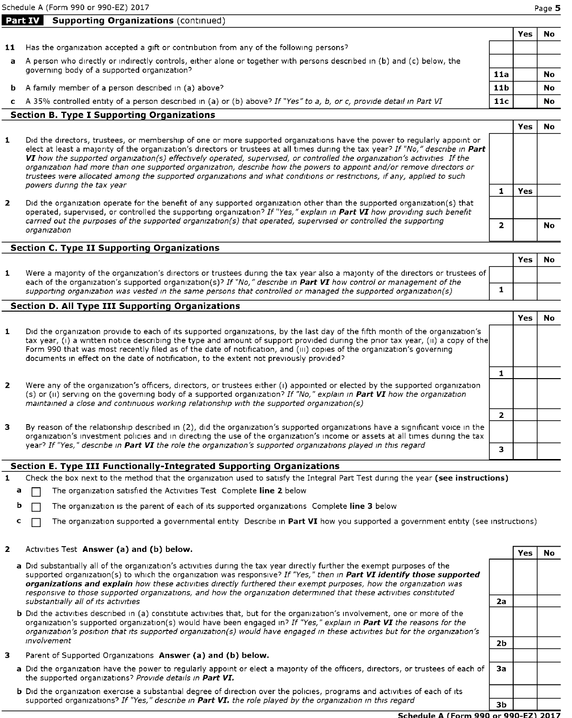Schedule A (Form 990 or 990-EZ) 2017 **Page 5** Page 5

|    |                                                                                                                         |                 | res | No        |
|----|-------------------------------------------------------------------------------------------------------------------------|-----------------|-----|-----------|
| 11 | Has the organization accepted a gift or contribution from any of the following persons?                                 |                 |     |           |
| a  | A person who directly or indirectly controls, either alone or together with persons described in (b) and (c) below, the |                 |     |           |
|    | governing body of a supported organization?                                                                             | 11a             |     | No        |
| b. | A family member of a person described in (a) above?                                                                     | 11 <sub>b</sub> |     | No        |
| c. | A 35% controlled entity of a person described in (a) or (b) above? If "Yes" to a, b, or c, provide detail in Part VI    | 11c             |     | <b>No</b> |
|    |                                                                                                                         |                 |     |           |

### Section B. Type I Supporting Organizations

Part **IV** Supporting Organizations (continued)

- Did the directors, trustees, or membership of one or more supported organizations have the power to regularly appoint or  $\mathbf{1}$ elect at least a majority of the organization's directors or trustees at all times during the tax year? If "No," describe in Part VI how the supported organization(s) effectively operated, supervised, or controlled the organization's activities If the organization had more than one supported organization, describe how the powers to appoint and/or remove directors or trustees were allocated among the supported organizations and what conditions or restrictions, if any, applied to such powers during the tax year
- 2 Did the organization operate for the benefit of any supported organization other than the supported organization(s) that operated, supervised, or controlled the supporting organization? If "Yes," explain in Part VI how providing such benefit carried out the purposes of the supported organization(s) that operated, supervised or controlled the supporting<br>organization

#### Section C. Type II Supporting Organizations

Yes No  $\mathbf{1}$ Were <sup>a</sup> majority of the organization's directors or trustees during the tax year also <sup>a</sup> majority of the directors or trustees of each of the organization's supported organization(s)? If "No," describe in Part VI how control or management of the supporting organization was vested in the same persons that controlled or managed the supported organization(s) 1

## Section D. All Type III Supporting Organizations

|                |                                                                                                                                                                                                                                                                                                                                                                                                                                                                                       |  | res |  |
|----------------|---------------------------------------------------------------------------------------------------------------------------------------------------------------------------------------------------------------------------------------------------------------------------------------------------------------------------------------------------------------------------------------------------------------------------------------------------------------------------------------|--|-----|--|
| 1              | Did the organization provide to each of its supported organizations, by the last day of the fifth month of the organization's<br>tax year, (i) a written notice describing the type and amount of support provided during the prior tax year, (ii) a copy of the<br>Form 990 that was most recently filed as of the date of notification, and (iii) copies of the organization's governing<br>documents in effect on the date of notification, to the extent not previously provided? |  |     |  |
|                |                                                                                                                                                                                                                                                                                                                                                                                                                                                                                       |  |     |  |
| $\overline{2}$ | Were any of the organization's officers, directors, or trustees either (i) appointed or elected by the supported organization<br>(s) or (ii) serving on the governing body of a supported organization? If "No," explain in Part VI how the organization<br>maintained a close and continuous working relationship with the supported organization(s)                                                                                                                                 |  |     |  |
|                |                                                                                                                                                                                                                                                                                                                                                                                                                                                                                       |  |     |  |
| 3              | By reason of the relationship described in (2), did the organization's supported organizations have a significant voice in the<br>organization's investment policies and in directing the use of the organization's income or assets at all times during the tax                                                                                                                                                                                                                      |  |     |  |
|                | year? If "Yes," describe in Part VI the role the organization's supported organizations played in this regard                                                                                                                                                                                                                                                                                                                                                                         |  |     |  |

# Section E. Type III Functionally-Integrated Supporting Organizations

- Check the box next to the method that the organization used to satisfy the Integral Part Test during the year (see instructions)
- The organization satisfied the Activities Test Complete line 2 below
- **b**  $\Box$  The organization is the parent of each of its supported organizations Complete line 3 below
- $\Box$  The organization supported a governmental entity Describe in Part VI how you supported a government entity (see instructions)

#### Activities Test Answer (a) and (b) below.  $\overline{2}$

 $\mathbf{1}$ 

 $\overline{\mathbf{3}}$ 

| a Did substantially all of the organization's activities during the tax year directly further the exempt purposes of the<br>supported organization(s) to which the organization was responsive? If "Yes," then in Part VI identify those supported<br>organizations and explain how these activities directly furthered their exempt purposes, how the organization was<br>responsive to those supported organizations, and how the organization determined that these activities constituted |                |  |
|-----------------------------------------------------------------------------------------------------------------------------------------------------------------------------------------------------------------------------------------------------------------------------------------------------------------------------------------------------------------------------------------------------------------------------------------------------------------------------------------------|----------------|--|
| substantially all of its activities                                                                                                                                                                                                                                                                                                                                                                                                                                                           | 2a             |  |
| <b>b</b> Did the activities described in (a) constitute activities that, but for the organization's involvement, one or more of the<br>organization's supported organization(s) would have been engaged in? If "Yes," explain in Part VI the reasons for the<br>organization's position that its supported organization(s) would have engaged in these activities but for the organization's                                                                                                  |                |  |
| involvement                                                                                                                                                                                                                                                                                                                                                                                                                                                                                   | 2 <sub>b</sub> |  |
| Parent of Supported Organizations Answer (a) and (b) below.                                                                                                                                                                                                                                                                                                                                                                                                                                   |                |  |
| a Did the organization have the power to regularly appoint or elect a majority of the officers, directors, or trustees of each of<br>the supported organizations? Provide details in Part VI.                                                                                                                                                                                                                                                                                                 | 3a             |  |

b Did the organization exercise a substantial degree of direction over the policies, programs and activities of each of its supported organizations? If "Yes," describe in **Part VI.** the role played by the organization in this regard  $\overline{3b}$ 

> Schedule A (Form 990 or 990-EZ) 2017

Yes <sup>I</sup> No

Yes | No

1 Yes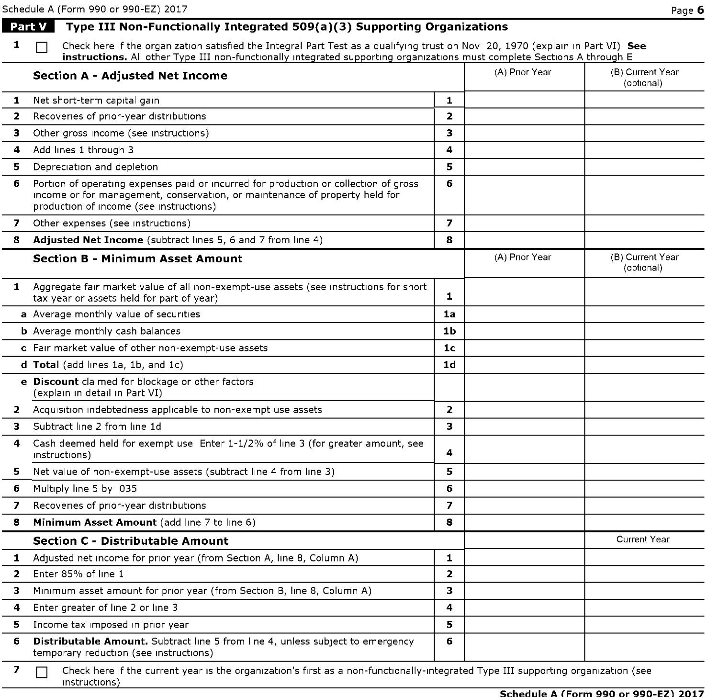# Schedule A (Form 990 or 990-EZ) 2017 **Page 6 Page 6 Part V** Type III Non-Functionally Integrated  $509(a)(3)$  Supporting Organizations 1  $\Box$  Check here if the organization satisfied the Integral Part Test as a qualifying trust on Nov 20, 1970 (explain in Part VI) See instructions. All other Type III non-functionally integrated supporting organizations must complete Sections A through E Section A - Adjusted Net Income (B) Current Year (B) Current Year (B) Current Year (optional) **1** Net short-term capital gain **1 1** 2 Recoveries of prior-year distributions 2 3 Other gross income (see instructions) 3 4 Add lines 1 through 3 4 Add lines 1 through 3 **5** Depreciation and depletion **5** Depreciation **5** 6 Portion of operating expenses paid or incurred for production or collection of gross income or for management, conservation, or maintenance of property held for production of income (see instructions) 6 7 Other expenses (see instructions) 7 8 Adjusted Net Income (subtract lines 5, 6 and 7 from line 4) 8 Section B - Minimum Asset Amount (B) And Controller (A) Prior Year (B) Current Year (B) Current Year (optional) 1 Aggregate fair market value of all non-exempt-use assets (see instructions for short  $\frac{1}{2}$  tax year or assets held for part of year) 1 a Average monthly value of securities late and the second securities and the second second securities of  $\mathbf{a}$ **b** Average monthly cash balances **later** and **laterally controlled by Average monthly cash balances <b>laterally**  $\blacksquare$ c Fair market value of other non-exempt-use assets **Ich and Community Community**  $1c$ d Total (add lines 1a, 1b, and 1c) in the case of the control of the control of the control of the control of the control of the control of the control of the control of the control of the control of the control of the con e Discount claimed for blockage or other factors (explain in detail in Part VI) 2 Acquisition indebtedness applicable to non-exempt use assets 2 3 Subtract line 2 from line ld 3 4 Cash deemed held for exempt use Enter 1-1/2% of line <sup>3</sup> (for greater amount, see instructions) 4 5 Net value of non-exempt-use assets (subtract line 4 from line 3) **5** 6 Multiply line 5 by 035  $\vert$  6 7 Recoveries of prior-year distributions 7 and 1999 and 1999 and 1999 and 1999 and 1999 and 1999 and 1999 and 1999 and 1999 and 1999 and 1999 and 1999 and 1999 and 1999 and 1999 and 1999 and 1999 and 1999 and 1999 and 1999 8 **Minimum Asset Amount** (add line 7 to line 6) 8 **8** 8 Section C - Distributable Amount Current Year Current Year Current Year Current Year Current Year Current Year 1 Adjusted net income for prior year (from Section A, line 8, Column A) 1 2 Enter 85% of line 1 2 2 Enter 85% of line 1 3 Minimum asset amount for prior year (from Section B, line 8, Column A) 3 4 Enter greater of line 2 or line 3 4 **5** Income tax imposed in prior year 5 April 2012 1 April 2012 1 April 2013 1 April 2013 1 April 2013 1 April 2013 1 April 2013 1 April 2013 1 April 2013 1 April 2013 1 April 2013 1 April 2013 1 April 2013 1 April 2013 1 A 6 Distributable Amount. Subtract line <sup>5</sup> from line 4, unless subject to emergency temporary reduction (see instructions) 6 7  $\Box$  Check here if the current year is the organization's first as a non-functionally-integrated Type III supporting organization (see instructions)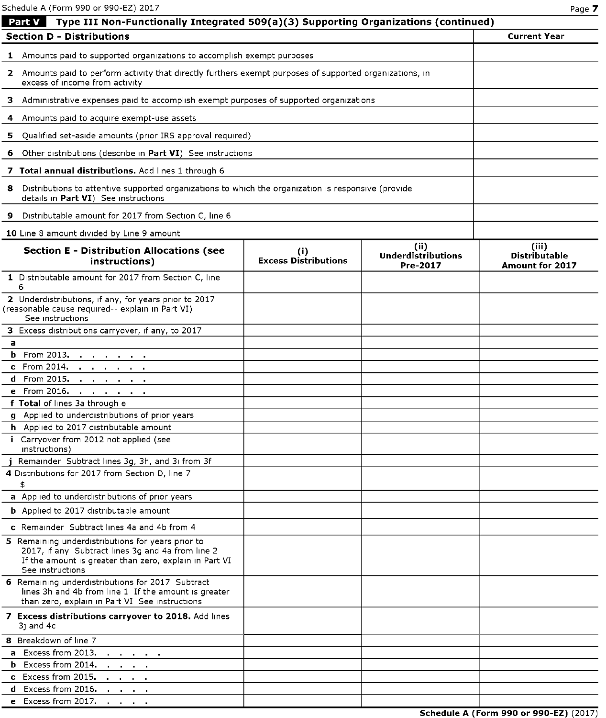Schedule A (Form 990 or 990-EZ) 2017 Page 7

| Type III Non-Functionally Integrated 509(a)(3) Supporting Organizations (continued)<br>Part V                                                                                        |                                    |                                               |                                                         |  |  |  |  |
|--------------------------------------------------------------------------------------------------------------------------------------------------------------------------------------|------------------------------------|-----------------------------------------------|---------------------------------------------------------|--|--|--|--|
| <b>Section D - Distributions</b>                                                                                                                                                     |                                    |                                               | <b>Current Year</b>                                     |  |  |  |  |
| 1 Amounts paid to supported organizations to accomplish exempt purposes                                                                                                              |                                    |                                               |                                                         |  |  |  |  |
| 2 Amounts paid to perform activity that directly furthers exempt purposes of supported organizations, in<br>excess of income from activity                                           |                                    |                                               |                                                         |  |  |  |  |
| 3 Administrative expenses paid to accomplish exempt purposes of supported organizations                                                                                              |                                    |                                               |                                                         |  |  |  |  |
| 4 Amounts paid to acquire exempt-use assets                                                                                                                                          |                                    |                                               |                                                         |  |  |  |  |
| 5 Qualified set-aside amounts (prior IRS approval required)                                                                                                                          |                                    |                                               |                                                         |  |  |  |  |
| 6 Other distributions (describe in Part VI) See instructions                                                                                                                         |                                    |                                               |                                                         |  |  |  |  |
| 7 Total annual distributions. Add lines 1 through 6                                                                                                                                  |                                    |                                               |                                                         |  |  |  |  |
| 8 Distributions to attentive supported organizations to which the organization is responsive (provide<br>details in Part VI) See instructions                                        |                                    |                                               |                                                         |  |  |  |  |
| 9 Distributable amount for 2017 from Section C, line 6                                                                                                                               |                                    |                                               |                                                         |  |  |  |  |
| 10 Line 8 amount divided by Line 9 amount                                                                                                                                            |                                    |                                               |                                                         |  |  |  |  |
| <b>Section E - Distribution Allocations (see</b><br>instructions)                                                                                                                    | (i)<br><b>Excess Distributions</b> | (ii)<br><b>Underdistributions</b><br>Pre-2017 | (iii)<br><b>Distributable</b><br><b>Amount for 2017</b> |  |  |  |  |
| 1 Distributable amount for 2017 from Section C, line<br>6                                                                                                                            |                                    |                                               |                                                         |  |  |  |  |
| 2 Underdistributions, if any, for years prior to 2017<br>(reasonable cause required-- explain in Part VI)<br>See instructions                                                        |                                    |                                               |                                                         |  |  |  |  |
| 3 Excess distributions carryover, if any, to 2017                                                                                                                                    |                                    |                                               |                                                         |  |  |  |  |
| a                                                                                                                                                                                    |                                    |                                               |                                                         |  |  |  |  |
| <b>b</b> From 2013. <u>.</u>                                                                                                                                                         |                                    |                                               |                                                         |  |  |  |  |
| c From 2014.                                                                                                                                                                         |                                    |                                               |                                                         |  |  |  |  |
| <b>d</b> From 2015. <u>.</u>                                                                                                                                                         |                                    |                                               |                                                         |  |  |  |  |
| e From 2016.                                                                                                                                                                         |                                    |                                               |                                                         |  |  |  |  |
| f Total of lines 3a through e                                                                                                                                                        |                                    |                                               |                                                         |  |  |  |  |
| g Applied to underdistributions of prior years                                                                                                                                       |                                    |                                               |                                                         |  |  |  |  |
| h Applied to 2017 distributable amount                                                                                                                                               |                                    |                                               |                                                         |  |  |  |  |
| i Carryover from 2012 not applied (see<br>instructions)                                                                                                                              |                                    |                                               |                                                         |  |  |  |  |
| j Remainder Subtract lines 3g, 3h, and 3i from 3f                                                                                                                                    |                                    |                                               |                                                         |  |  |  |  |
| 4 Distributions for 2017 from Section D, line 7                                                                                                                                      |                                    |                                               |                                                         |  |  |  |  |
| \$                                                                                                                                                                                   |                                    |                                               |                                                         |  |  |  |  |
| a Applied to underdistributions of prior years                                                                                                                                       |                                    |                                               |                                                         |  |  |  |  |
| <b>b</b> Applied to 2017 distributable amount                                                                                                                                        |                                    |                                               |                                                         |  |  |  |  |
| <b>c</b> Remainder Subtract lines 4a and 4b from 4                                                                                                                                   |                                    |                                               |                                                         |  |  |  |  |
| 5 Remaining underdistributions for years prior to<br>2017, if any Subtract lines 3g and 4a from line 2<br>If the amount is greater than zero, explain in Part VI<br>See instructions |                                    |                                               |                                                         |  |  |  |  |
| 6 Remaining underdistributions for 2017 Subtract<br>lines 3h and 4b from line 1 If the amount is greater<br>than zero, explain in Part VI See instructions                           |                                    |                                               |                                                         |  |  |  |  |
| 7 Excess distributions carryover to 2018. Add lines<br>31 and 4c                                                                                                                     |                                    |                                               |                                                         |  |  |  |  |
| 8 Breakdown of line 7                                                                                                                                                                |                                    |                                               |                                                         |  |  |  |  |
| a Excess from 2013.<br><b>All Andrew Committee</b>                                                                                                                                   |                                    |                                               |                                                         |  |  |  |  |
| <b>b</b> Excess from 2014.<br><b>Contract Contract</b>                                                                                                                               |                                    |                                               |                                                         |  |  |  |  |
| c Excess from 2015.<br>$\mathbf{A} = \mathbf{A} \mathbf{A} + \mathbf{A} \mathbf{A} + \mathbf{A} \mathbf{A}$                                                                          |                                    |                                               |                                                         |  |  |  |  |
| d Excess from 2016.                                                                                                                                                                  |                                    |                                               |                                                         |  |  |  |  |
| e Excess from 2017.                                                                                                                                                                  |                                    |                                               |                                                         |  |  |  |  |

Schedule A (Form 990 or 990-EZ) (2017)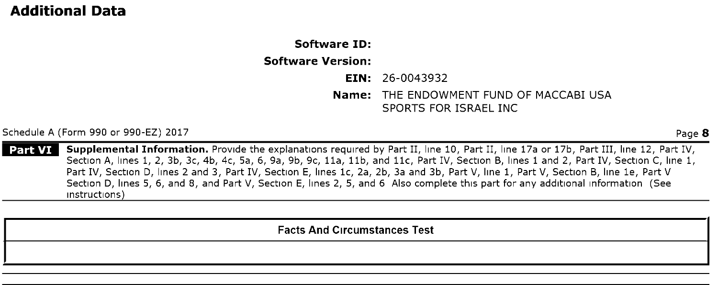# Additional Data

# Software ID: Software Version: EIN: 26-0043932 Name: THE ENDOWMENT FUND OF MACCABI USA SPORTS FOR ISRAEL INC

Schedule A (Form 990 or 990-EZ) 2017 Page 8

| Part VI | Supplemental Information. Provide the explanations required by Part II, line 10, Part II, line 17a or 17b, Part III, line 12, Part IV, Section A, lines 1, 2, 3b, 3c, 4b, 4c, 5a, 6, 9a, 9b, 9c, 11a, 11b, and 11c, Part IV, Section B, lines <sup>1</sup> and 2, Part IV, Section C, line 1, Part IV, Section D, lines 2 and 3, Part IV, Section E, lines 1c, 2a, 2b, 3a and 3b, Part V, line 1, Part V, Section B, line le, Part V Section D, lines 5, 6, and 8, and Part V, Section E, lines 2, 5, and 6 Also complete this part for any additional information (See instructions)

Facts And Circumstances Test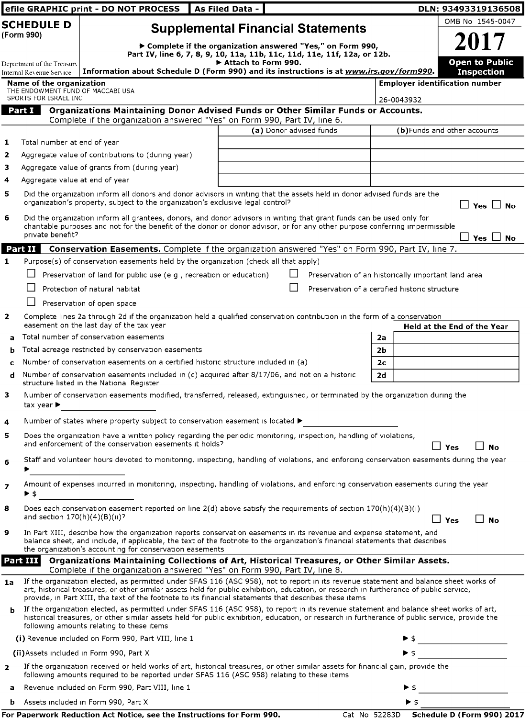|                            |                                                                      | efile GRAPHIC print - DO NOT PROCESS                                                                                                                                                                                                                                                                                                                                                       | As Filed Data -                                             |                         |                                                     | DLN: 93493319136508                   |
|----------------------------|----------------------------------------------------------------------|--------------------------------------------------------------------------------------------------------------------------------------------------------------------------------------------------------------------------------------------------------------------------------------------------------------------------------------------------------------------------------------------|-------------------------------------------------------------|-------------------------|-----------------------------------------------------|---------------------------------------|
| <b>SCHEDULE D</b>          |                                                                      |                                                                                                                                                                                                                                                                                                                                                                                            | <b>Supplemental Financial Statements</b>                    |                         |                                                     | OMB No 1545-0047                      |
| (Form 990)                 |                                                                      | Part IV, line 6, 7, 8, 9, 10, 11a, 11b, 11c, 11d, 11e, 11f, 12a, or 12b.                                                                                                                                                                                                                                                                                                                   | ▶ Complete if the organization answered "Yes," on Form 990, |                         |                                                     | 2017                                  |
| Department of the Treasurv |                                                                      |                                                                                                                                                                                                                                                                                                                                                                                            | Attach to Form 990.                                         |                         |                                                     | <b>Open to Public</b>                 |
|                            | Internal Revenue Service                                             | Information about Schedule D (Form 990) and its instructions is at www.irs.gov/form990.                                                                                                                                                                                                                                                                                                    |                                                             |                         |                                                     | <b>Inspection</b>                     |
|                            | <b>Name of the organization</b><br>THE ENDOWMENT FUND OF MACCABI USA |                                                                                                                                                                                                                                                                                                                                                                                            |                                                             |                         |                                                     | <b>Employer identification number</b> |
|                            | SPORTS FOR ISRAEL INC<br>Part I                                      | Organizations Maintaining Donor Advised Funds or Other Similar Funds or Accounts.                                                                                                                                                                                                                                                                                                          |                                                             |                         | 26-0043932                                          |                                       |
|                            |                                                                      | Complete if the organization answered "Yes" on Form 990, Part IV, line 6.                                                                                                                                                                                                                                                                                                                  |                                                             |                         |                                                     |                                       |
|                            |                                                                      |                                                                                                                                                                                                                                                                                                                                                                                            |                                                             | (a) Donor advised funds |                                                     | (b)Funds and other accounts           |
| 1                          | Total number at end of year                                          |                                                                                                                                                                                                                                                                                                                                                                                            |                                                             |                         |                                                     |                                       |
| $\mathbf{z}$<br>з          |                                                                      | Aggregate value of contributions to (during year)                                                                                                                                                                                                                                                                                                                                          |                                                             |                         |                                                     |                                       |
| 4                          | Aggregate value at end of year                                       | Aggregate value of grants from (during year)                                                                                                                                                                                                                                                                                                                                               |                                                             |                         |                                                     |                                       |
| 5                          |                                                                      | Did the organization inform all donors and donor advisors in writing that the assets held in donor advised funds are the<br>organization's property, subject to the organization's exclusive legal control?                                                                                                                                                                                |                                                             |                         |                                                     | $\square$ Yes $\square$ No            |
| 6                          | private benefit?                                                     | Did the organization inform all grantees, donors, and donor advisors in writing that grant funds can be used only for<br>charitable purposes and not for the benefit of the donor or donor advisor, or for any other purpose conferring impermissible                                                                                                                                      |                                                             |                         |                                                     | Yes $\Box$ No                         |
|                            | Part II                                                              | Conservation Easements. Complete if the organization answered "Yes" on Form 990, Part IV, line 7.                                                                                                                                                                                                                                                                                          |                                                             |                         |                                                     |                                       |
| 1                          |                                                                      | Purpose(s) of conservation easements held by the organization (check all that apply)                                                                                                                                                                                                                                                                                                       |                                                             |                         |                                                     |                                       |
|                            |                                                                      | Preservation of land for public use (e g, recreation or education)                                                                                                                                                                                                                                                                                                                         |                                                             |                         | Preservation of an historically important land area |                                       |
|                            |                                                                      | Protection of natural habitat                                                                                                                                                                                                                                                                                                                                                              |                                                             |                         | Preservation of a certified historic structure      |                                       |
|                            |                                                                      | Preservation of open space                                                                                                                                                                                                                                                                                                                                                                 |                                                             |                         |                                                     |                                       |
| $\mathbf{z}$               |                                                                      | Complete lines 2a through 2d if the organization held a qualified conservation contribution in the form of a conservation<br>easement on the last day of the tax year                                                                                                                                                                                                                      |                                                             |                         |                                                     | <b>Held at the End of the Year</b>    |
| a                          |                                                                      | Total number of conservation easements                                                                                                                                                                                                                                                                                                                                                     |                                                             |                         | 2a                                                  |                                       |
| b                          |                                                                      | Total acreage restricted by conservation easements<br>Number of conservation easements on a certified historic structure included in (a)                                                                                                                                                                                                                                                   |                                                             |                         | 2b<br>2 <sub>c</sub>                                |                                       |
| c<br>d                     |                                                                      | Number of conservation easements included in (c) acquired after 8/17/06, and not on a historic<br>structure listed in the National Register                                                                                                                                                                                                                                                |                                                             |                         | 2d                                                  |                                       |
| з                          | tax year $\blacktriangleright$                                       | Number of conservation easements modified, transferred, released, extinguished, or terminated by the organization during the                                                                                                                                                                                                                                                               |                                                             |                         |                                                     |                                       |
| 4                          |                                                                      | Number of states where property subject to conservation easement is located ▶                                                                                                                                                                                                                                                                                                              |                                                             |                         |                                                     |                                       |
| 5                          |                                                                      | Does the organization have a written policy regarding the periodic monitoring, inspection, handling of violations,<br>and enforcement of the conservation easements it holds?                                                                                                                                                                                                              |                                                             |                         |                                                     | 」Yes<br><b>No</b>                     |
| 6                          |                                                                      | Staff and volunteer hours devoted to monitoring, inspecting, handling of violations, and enforcing conservation easements during the year                                                                                                                                                                                                                                                  |                                                             |                         |                                                     |                                       |
| $\overline{\phantom{a}}$   |                                                                      | Amount of expenses incurred in monitoring, inspecting, handling of violations, and enforcing conservation easements during the year                                                                                                                                                                                                                                                        |                                                             |                         |                                                     |                                       |
|                            | ▶ \$                                                                 |                                                                                                                                                                                                                                                                                                                                                                                            |                                                             |                         |                                                     |                                       |
| 8                          | and section $170(h)(4)(B)(ii)$ ?                                     | Does each conservation easement reported on line 2(d) above satisfy the requirements of section 170(h)(4)(B)(i)                                                                                                                                                                                                                                                                            |                                                             |                         |                                                     | $\Box$ No<br>$\square$ Yes            |
| 9                          |                                                                      | In Part XIII, describe how the organization reports conservation easements in its revenue and expense statement, and<br>balance sheet, and include, if applicable, the text of the footnote to the organization's financial statements that describes<br>the organization's accounting for conservation easements                                                                          |                                                             |                         |                                                     |                                       |
|                            | Part III                                                             | Organizations Maintaining Collections of Art, Historical Treasures, or Other Similar Assets.<br>Complete if the organization answered "Yes" on Form 990, Part IV, line 8.                                                                                                                                                                                                                  |                                                             |                         |                                                     |                                       |
| 1a                         |                                                                      | If the organization elected, as permitted under SFAS 116 (ASC 958), not to report in its revenue statement and balance sheet works of<br>art, historical treasures, or other similar assets held for public exhibition, education, or research in furtherance of public service,<br>provide, in Part XIII, the text of the footnote to its financial statements that describes these items |                                                             |                         |                                                     |                                       |
| b                          |                                                                      | If the organization elected, as permitted under SFAS 116 (ASC 958), to report in its revenue statement and balance sheet works of art,<br>historical treasures, or other similar assets held for public exhibition, education, or research in furtherance of public service, provide the<br>following amounts relating to these items                                                      |                                                             |                         |                                                     |                                       |
|                            |                                                                      | (i) Revenue included on Form 990, Part VIII, line 1                                                                                                                                                                                                                                                                                                                                        |                                                             |                         |                                                     |                                       |
|                            |                                                                      | (ii) Assets included in Form 990, Part X                                                                                                                                                                                                                                                                                                                                                   |                                                             |                         |                                                     |                                       |
| $\mathbf{z}$               |                                                                      | If the organization received or held works of art, historical treasures, or other similar assets for financial gain, provide the<br>following amounts required to be reported under SFAS 116 (ASC 958) relating to these items                                                                                                                                                             |                                                             |                         |                                                     |                                       |
| a                          |                                                                      | Revenue included on Form 990, Part VIII, line 1                                                                                                                                                                                                                                                                                                                                            |                                                             |                         |                                                     |                                       |
| b                          |                                                                      | Assets included in Form 990, Part X                                                                                                                                                                                                                                                                                                                                                        |                                                             |                         | ▶ \$                                                |                                       |

|  |  | For Paperwork Reduction Act Notice, see the Instructions for Form 990 |  |
|--|--|-----------------------------------------------------------------------|--|
|  |  |                                                                       |  |

**O.** Cat Notice, Schedule D (Form 990) 2017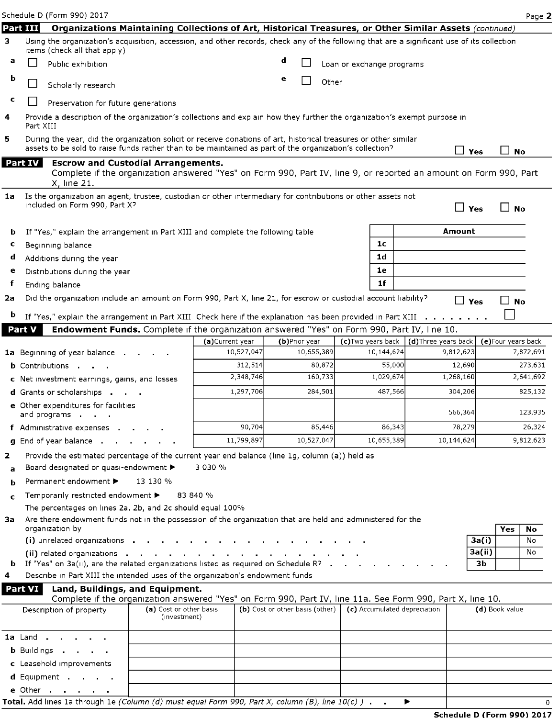e Other . .

|    |                | Schedule D (Form 990) 2017                                                                                                                                                                                                  |                                         |                                |                                 |                             |         |                           |                |                              |                                  |            |                     | Page 2    |
|----|----------------|-----------------------------------------------------------------------------------------------------------------------------------------------------------------------------------------------------------------------------|-----------------------------------------|--------------------------------|---------------------------------|-----------------------------|---------|---------------------------|----------------|------------------------------|----------------------------------|------------|---------------------|-----------|
|    | Part III       | Organizations Maintaining Collections of Art, Historical Treasures, or Other Similar Assets (continued)                                                                                                                     |                                         |                                |                                 |                             |         |                           |                |                              |                                  |            |                     |           |
| з  |                | Using the organization's acquisition, accession, and other records, check any of the following that are a significant use of its collection<br>items (check all that apply)                                                 |                                         |                                |                                 |                             |         |                           |                |                              |                                  |            |                     |           |
| а  |                | Public exhibition                                                                                                                                                                                                           |                                         |                                | d                               |                             |         | Loan or exchange programs |                |                              |                                  |            |                     |           |
| b  | $\sqcup$       | Scholarly research                                                                                                                                                                                                          |                                         |                                | е                               |                             | Other   |                           |                |                              |                                  |            |                     |           |
| c  |                | Preservation for future generations                                                                                                                                                                                         |                                         |                                |                                 |                             |         |                           |                |                              |                                  |            |                     |           |
| 4  | Part XIII      | Provide a description of the organization's collections and explain how they further the organization's exempt purpose in                                                                                                   |                                         |                                |                                 |                             |         |                           |                |                              |                                  |            |                     |           |
| 5  |                | During the year, did the organization solicit or receive donations of art, historical treasures or other similar<br>assets to be sold to raise funds rather than to be maintained as part of the organization's collection? |                                         |                                |                                 |                             |         |                           |                |                              | $\vdash$                         | Yes        | <b>No</b>           |           |
|    | <b>Part IV</b> | <b>Escrow and Custodial Arrangements.</b><br>Complete if the organization answered "Yes" on Form 990, Part IV, line 9, or reported an amount on Form 990, Part<br>X, line 21.                                               |                                         |                                |                                 |                             |         |                           |                |                              |                                  |            |                     |           |
| 1a |                | Is the organization an agent, trustee, custodian or other intermediary for contributions or other assets not<br>included on Form 990, Part X?                                                                               |                                         |                                |                                 |                             |         |                           |                |                              |                                  | $\Box$ Yes | 」No                 |           |
| b  |                | If "Yes," explain the arrangement in Part XIII and complete the following table                                                                                                                                             |                                         |                                |                                 |                             |         |                           |                |                              | Amount                           |            |                     |           |
| c  |                | Beginning balance                                                                                                                                                                                                           |                                         |                                |                                 |                             |         |                           | 1 <sub>c</sub> |                              |                                  |            |                     |           |
| d  |                | Additions during the year                                                                                                                                                                                                   |                                         |                                |                                 |                             |         |                           | 1 <sub>d</sub> |                              |                                  |            |                     |           |
| е  |                | Distributions during the year                                                                                                                                                                                               |                                         |                                |                                 |                             |         |                           | 1e             |                              |                                  |            |                     |           |
| f  |                | Ending balance                                                                                                                                                                                                              |                                         |                                |                                 |                             |         |                           | 1 <sub>f</sub> |                              |                                  |            |                     |           |
| 2a |                | Did the organization include an amount on Form 990, Part X, line 21, for escrow or custodial account liability?                                                                                                             |                                         |                                |                                 |                             |         |                           |                |                              |                                  | $\Box$ Yes | ⊿ No                |           |
| b  |                | If "Yes," explain the arrangement in Part XIII Check here if the explanation has been provided in Part XIII                                                                                                                 |                                         |                                |                                 |                             |         |                           |                |                              |                                  |            |                     |           |
|    | Part V         | Endowment Funds. Complete if the organization answered "Yes" on Form 990, Part IV, line 10.                                                                                                                                 |                                         |                                |                                 |                             |         |                           |                |                              |                                  |            |                     |           |
|    |                |                                                                                                                                                                                                                             |                                         | (a) Current year<br>10,527,047 |                                 | (b)Prior year<br>10,655,389 |         | (c)Two years back         | 10,144,624     |                              | (d)Three years back<br>9,812,623 |            | (e) Four years back | 7,872,691 |
|    |                | 1a Beginning of year balance.<br><b>b</b> Contributions                                                                                                                                                                     |                                         | 312,514                        |                                 |                             | 80,872  |                           | 55,000         |                              | 12,690                           |            |                     | 273,631   |
|    |                | c Net investment earnings, gains, and losses                                                                                                                                                                                |                                         | 2,348,746                      |                                 |                             | 160,733 |                           | 1,029,674      |                              | 1,268,160                        |            |                     | 2,641,692 |
|    |                | <b>d</b> Grants or scholarships                                                                                                                                                                                             |                                         | 1,297,706                      |                                 |                             | 284,501 |                           | 487,566        |                              | 304,206                          |            |                     | 825,132   |
|    |                | e Other expenditures for facilities                                                                                                                                                                                         |                                         |                                |                                 |                             |         |                           |                |                              |                                  |            |                     |           |
|    |                | and programs                                                                                                                                                                                                                |                                         |                                |                                 |                             |         |                           |                |                              | 566,364                          |            |                     | 123,935   |
|    |                | f Administrative expenses                                                                                                                                                                                                   |                                         | 90,704                         |                                 |                             | 85,446  |                           | 86,343         |                              | 78,279                           |            |                     | 26,324    |
|    |                | g End of year balance                                                                                                                                                                                                       |                                         | 11,799,897                     |                                 | 10,527,047                  |         |                           | 10,655,389     |                              | 10,144,624                       |            |                     | 9,812,623 |
| 2  |                | Provide the estimated percentage of the current year end balance (line 1g, column (a)) held as                                                                                                                              |                                         |                                |                                 |                             |         |                           |                |                              |                                  |            |                     |           |
| a  |                | Board designated or quasi-endowment >                                                                                                                                                                                       |                                         | 3 030 %                        |                                 |                             |         |                           |                |                              |                                  |            |                     |           |
| b  |                | Permanent endowment ▶                                                                                                                                                                                                       | 13 130 %                                |                                |                                 |                             |         |                           |                |                              |                                  |            |                     |           |
| c  |                | Temporarily restricted endowment ▶                                                                                                                                                                                          |                                         | 83 840 %                       |                                 |                             |         |                           |                |                              |                                  |            |                     |           |
|    |                | The percentages on lines 2a, 2b, and 2c should equal 100%                                                                                                                                                                   |                                         |                                |                                 |                             |         |                           |                |                              |                                  |            |                     |           |
| За |                | Are there endowment funds not in the possession of the organization that are held and administered for the<br>organization by                                                                                               |                                         |                                |                                 |                             |         |                           |                |                              |                                  |            | Yes                 | No        |
|    |                | (i) unrelated organizations .                                                                                                                                                                                               |                                         |                                |                                 |                             |         |                           |                |                              |                                  | 3a(i)      |                     | No        |
|    |                | (ii) related organizations $\cdot$ .                                                                                                                                                                                        | <b>Contract</b>                         |                                |                                 |                             |         |                           |                |                              |                                  | 3a(ii)     |                     | No        |
|    |                | <b>b</b> If "Yes" on $3a(u)$ , are the related organizations listed as required on Schedule R? $\blacksquare$                                                                                                               |                                         |                                |                                 |                             |         |                           |                |                              |                                  | 3b         |                     |           |
| 4  |                | Describe in Part XIII the intended uses of the organization's endowment funds                                                                                                                                               |                                         |                                |                                 |                             |         |                           |                |                              |                                  |            |                     |           |
|    | Part VI        | Land, Buildings, and Equipment.<br>Complete if the organization answered "Yes" on Form 990, Part IV, line 11a. See Form 990, Part X, line 10.                                                                               |                                         |                                |                                 |                             |         |                           |                |                              |                                  |            |                     |           |
|    |                | Description of property                                                                                                                                                                                                     | (a) Cost or other basis<br>(investment) |                                | (b) Cost or other basis (other) |                             |         |                           |                | (c) Accumulated depreciation |                                  |            | (d) Book value      |           |
|    | 1a Land.       |                                                                                                                                                                                                                             |                                         |                                |                                 |                             |         |                           |                |                              |                                  |            |                     |           |
|    |                | <b>b</b> Buildings                                                                                                                                                                                                          |                                         |                                |                                 |                             |         |                           |                |                              |                                  |            |                     |           |
|    |                | c Leasehold improvements                                                                                                                                                                                                    |                                         |                                |                                 |                             |         |                           |                |                              |                                  |            |                     |           |
|    |                | d Equipment                                                                                                                                                                                                                 |                                         |                                |                                 |                             |         |                           |                |                              |                                  |            |                     |           |

Total. Add lines 1a through 1e (Column (d) must equal Form 990, Part X, column (B), line  $10(c)$ ) .  $\rightarrow$   $\rightarrow$  0

## Schedule D (Form 990) 2017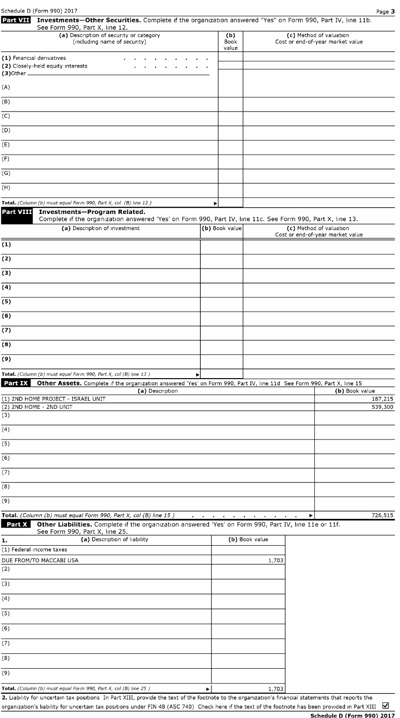| Schedule D (Form 990) 2017<br>Investments-Other Securities. Complete if the organization answered "Yes" on Form 990, Part IV, line 11b.<br>Part VII                                 |                |                                                          | Page 3                                                      |
|-------------------------------------------------------------------------------------------------------------------------------------------------------------------------------------|----------------|----------------------------------------------------------|-------------------------------------------------------------|
| See Form 990, Part X, line 12.<br>(a) Description of security or category<br>(including name of security)                                                                           | (b)<br>Book    |                                                          | (c) Method of valuation<br>Cost or end-of-year market value |
| (1) Financial derivatives<br>(2) Closely-held equity interests                                                                                                                      | value          |                                                          |                                                             |
| (A)                                                                                                                                                                                 |                |                                                          |                                                             |
| (B)                                                                                                                                                                                 |                |                                                          |                                                             |
| (C)                                                                                                                                                                                 |                |                                                          |                                                             |
| (D)                                                                                                                                                                                 |                |                                                          |                                                             |
| (E)                                                                                                                                                                                 |                |                                                          |                                                             |
| (F)                                                                                                                                                                                 |                |                                                          |                                                             |
| (G)                                                                                                                                                                                 |                |                                                          |                                                             |
| (H)                                                                                                                                                                                 |                |                                                          |                                                             |
| Total. (Column (b) must equal Form 990, Part X, col (B) line 12)                                                                                                                    | ▶              |                                                          |                                                             |
| Part VIII<br>Investments-Program Related.<br>Complete if the organization answered 'Yes' on Form 990, Part IV, line 11c. See Form 990, Part X, line 13.                             |                |                                                          |                                                             |
| (a) Description of investment                                                                                                                                                       | (b) Book value |                                                          | (c) Method of valuation                                     |
| (1)                                                                                                                                                                                 |                |                                                          | Cost or end-of-year market value                            |
| (2)                                                                                                                                                                                 |                |                                                          |                                                             |
| (3)                                                                                                                                                                                 |                |                                                          |                                                             |
| (4)                                                                                                                                                                                 |                |                                                          |                                                             |
| (5)                                                                                                                                                                                 |                |                                                          |                                                             |
| (6)                                                                                                                                                                                 |                |                                                          |                                                             |
| (7)                                                                                                                                                                                 |                |                                                          |                                                             |
| (8)                                                                                                                                                                                 |                |                                                          |                                                             |
| (9)                                                                                                                                                                                 |                |                                                          |                                                             |
| Total. (Column (b) must equal Form 990, Part X, col (B) line 13)<br>Þ                                                                                                               |                |                                                          |                                                             |
| <b>Part IX</b><br>Other Assets. Complete if the organization answered 'Yes' on Form 990, Part IV, line 11d See Form 990, Part X, line 15<br>(a) Description                         |                |                                                          | (b) Book value                                              |
| (1) 2ND HOME PROJECT - ISRAEL UNIT<br>(2) 2ND HOME - 2ND UNIT<br>(3)                                                                                                                |                |                                                          | 187,215<br>539,300                                          |
| (4)                                                                                                                                                                                 |                |                                                          |                                                             |
| (5)                                                                                                                                                                                 |                |                                                          |                                                             |
| (6)                                                                                                                                                                                 |                |                                                          |                                                             |
| (7)                                                                                                                                                                                 |                |                                                          |                                                             |
| (8)                                                                                                                                                                                 |                |                                                          |                                                             |
| (9)                                                                                                                                                                                 |                |                                                          |                                                             |
| Total. (Column (b) must equal Form 990, Part X, col (B) line 15)<br>Part X<br>Other Liabilities. Complete if the organization answered 'Yes' on Form 990, Part IV, line 11e or 11f. |                | the contract of the contract of the contract of the con- | 726,515<br>▶                                                |
| See Form 990, Part X, line 25.<br>(a) Description of liability<br>1.                                                                                                                |                | (b) Book value                                           |                                                             |
| (1) Federal income taxes                                                                                                                                                            |                |                                                          |                                                             |
| DUE FROM/TO MACCABI USA<br>(2)                                                                                                                                                      |                | 1,703                                                    |                                                             |
| (3)                                                                                                                                                                                 |                |                                                          |                                                             |
| (4)                                                                                                                                                                                 |                |                                                          |                                                             |
| (5)                                                                                                                                                                                 |                |                                                          |                                                             |
| (6)                                                                                                                                                                                 |                |                                                          |                                                             |
| (7)                                                                                                                                                                                 |                |                                                          |                                                             |
| (8)                                                                                                                                                                                 |                |                                                          |                                                             |
| (9)                                                                                                                                                                                 |                |                                                          |                                                             |
|                                                                                                                                                                                     |                |                                                          |                                                             |

Total . (Column (b) must equal Fo m 990, Part X, col (B) <sup>l</sup> ne <sup>25</sup> ) ► <sup>I</sup> 1,703

2. Liability for uncertain tax positions In Part XIII, provide the text of the footnote to the organization's financial statements that reports the organization's liability for uncertain tax positions under FIN 48 (ASC 740) Check here if the text of the footnote has been provided in Part XIII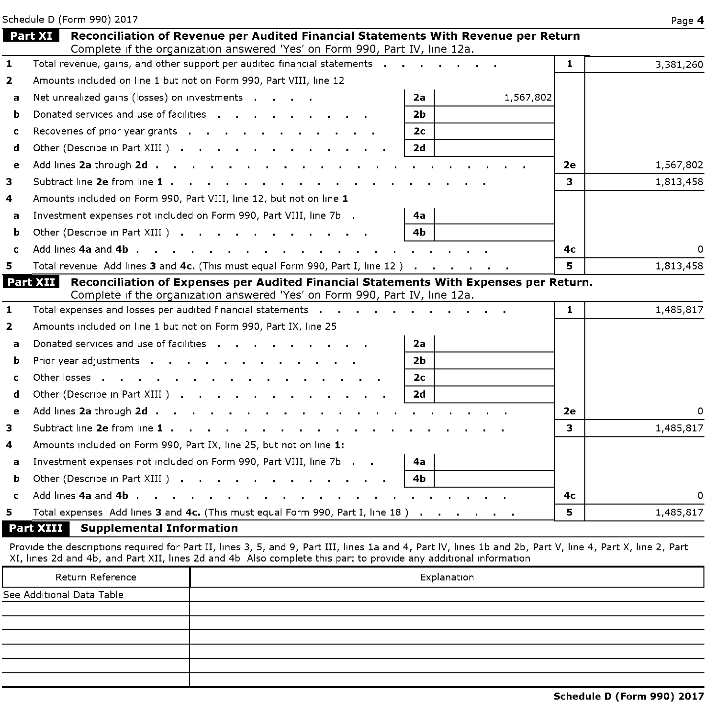|                | Schedule D (Form 990) 2017                                                                                                                                                   |              | Page 4                |
|----------------|------------------------------------------------------------------------------------------------------------------------------------------------------------------------------|--------------|-----------------------|
|                | Part XI<br>Reconciliation of Revenue per Audited Financial Statements With Revenue per Return<br>Complete if the organization answered 'Yes' on Form 990, Part IV, line 12a. |              |                       |
| $\mathbf{1}$   | Total revenue, gains, and other support per audited financial statements (all cases of the content of the content                                                            | $\mathbf{1}$ | 3,381,260             |
| $\overline{2}$ | Amounts included on line 1 but not on Form 990, Part VIII, line 12                                                                                                           |              |                       |
| a              | Net unrealized gains (losses) on investments<br>1,567,802<br>2a                                                                                                              |              |                       |
| b              | Donated services and use of facilities<br>2 <sub>b</sub>                                                                                                                     |              |                       |
| $\mathbf{c}$   | Recoveries of prior year grants<br>2 <sub>c</sub>                                                                                                                            |              |                       |
| d              | Other (Describe in Part XIII)<br>2d                                                                                                                                          |              |                       |
| e              |                                                                                                                                                                              | 2е           | 1,567,802             |
| 3              |                                                                                                                                                                              | 3            | 1,813,458             |
| 4              | Amounts included on Form 990, Part VIII, line 12, but not on line 1                                                                                                          |              |                       |
| a              | Investment expenses not included on Form 990, Part VIII, line 7b .<br>4a                                                                                                     |              |                       |
| b              | Other (Describe in Part XIII)<br>4b.                                                                                                                                         |              |                       |
| c              |                                                                                                                                                                              | 4с           | $\Omega$              |
| 5.             | Total revenue Add lines 3 and 4c. (This must equal Form 990, Part I, line 12)                                                                                                | 5            | 1,813,458             |
|                | <b>Part XII</b><br>Reconciliation of Expenses per Audited Financial Statements With Expenses per Return.                                                                     |              |                       |
| $\mathbf{1}$   | Complete if the organization answered 'Yes' on Form 990, Part IV, line 12a.<br>Total expenses and losses per audited financial statements                                    | $\mathbf{1}$ |                       |
|                | Amounts included on line 1 but not on Form 990, Part IX, line 25                                                                                                             |              |                       |
|                |                                                                                                                                                                              |              |                       |
| $\overline{2}$ |                                                                                                                                                                              |              |                       |
| a              | Donated services and use of facilities<br>2a                                                                                                                                 |              | 1,485,817             |
| b              | Prior year adjustments<br>2b                                                                                                                                                 |              |                       |
| $\mathbf{C}$   | 2 <sub>c</sub>                                                                                                                                                               |              |                       |
| d              | Other (Describe in Part XIII )<br>2d                                                                                                                                         |              |                       |
| e              | Add lines 2a through 2d                                                                                                                                                      | 2e           |                       |
| з.             |                                                                                                                                                                              | 3            | 0<br>1,485,817        |
| 4              | Amounts included on Form 990, Part IX, line 25, but not on line 1:                                                                                                           |              |                       |
| a              | Investment expenses not included on Form 990, Part VIII, line 7b<br>4a                                                                                                       |              |                       |
| b              | Other (Describe in Part XIII)<br>4b                                                                                                                                          |              |                       |
| c<br>5.        | Total expenses Add lines 3 and 4c. (This must equal Form 990, Part I, line 18)                                                                                               | 4с<br>5      | $\Omega$<br>1,485,817 |

Provide the descriptions required for Part II, lines 3, 5, and 9, Part III, lines la and 4, Part IV, lines lb and 2b, Part V, line 4, Part X, line 2, Part XI, lines 2d and 4b, and Part XII, lines 2d and 4b Also complete this part to provide any additional information

| Return Reference          | Explanation |
|---------------------------|-------------|
| See Additional Data Table |             |
|                           |             |
|                           |             |
|                           |             |
|                           |             |
|                           |             |
|                           |             |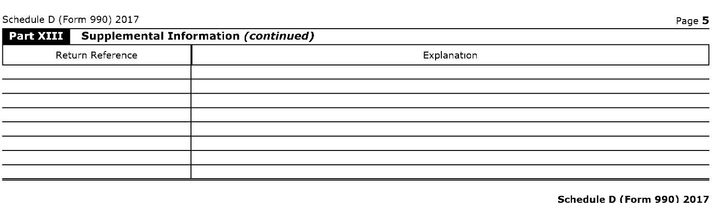Schedule D (Form 990) 2017 Page 5

| Part XIII Supplemental Information (continued) |             |
|------------------------------------------------|-------------|
| Return Reference                               | Explanation |
|                                                |             |
|                                                |             |
|                                                |             |
|                                                |             |
|                                                |             |
|                                                |             |
|                                                |             |
|                                                |             |

#### Schedule D (Form 990) 2017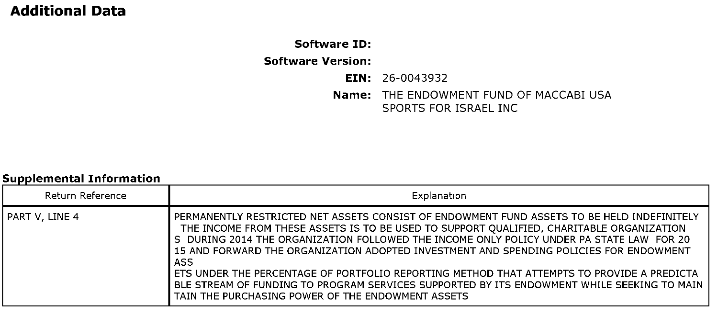# Additional Data

# Software ID: Software Version: EIN: 26-0043932 Name: THE ENDOWMENT FUND OF MACCABI USA SPORTS FOR ISRAEL INC

### Sunnlemental Information

| Return Reference | Explanation                                                                                                                                                                                                                                                                                                                                                                                                                                                                                                                                                                                                                          |
|------------------|--------------------------------------------------------------------------------------------------------------------------------------------------------------------------------------------------------------------------------------------------------------------------------------------------------------------------------------------------------------------------------------------------------------------------------------------------------------------------------------------------------------------------------------------------------------------------------------------------------------------------------------|
| l PART V. LINE 4 | PERMANENTLY RESTRICTED NET ASSETS CONSIST OF ENDOWMENT FUND ASSETS TO BE HELD INDEFINITELY<br>THE INCOME FROM THESE ASSETS IS TO BE USED TO SUPPORT QUALIFIED, CHARITABLE ORGANIZATION<br>S DURING 2014 THE ORGANIZATION FOLLOWED THE INCOME ONLY POLICY UNDER PA STATE LAW FOR 20<br>15 AND FORWARD THE ORGANIZATION ADOPTED INVESTMENT AND SPENDING POLICIES FOR ENDOWMENT<br>ASS<br>ETS UNDER THE PERCENTAGE OF PORTFOLIO REPORTING METHOD THAT ATTEMPTS TO PROVIDE A PREDICTA<br>BLE STREAM OF FUNDING TO PROGRAM SERVICES SUPPORTED BY ITS ENDOWMENT WHILE SEEKING TO MAIN<br>TAIN THE PURCHASING POWER OF THE ENDOWMENT ASSETS |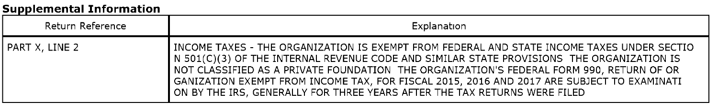# Supplemental Information

| Return Reference | Explanation                                                                                                                                                                                                                                                                                                                                                                                                                                                                   |
|------------------|-------------------------------------------------------------------------------------------------------------------------------------------------------------------------------------------------------------------------------------------------------------------------------------------------------------------------------------------------------------------------------------------------------------------------------------------------------------------------------|
| PART X, LINE 2   | INCOME TAXES - THE ORGANIZATION IS EXEMPT FROM FEDERAL AND STATE INCOME TAXES UNDER SECTIO<br>$\textsf{I}$ N 501(C)(3) OF THE INTERNAL REVENUE CODE AND SIMILAR STATE PROVISIONS THE ORGANIZATION IS<br>I NOT CLASSIFIED AS A PRIVATE FOUNDATION THE ORGANIZATION'S FEDERAL FORM 990, RETURN OF OR<br>GANIZATION EXEMPT FROM INCOME TAX, FOR FISCAL 2015, 2016 AND 2017 ARE SUBJECT TO EXAMINATI<br>ON BY THE IRS, GENERALLY FOR THREE YEARS AFTER THE TAX RETURNS WERE FILED |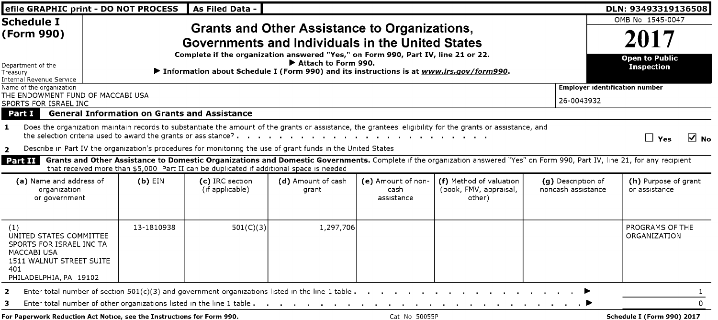| efile GRAPHIC print - DO NOT PROCESS                                                                                                          |                                                     | As Filed Data -                                                                         |                                                                                                                                                                                                                                                                                                                   |                                                                        |                                                                                                                                                                                                                                |                                          | DLN: 93493319136508                                                                                                                                                                               |
|-----------------------------------------------------------------------------------------------------------------------------------------------|-----------------------------------------------------|-----------------------------------------------------------------------------------------|-------------------------------------------------------------------------------------------------------------------------------------------------------------------------------------------------------------------------------------------------------------------------------------------------------------------|------------------------------------------------------------------------|--------------------------------------------------------------------------------------------------------------------------------------------------------------------------------------------------------------------------------|------------------------------------------|---------------------------------------------------------------------------------------------------------------------------------------------------------------------------------------------------|
| <b>Schedule I</b><br>(Form 990)<br>Department of the<br>Treasury                                                                              |                                                     |                                                                                         | <b>Grants and Other Assistance to Organizations,</b><br>Governments and Individuals in the United States<br>Complete if the organization answered "Yes," on Form 990, Part IV, line 21 or 22.<br>Attach to Form 990.<br>▶ Information about Schedule I (Form 990) and its instructions is at www.irs.gov/form990. | OMB No 1545-0047<br>2017<br><b>Open to Public</b><br><b>Inspection</b> |                                                                                                                                                                                                                                |                                          |                                                                                                                                                                                                   |
| <b>Internal Revenue Service</b><br>Name of the organization<br>THE ENDOWMENT FUND OF MACCABI USA<br>SPORTS FOR ISRAEL INC<br>Part I           | <b>General Information on Grants and Assistance</b> |                                                                                         |                                                                                                                                                                                                                                                                                                                   |                                                                        |                                                                                                                                                                                                                                | 26-0043932                               | <b>Employer identification number</b>                                                                                                                                                             |
| -1.<br>$\overline{2}$<br>  Part II                                                                                                            |                                                     | that received more than \$5,000 Part II can be duplicated if additional space is needed | Describe in Part IV the organization's procedures for monitoring the use of grant funds in the United States                                                                                                                                                                                                      |                                                                        | Does the organization maintain records to substantiate the amount of the grants or assistance, the grantees' eligibility for the grants or assistance, and                                                                     |                                          | M ⊠<br>$\Box$ Yes<br>Grants and Other Assistance to Domestic Organizations and Domestic Governments. Complete if the organization answered "Yes" on Form 990, Part IV, line 21, for any recipient |
| (a) Name and address of<br>organization<br>or government                                                                                      | $(b)$ EIN                                           | (c) IRC section<br>(if applicable)                                                      | (d) Amount of cash<br>grant                                                                                                                                                                                                                                                                                       | (e) Amount of non-<br>cash<br>assistance                               | (f) Method of valuation<br>(book, FMV, appraisal,<br>other)                                                                                                                                                                    | (q) Description of<br>noncash assistance | (h) Purpose of grant<br>or assistance                                                                                                                                                             |
| (1)<br>UNITED STATES COMMITTEE<br>SPORTS FOR ISRAEL INC TA<br><b>MACCABI USA</b><br>1511 WALNUT STREET SUITE<br>401<br>PHILADELPHIA, PA 19102 | 13-1810938                                          | 501(C)(3)                                                                               | 1,297,706                                                                                                                                                                                                                                                                                                         |                                                                        |                                                                                                                                                                                                                                |                                          | PROGRAMS OF THE<br>ORGANIZATION                                                                                                                                                                   |
| 2<br>з<br>For Paperwork Reduction Act Notice, see the Instructions for Form 990.                                                              |                                                     |                                                                                         | Enter total number of section $501(c)(3)$ and government organizations listed in the line 1 table $\ldots$ .<br>Enter total number of other organizations listed in the line 1 table                                                                                                                              | Cat No 50055P                                                          | the community of the community of the Property of the Property of the Property of the Property of the Property of the Property of the Property of the Property of the Property of the Property of the Property of the Property |                                          | Schedule I (Form 990) 2017                                                                                                                                                                        |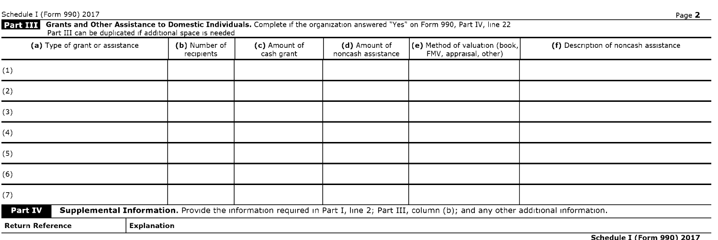Schedule I (Form 990) 2017 Page 2

Grants and Other Assistance to Domestic Individuals . Complete if the organization answered "Yes" on Form 990, Part IV, line 22 Part III

Part III can be duplicated if additional space is needed

| (a) Type of grant or assistance |                    | (b) Number of<br>recipients | (c) Amount of<br>cash grant | (d) Amount of<br>noncash assistance | $\vert$ (e) Method of valuation (book, $\vert$<br>FMV, appraisal, other)                                                                  | (f) Description of noncash assistance |  |
|---------------------------------|--------------------|-----------------------------|-----------------------------|-------------------------------------|-------------------------------------------------------------------------------------------------------------------------------------------|---------------------------------------|--|
| (1)                             |                    |                             |                             |                                     |                                                                                                                                           |                                       |  |
| (2)                             |                    |                             |                             |                                     |                                                                                                                                           |                                       |  |
| (3)                             |                    |                             |                             |                                     |                                                                                                                                           |                                       |  |
| (4)                             |                    |                             |                             |                                     |                                                                                                                                           |                                       |  |
| (5)                             |                    |                             |                             |                                     |                                                                                                                                           |                                       |  |
| (6)                             |                    |                             |                             |                                     |                                                                                                                                           |                                       |  |
| (7)                             |                    |                             |                             |                                     |                                                                                                                                           |                                       |  |
| Part IV                         |                    |                             |                             |                                     | Supplemental Information. Provide the information required in Part I, line 2; Part III, column (b); and any other additional information. |                                       |  |
| <b>Return Reference</b>         | <b>Explanation</b> |                             |                             |                                     |                                                                                                                                           |                                       |  |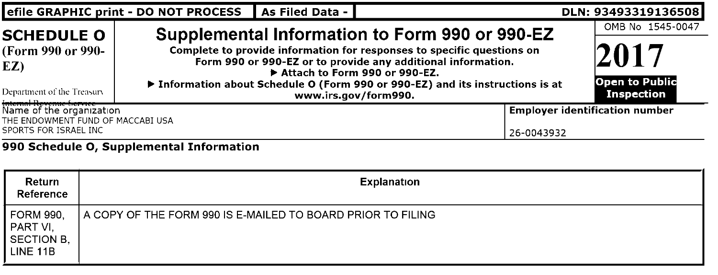|                                                                                                                                                                              |  | efile GRAPHIC print - DO NOT PROCESS<br>As Filed Data - |                                                                                                                                                                                                                                                                            | DLN: 93493319136508 |  |  |  |
|------------------------------------------------------------------------------------------------------------------------------------------------------------------------------|--|---------------------------------------------------------|----------------------------------------------------------------------------------------------------------------------------------------------------------------------------------------------------------------------------------------------------------------------------|---------------------|--|--|--|
| <b>SCHEDULE O</b><br>(Form 990 or 990-<br>EZ)<br>Department of the Treasury                                                                                                  |  | Attach to Form 990 or 990-EZ.<br>www.irs.gov/form990.   | Supplemental Information to Form 990 or 990-EZ<br>Complete to provide information for responses to specific questions on<br>Form 990 or 990-EZ or to provide any additional information.<br>▶ Information about Schedule O (Form 990 or 990-EZ) and its instructions is at |                     |  |  |  |
| Internal Revenue Service ——<br>Name of the organization<br><b>Employer identification number</b><br>THE ENDOWMENT FUND OF MACCABI USA<br>SPORTS FOR ISRAEL INC<br>26-0043932 |  |                                                         |                                                                                                                                                                                                                                                                            |                     |  |  |  |
|                                                                                                                                                                              |  | 990 Schedule O, Supplemental Information                |                                                                                                                                                                                                                                                                            |                     |  |  |  |
| Return<br>Reference                                                                                                                                                          |  | <b>Explanation</b>                                      |                                                                                                                                                                                                                                                                            |                     |  |  |  |
| <b>FORM 990.</b><br>A COPY OF THE FORM 990 IS E-MAILED TO BOARD PRIOR TO FILING<br>PART VI.                                                                                  |  |                                                         |                                                                                                                                                                                                                                                                            |                     |  |  |  |

SECTION B, LINE 11B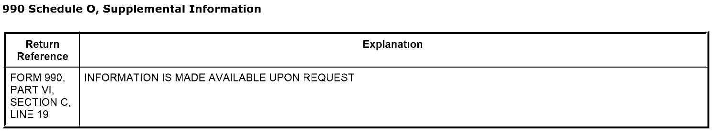# 990 Schedule 0, Supplemental Information

| Return<br>Reference                                          | Explanation                                  |
|--------------------------------------------------------------|----------------------------------------------|
| <b>FORM 990.</b><br>PART VI.<br>SECTION C.<br><b>LINE 19</b> | I INFORMATION IS MADE AVAILABLE UPON REQUEST |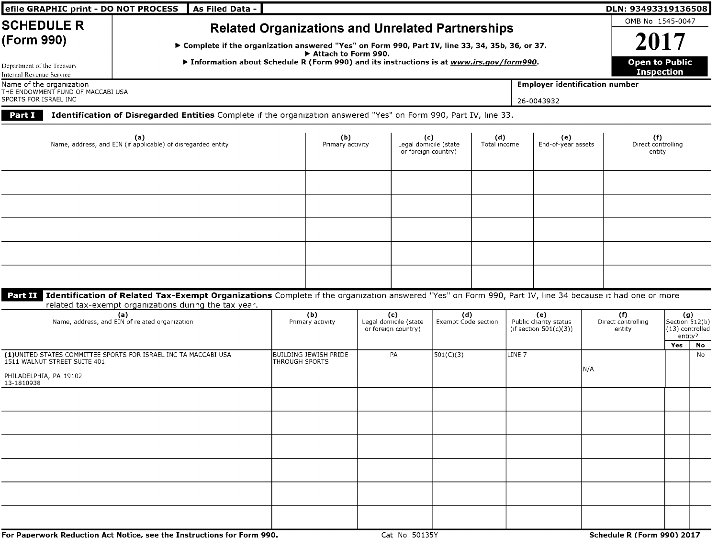| efile GRAPHIC print - DO NOT PROCESS                                                                                                                                                                    | As Filed Data -                                                                                                                                                                                                                                                                 |                |                         |  |                                                     |                            |                     |        |                                                           |     | DLN: 93493319136508                 |                   |                                                   |  |  |  |  |
|---------------------------------------------------------------------------------------------------------------------------------------------------------------------------------------------------------|---------------------------------------------------------------------------------------------------------------------------------------------------------------------------------------------------------------------------------------------------------------------------------|----------------|-------------------------|--|-----------------------------------------------------|----------------------------|---------------------|--------|-----------------------------------------------------------|-----|-------------------------------------|-------------------|---------------------------------------------------|--|--|--|--|
| <b>SCHEDULE R</b><br>(Form 990)                                                                                                                                                                         | <b>Related Organizations and Unrelated Partnerships</b><br>▶ Complete if the organization answered "Yes" on Form 990, Part IV, line 33, 34, 35b, 36, or 37.<br>Attach to Form 990.<br>▶ Information about Schedule R (Form 990) and its instructions is at www.irs.gov/form990. |                |                         |  |                                                     |                            |                     |        |                                                           |     |                                     |                   | OMB No 1545-0047<br>2017<br><b>Open to Public</b> |  |  |  |  |
| Department of the Treasury<br>Internal Revenue Service<br><b>Employer identification number</b><br>Name of the organization<br>THE ENDOWMENT FUND OF MACCABI USA<br>SPORTS FOR ISRAEL INC<br>26-0043932 |                                                                                                                                                                                                                                                                                 |                |                         |  |                                                     |                            |                     |        |                                                           |     |                                     | <b>Inspection</b> |                                                   |  |  |  |  |
| Part I                                                                                                                                                                                                  | Identification of Disregarded Entities Complete if the organization answered "Yes" on Form 990, Part IV, line 33.                                                                                                                                                               |                |                         |  |                                                     |                            |                     |        |                                                           |     |                                     |                   |                                                   |  |  |  |  |
|                                                                                                                                                                                                         | (a)<br>Name, address, and EIN (if applicable) of disregarded entity                                                                                                                                                                                                             |                | (b)<br>Primary activity |  | (c)<br>Legal domicile (state<br>or foreign country) |                            | (d)<br>Total income |        | (e)<br>End-of-year assets                                 |     | (f)<br>Direct controlling<br>entity |                   |                                                   |  |  |  |  |
|                                                                                                                                                                                                         |                                                                                                                                                                                                                                                                                 |                |                         |  |                                                     |                            |                     |        |                                                           |     |                                     |                   |                                                   |  |  |  |  |
|                                                                                                                                                                                                         |                                                                                                                                                                                                                                                                                 |                |                         |  |                                                     |                            |                     |        |                                                           |     |                                     |                   |                                                   |  |  |  |  |
|                                                                                                                                                                                                         |                                                                                                                                                                                                                                                                                 |                |                         |  |                                                     |                            |                     |        |                                                           |     |                                     |                   |                                                   |  |  |  |  |
| Part II                                                                                                                                                                                                 | Identification of Related Tax-Exempt Organizations Complete if the organization answered "Yes" on Form 990, Part IV, line 34 because it had one or more<br>related tax-exempt organizations during the tax year.                                                                |                |                         |  |                                                     |                            |                     |        |                                                           |     |                                     |                   |                                                   |  |  |  |  |
|                                                                                                                                                                                                         | (a)<br>Name, address, and EIN of related organization                                                                                                                                                                                                                           |                | (b)<br>Primary activity |  | (c)<br>Legal domicile (state<br>or foreign country) | (d)<br>Exempt Code section |                     |        | (e)<br>Public charity status<br>(if section $501(c)(3)$ ) |     | (f)<br>Direct controlling<br>entity | (g)<br>entity?    | Section 512(b)<br>(13) controlled                 |  |  |  |  |
| 1511 WALNUT STREET SUITE 401                                                                                                                                                                            | (1) UNITED STATES COMMITTEE SPORTS FOR ISRAEL INC TA MACCABI USA                                                                                                                                                                                                                | THROUGH SPORTS | BUILDING JEWISH PRIDE   |  | PA                                                  | 501(C)(3)                  |                     | LINE 7 |                                                           |     |                                     | Yes               | No<br>No                                          |  |  |  |  |
| PHILADELPHIA, PA 19102<br>13-1810938                                                                                                                                                                    |                                                                                                                                                                                                                                                                                 |                |                         |  |                                                     |                            |                     |        |                                                           | N/A |                                     |                   |                                                   |  |  |  |  |
|                                                                                                                                                                                                         |                                                                                                                                                                                                                                                                                 |                |                         |  |                                                     |                            |                     |        |                                                           |     |                                     |                   |                                                   |  |  |  |  |
|                                                                                                                                                                                                         |                                                                                                                                                                                                                                                                                 |                |                         |  |                                                     |                            |                     |        |                                                           |     |                                     |                   |                                                   |  |  |  |  |
|                                                                                                                                                                                                         |                                                                                                                                                                                                                                                                                 |                |                         |  |                                                     |                            |                     |        |                                                           |     |                                     |                   |                                                   |  |  |  |  |
|                                                                                                                                                                                                         |                                                                                                                                                                                                                                                                                 |                |                         |  |                                                     |                            |                     |        |                                                           |     |                                     |                   |                                                   |  |  |  |  |
|                                                                                                                                                                                                         |                                                                                                                                                                                                                                                                                 |                |                         |  |                                                     |                            |                     |        |                                                           |     |                                     |                   |                                                   |  |  |  |  |
|                                                                                                                                                                                                         | For Paperwork Reduction Act Notice, see the Instructions for Form 990.                                                                                                                                                                                                          |                |                         |  | Cat No 50135Y                                       |                            |                     |        |                                                           |     | Schedule R (Form 990) 2017          |                   |                                                   |  |  |  |  |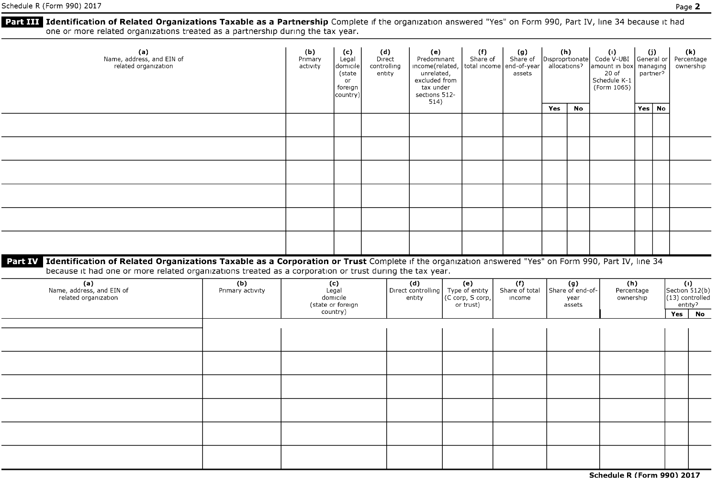# **Part III** Identification of Related Organizations Taxable as a Partnership Complete if the organization answered "Yes" on Form 990, Part IV, line 34 because it had one or more related organizations treated as <sup>a</sup> partnership during the tax year.

| (a)<br>Name, address, and EIN of<br>related organization                                                                                                    |                         |                                                 | (c)<br>Legal<br>domicile<br>(state<br>or<br>foreign<br>country) | (d)<br>Direct<br>controlling<br>entity | (e)<br>Predominant<br>income(related,<br>unrelated,<br>excluded from<br>tax under<br>sections 512- |  | (f)<br>Share of                                        | (g)<br>Share of Disproprtionate<br>total income end-of-year<br>assets | (h)<br>allocations?                         |    | $\langle \cdot \rangle$<br>Code V-UBI General or<br>amount in box<br>$20$ of<br>Schedule K-1<br>(Form 1065) | (j)<br>managing<br>partner?    |          | (k)<br>Percentage<br>ownership                                                            |    |
|-------------------------------------------------------------------------------------------------------------------------------------------------------------|-------------------------|-------------------------------------------------|-----------------------------------------------------------------|----------------------------------------|----------------------------------------------------------------------------------------------------|--|--------------------------------------------------------|-----------------------------------------------------------------------|---------------------------------------------|----|-------------------------------------------------------------------------------------------------------------|--------------------------------|----------|-------------------------------------------------------------------------------------------|----|
|                                                                                                                                                             |                         |                                                 |                                                                 |                                        | 514)                                                                                               |  |                                                        |                                                                       | Yes                                         | No |                                                                                                             |                                | Yes   No |                                                                                           |    |
|                                                                                                                                                             |                         |                                                 |                                                                 |                                        |                                                                                                    |  |                                                        |                                                                       |                                             |    |                                                                                                             |                                |          |                                                                                           |    |
|                                                                                                                                                             |                         |                                                 |                                                                 |                                        |                                                                                                    |  |                                                        |                                                                       |                                             |    |                                                                                                             |                                |          |                                                                                           |    |
|                                                                                                                                                             |                         |                                                 |                                                                 |                                        |                                                                                                    |  |                                                        |                                                                       |                                             |    |                                                                                                             |                                |          |                                                                                           |    |
|                                                                                                                                                             |                         |                                                 |                                                                 |                                        |                                                                                                    |  |                                                        |                                                                       |                                             |    |                                                                                                             |                                |          |                                                                                           |    |
|                                                                                                                                                             |                         |                                                 |                                                                 |                                        |                                                                                                    |  |                                                        |                                                                       |                                             |    |                                                                                                             |                                |          |                                                                                           |    |
|                                                                                                                                                             |                         |                                                 |                                                                 |                                        |                                                                                                    |  |                                                        |                                                                       |                                             |    |                                                                                                             |                                |          |                                                                                           |    |
|                                                                                                                                                             |                         |                                                 |                                                                 |                                        |                                                                                                    |  |                                                        |                                                                       |                                             |    |                                                                                                             |                                |          |                                                                                           |    |
| Part IV Identification of Related Organizations Taxable as a Corporation or Trust Complete if the organization answered "Yes" on Form 990, Part IV, line 34 |                         |                                                 |                                                                 |                                        |                                                                                                    |  |                                                        |                                                                       |                                             |    |                                                                                                             |                                |          |                                                                                           |    |
| because it had one or more related organizations treated as a corporation or trust during the tax year.                                                     |                         |                                                 |                                                                 |                                        |                                                                                                    |  |                                                        |                                                                       |                                             |    |                                                                                                             |                                |          |                                                                                           |    |
| (a)<br>Name, address, and EIN of<br>related organization                                                                                                    | (b)<br>Primary activity | $(c)$<br>Legal<br>domicile<br>(state or foreign |                                                                 |                                        | (d)<br>Direct controlling<br>entity                                                                |  | (e)<br>Type of entity<br>(C corp, S corp,<br>or trust) | (f)<br>Share of total<br>income                                       | $(g)$<br>Share of end-of-<br>year<br>assets |    |                                                                                                             | (h)<br>Percentage<br>ownership |          | $\fbox{fcl}(\mathbf{l}) \\ \text{Section 512(b)} \\ \text{(13) controlled} \\$<br>entity? |    |
|                                                                                                                                                             |                         |                                                 | country)                                                        |                                        |                                                                                                    |  |                                                        |                                                                       |                                             |    |                                                                                                             |                                |          | Yes                                                                                       | No |
|                                                                                                                                                             |                         |                                                 |                                                                 |                                        |                                                                                                    |  |                                                        |                                                                       |                                             |    |                                                                                                             |                                |          |                                                                                           |    |
|                                                                                                                                                             |                         |                                                 |                                                                 |                                        |                                                                                                    |  |                                                        |                                                                       |                                             |    |                                                                                                             |                                |          |                                                                                           |    |
|                                                                                                                                                             |                         |                                                 |                                                                 |                                        |                                                                                                    |  |                                                        |                                                                       |                                             |    |                                                                                                             |                                |          |                                                                                           |    |
|                                                                                                                                                             |                         |                                                 |                                                                 |                                        |                                                                                                    |  |                                                        |                                                                       |                                             |    |                                                                                                             |                                |          |                                                                                           |    |
|                                                                                                                                                             |                         |                                                 |                                                                 |                                        |                                                                                                    |  |                                                        |                                                                       |                                             |    |                                                                                                             |                                |          |                                                                                           |    |
|                                                                                                                                                             |                         |                                                 |                                                                 |                                        |                                                                                                    |  |                                                        |                                                                       |                                             |    |                                                                                                             |                                |          |                                                                                           |    |
|                                                                                                                                                             |                         |                                                 |                                                                 |                                        |                                                                                                    |  |                                                        |                                                                       |                                             |    |                                                                                                             |                                |          |                                                                                           |    |

Schedule R (Form 990) 2017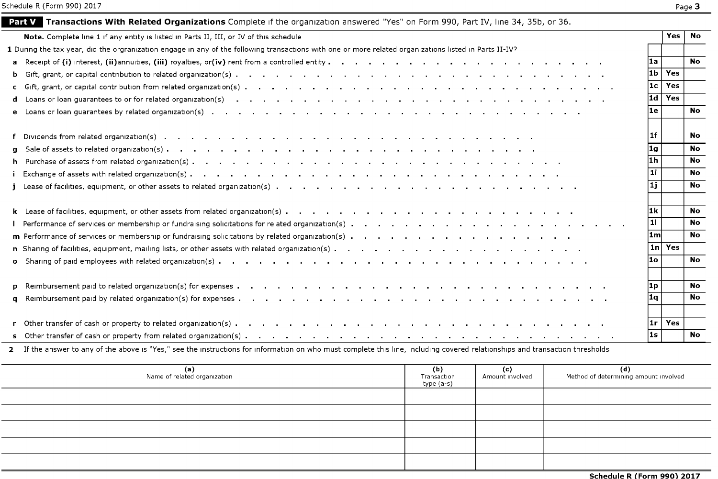|--|--|

| <b>Part V</b> Transactions With Related Organizations Complete if the organization answered "Yes" on Form 990, Part IV, line 34, 35b, or 36.                                                                                         |       |            |           |
|--------------------------------------------------------------------------------------------------------------------------------------------------------------------------------------------------------------------------------------|-------|------------|-----------|
| Note. Complete line 1 if any entity is listed in Parts II, III, or IV of this schedule                                                                                                                                               |       | <b>Yes</b> | <b>No</b> |
| 1 During the tax year, did the orgranization engage in any of the following transactions with one or more related organizations listed in Parts II-IV?                                                                               |       |            |           |
| Receipt of (i) interest, (ii) annuities, (iii) royalties, or (iv) rent from a controlled entity and any and any and any and any any any and the matrix of the matrix of the matrix of the matrix of the matrix of the matrix o<br>a  | l1a.  |            | <b>No</b> |
| b.                                                                                                                                                                                                                                   | l1b   | Yes        |           |
| $\mathbf{c}$                                                                                                                                                                                                                         | l1c.  | Yes        |           |
| Loans or loan guarantees to or for related organization(s) and all and all and all and all and all and all and the state of the state or state or state or state or state or state or state or state or state or state or stat<br>d. | l1d l | Yes        |           |
|                                                                                                                                                                                                                                      | l1e.  |            | <b>No</b> |
|                                                                                                                                                                                                                                      | l 1 f |            | No        |
| a                                                                                                                                                                                                                                    | l1g   |            | <b>No</b> |
|                                                                                                                                                                                                                                      | l1h.  |            | <b>No</b> |
|                                                                                                                                                                                                                                      | 11 I  |            | <b>No</b> |
|                                                                                                                                                                                                                                      | 1j    |            | <b>No</b> |
|                                                                                                                                                                                                                                      | l1k   |            | <b>No</b> |
|                                                                                                                                                                                                                                      | 111   |            | <b>No</b> |
|                                                                                                                                                                                                                                      | l1ml  |            | <b>No</b> |
|                                                                                                                                                                                                                                      | 1nl   | Yes        |           |
| $\mathbf{o}$                                                                                                                                                                                                                         | l1o.  |            | No        |
| p.                                                                                                                                                                                                                                   | 1P    |            | <b>No</b> |
| a                                                                                                                                                                                                                                    | 1q    |            | No.       |
|                                                                                                                                                                                                                                      | l1r l | Yes        |           |
|                                                                                                                                                                                                                                      | l1s   |            | No.       |

**2** If the answer to any of the above is "Yes," see the instructions for information on who must complete this line, including covered relationships and transaction thresholds

| (a)<br>Name of related organization | (b)<br>Transaction<br>type (a-s) | (c)<br>Amount involved | (d)<br>Method of determining amount involved |
|-------------------------------------|----------------------------------|------------------------|----------------------------------------------|
|                                     |                                  |                        |                                              |
|                                     |                                  |                        |                                              |
|                                     |                                  |                        |                                              |
|                                     |                                  |                        |                                              |
|                                     |                                  |                        |                                              |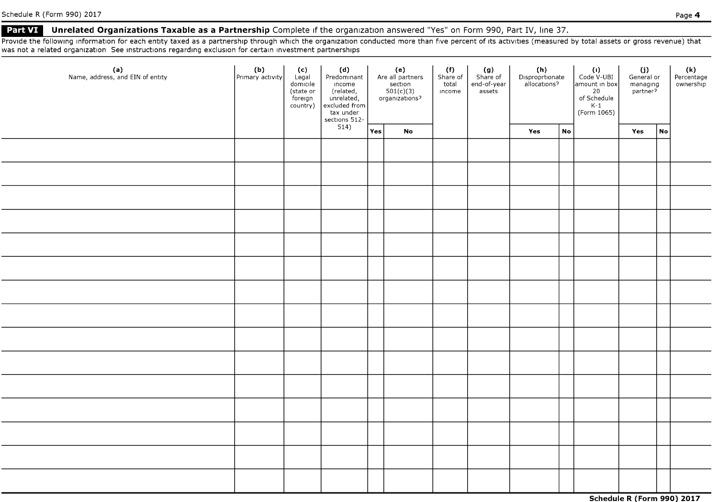## Part VI Unrelated Organizations Taxable as a Partnership Complete if the organization answered "Yes" on Form 990, Part IV, line 37.

Provide the following information for each entity taxed as a partnership through which the organization conducted more than five percent of its activities (measured by total assets or gross revenue) that was not <sup>a</sup> related organization See instructions regarding exclusion for certain investment partnerships

| (a)<br>Name, address, and EIN of entity | (b)<br>Primary activity | (c)<br>Legal<br>domicile<br>(state or<br>foreign<br>country) | (d)<br>Predominant<br>income<br>Findent<br>(related,<br>unrelated,<br>excluded from<br>tax under<br>sections 512-<br>514) | (e)<br>Are all partners<br>$\frac{\text{section}}{\text{501(c)(3)}}$ |    | (f)<br>Share of<br>total<br>income | $(g)$<br>Share of<br>end-of-year<br>assets | (h)<br>Disproprtionate<br>allocations? |                            | $\langle 1 \rangle$<br>Code V-UBI<br>amount in box<br>20<br>of Schedule<br>K-1<br>(Form 1065) | (j)<br>General or<br>managing<br>partner? |    | (k)<br>Percentage<br>ownership |
|-----------------------------------------|-------------------------|--------------------------------------------------------------|---------------------------------------------------------------------------------------------------------------------------|----------------------------------------------------------------------|----|------------------------------------|--------------------------------------------|----------------------------------------|----------------------------|-----------------------------------------------------------------------------------------------|-------------------------------------------|----|--------------------------------|
|                                         |                         |                                                              |                                                                                                                           | Yes                                                                  | No |                                    |                                            | Yes                                    | $\mathop{\sf No}\nolimits$ |                                                                                               | Yes                                       | No |                                |
|                                         |                         |                                                              |                                                                                                                           |                                                                      |    |                                    |                                            |                                        |                            |                                                                                               |                                           |    |                                |
|                                         |                         |                                                              |                                                                                                                           |                                                                      |    |                                    |                                            |                                        |                            |                                                                                               |                                           |    |                                |
|                                         |                         |                                                              |                                                                                                                           |                                                                      |    |                                    |                                            |                                        |                            |                                                                                               |                                           |    |                                |
|                                         |                         |                                                              |                                                                                                                           |                                                                      |    |                                    |                                            |                                        |                            |                                                                                               |                                           |    |                                |
|                                         |                         |                                                              |                                                                                                                           |                                                                      |    |                                    |                                            |                                        |                            |                                                                                               |                                           |    |                                |
|                                         |                         |                                                              |                                                                                                                           |                                                                      |    |                                    |                                            |                                        |                            |                                                                                               |                                           |    |                                |
|                                         |                         |                                                              |                                                                                                                           |                                                                      |    |                                    |                                            |                                        |                            |                                                                                               |                                           |    |                                |
|                                         |                         |                                                              |                                                                                                                           |                                                                      |    |                                    |                                            |                                        |                            |                                                                                               |                                           |    |                                |
|                                         |                         |                                                              |                                                                                                                           |                                                                      |    |                                    |                                            |                                        |                            |                                                                                               |                                           |    |                                |
|                                         |                         |                                                              |                                                                                                                           |                                                                      |    |                                    |                                            |                                        |                            |                                                                                               |                                           |    |                                |
|                                         |                         |                                                              |                                                                                                                           |                                                                      |    |                                    |                                            |                                        |                            |                                                                                               |                                           |    |                                |
|                                         |                         |                                                              |                                                                                                                           |                                                                      |    |                                    |                                            |                                        |                            |                                                                                               |                                           |    |                                |
|                                         |                         |                                                              |                                                                                                                           |                                                                      |    |                                    |                                            |                                        |                            |                                                                                               |                                           |    |                                |
|                                         |                         |                                                              |                                                                                                                           |                                                                      |    |                                    |                                            |                                        |                            |                                                                                               |                                           |    |                                |
|                                         |                         |                                                              |                                                                                                                           |                                                                      |    |                                    |                                            |                                        |                            |                                                                                               |                                           |    |                                |

Schedule R (Form 990) 2017